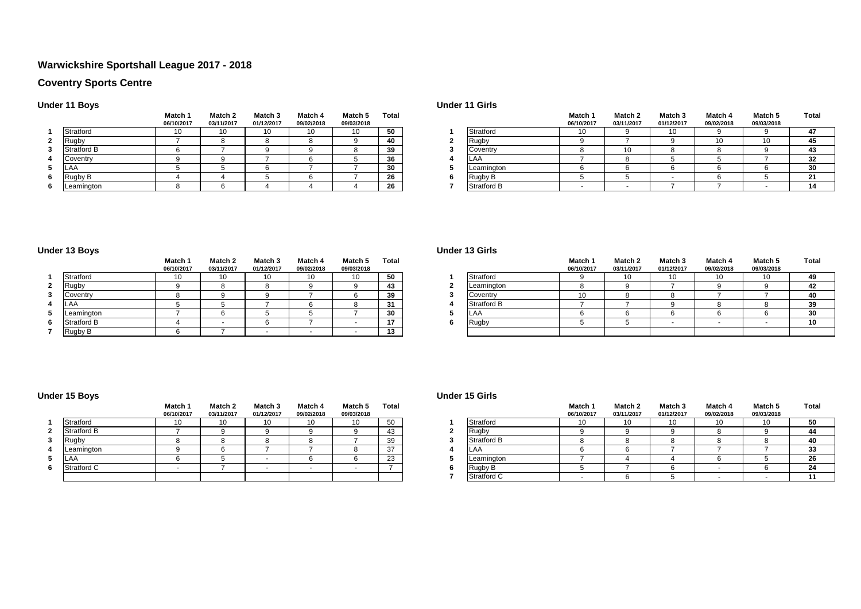## **Warwickshire Sportshall League 2017 - 2018**

## **Coventry Sports Centre**

## **Under 11 Boys**

|   |             | Match 1<br>06/10/2017 | Match 2<br>03/11/2017 | Match 3<br>01/12/2017 | Match 4<br>09/02/2018 | Match 5<br>09/03/2018 | Total |
|---|-------------|-----------------------|-----------------------|-----------------------|-----------------------|-----------------------|-------|
|   | Stratford   | 10                    | 10                    | 10                    | 10                    | 10                    | 50    |
| 2 | Rugby       |                       |                       | 8                     |                       |                       | 40    |
| з | Stratford B |                       |                       |                       |                       |                       | 39    |
|   | Coventry    |                       |                       |                       | 6                     |                       | 36    |
| 5 | AA          |                       |                       | ค                     |                       |                       | 30    |
| 6 | Rugby B     |                       |                       |                       |                       |                       | 26    |
| 6 | Leamington  |                       |                       |                       |                       |                       | 26    |

#### **Under 11 Girls**

|             | Match 1    | Match 2    | Match 3    | Match 4    | Match 5    | Total |                    | Match 1    | Match 2    | Match 3    | Match 4    | Match 5    | Total |
|-------------|------------|------------|------------|------------|------------|-------|--------------------|------------|------------|------------|------------|------------|-------|
|             | 06/10/2017 | 03/11/2017 | 01/12/2017 | 09/02/2018 | 09/03/2018 |       |                    | 06/10/2017 | 03/11/2017 | 01/12/2017 | 09/02/2018 | 09/03/2018 |       |
| Stratford   | 10         | יי         | 10         |            | 10         | 50    | Stratford          | 10         |            | 10         |            |            | 47    |
| Rugby       |            |            |            |            |            | 40    | Rugby              |            |            |            |            | 10         | 45    |
| Stratford B |            |            |            |            |            | 39    | Coventry           |            | 10         |            |            |            | -43   |
| Coventry    |            |            |            |            |            | 36    | ∟AA                |            |            |            |            |            | 32    |
| LAA         |            |            |            |            |            | 30    | Leamington         |            |            |            |            |            | 30    |
| Rugby B     |            |            |            |            |            | 26    | Rugby B            |            |            |            |            |            | 21    |
| Leamington  |            |            |            |            |            | 26    | <b>Stratford B</b> |            |            |            |            |            |       |

## **Under 13 Boys**

|   |             | Match 1<br>06/10/2017 | Match 2<br>03/11/2017 | Match 3<br>01/12/2017 | Match 4<br>09/02/2018 | Match 5<br>09/03/2018 | Total |
|---|-------------|-----------------------|-----------------------|-----------------------|-----------------------|-----------------------|-------|
|   | Stratford   | 10                    | 10                    | 10                    | 10                    | 10                    | 50    |
| 2 | Rugby       | 9                     |                       | 8                     |                       |                       | 43    |
| 3 | Coventry    |                       |                       |                       |                       |                       | 39    |
|   | AA          |                       |                       |                       | 6                     |                       | 31    |
| 5 | Leamington  |                       |                       |                       |                       |                       | 30    |
| 6 | Stratford B |                       |                       |                       |                       |                       | 17    |
|   | Rugby B     |                       |                       |                       |                       |                       | 13    |

#### **Under 13 Girls**

|                    | Match 1    | Match 2    | Match 3    | Match 4    | Match 5    | <b>Total</b>                   |             | Match 1    | Match 2    | Match 3    | Match 4    | Match 5    | <b>Total</b> |
|--------------------|------------|------------|------------|------------|------------|--------------------------------|-------------|------------|------------|------------|------------|------------|--------------|
|                    | 06/10/2017 | 03/11/2017 | 01/12/2017 | 09/02/2018 | 09/03/2018 |                                |             | 06/10/2017 | 03/11/2017 | 01/12/2017 | 09/02/2018 | 09/03/2018 |              |
| Stratford          | 10         | 10         | 10         | 10         | 10         | 50                             | Stratford   |            |            |            | 10         | 10         | 49.          |
| <b>Rugby</b>       |            |            |            |            |            | 43                             | Leamington  |            |            |            |            |            | 42           |
| Coventry           |            |            |            |            |            | 39                             | Coventry    |            |            |            |            |            | 40           |
| LAA                |            |            |            |            |            | 31                             | Stratford B |            |            |            |            |            | 39           |
| Leamington         |            |            |            |            |            | 30                             | LA/         |            |            |            |            |            | 30           |
| <b>Stratford B</b> |            |            |            |            |            | $\overline{a}$<br>$\mathbf{r}$ | Rugby       |            |            |            |            |            | 10           |
| Rugby B            |            |            |            |            |            | 13                             |             |            |            |            |            |            |              |

## **Under 15 Boys**

|   |             | Match 1<br>06/10/2017 | Match 2<br>03/11/2017 | Match <sub>3</sub><br>01/12/2017 | Match 4<br>09/02/2018 | Match 5<br>09/03/2018 | Total |
|---|-------------|-----------------------|-----------------------|----------------------------------|-----------------------|-----------------------|-------|
|   | Stratford   | 10                    | 10                    | 10                               | 10                    | 10                    | 50    |
| 2 | Stratford B |                       |                       | 9                                |                       | Ω                     | 43    |
| 3 | Rugby       |                       |                       |                                  |                       |                       | 39    |
| 4 | Leamington  |                       |                       |                                  |                       |                       | 37    |
| 5 | LAA         |                       |                       |                                  |                       |                       | 23    |
| 6 | Stratford C |                       |                       |                                  |                       |                       |       |
|   |             |                       |                       |                                  |                       |                       |       |

#### **Under 15 Girls**

|             | Match 1<br>06/10/2017 | Match 2<br>03/11/2017 | Match <sub>3</sub><br>01/12/2017 | Match 4<br>09/02/2018 | Match 5<br>09/03/2018 | <b>Total</b> |             | Match 1<br>06/10/2017 | Match 2<br>03/11/2017 | Match 3<br>01/12/2017 | Match 4<br>09/02/2018 | <b>Match 5</b><br>09/03/2018 | <b>Total</b> |
|-------------|-----------------------|-----------------------|----------------------------------|-----------------------|-----------------------|--------------|-------------|-----------------------|-----------------------|-----------------------|-----------------------|------------------------------|--------------|
| Stratford   | 10                    | 10                    | 10                               | $\overline{10}$       |                       | 50           | Stratford   | $\overline{A}$        | 10                    | ιv                    | 10                    | 10                           | 50           |
| Stratford B |                       |                       |                                  |                       |                       |              | Rugby       |                       |                       |                       |                       |                              |              |
| Rugby       |                       |                       |                                  |                       |                       | 39           | Stratford B |                       |                       |                       |                       |                              | -40          |
| Leamington  |                       |                       |                                  |                       |                       | 37           | LAA         |                       |                       |                       |                       |                              | 33           |
| LAA         |                       |                       |                                  |                       |                       | 23           | Leamington  |                       |                       |                       |                       |                              | 26           |
| Stratford C |                       |                       |                                  |                       |                       |              | Rugby B     |                       |                       |                       |                       |                              | 24           |
|             |                       |                       |                                  |                       |                       |              | Stratford C |                       |                       |                       |                       |                              |              |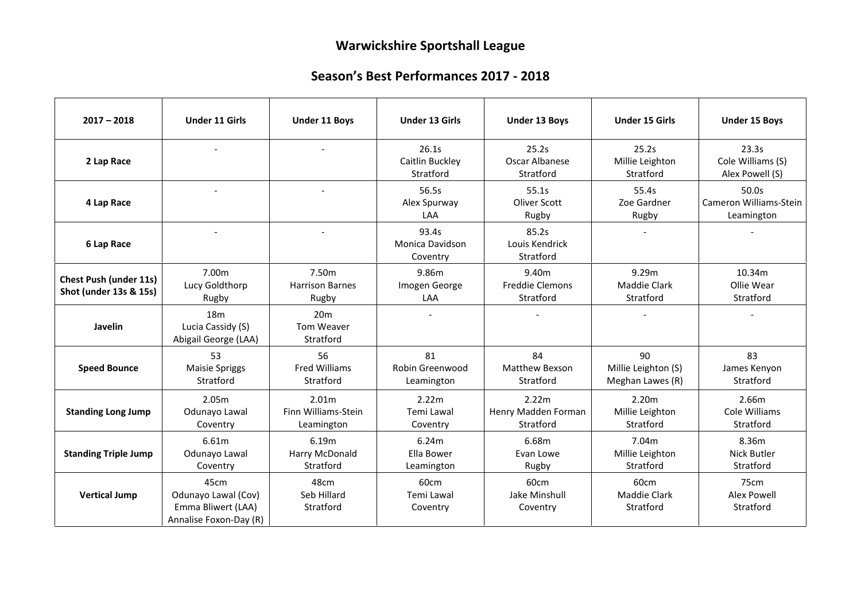# **Warwickshire Sportshall League**

## **Season's Best Performances 2017 - 2018**

| $2017 - 2018$                                           | <b>Under 11 Girls</b>                                                       | <b>Under 11 Boys</b>                       | <b>Under 13 Girls</b>                       | <b>Under 13 Boys</b>                         | <b>Under 15 Girls</b>                         | <b>Under 15 Boys</b>                          |
|---------------------------------------------------------|-----------------------------------------------------------------------------|--------------------------------------------|---------------------------------------------|----------------------------------------------|-----------------------------------------------|-----------------------------------------------|
| 2 Lap Race                                              |                                                                             |                                            | 26.1s<br>Caitlin Buckley<br>Stratford       | 25.2s<br>Oscar Albanese<br>Stratford         | 25.2s<br>Millie Leighton<br>Stratford         | 23.3s<br>Cole Williams (S)<br>Alex Powell (S) |
| 4 Lap Race                                              |                                                                             |                                            | 56.5s<br>Alex Spurway<br>LAA                | 55.1s<br>Oliver Scott<br>Rugby               | 55.4s<br>Zoe Gardner<br>Rugby                 | 50.0s<br>Cameron Williams-Stein<br>Leamington |
| 6 Lap Race                                              |                                                                             |                                            | 93.4s<br><b>Monica Davidson</b><br>Coventry | 85.2s<br>Louis Kendrick<br>Stratford         |                                               |                                               |
| <b>Chest Push (under 11s)</b><br>Shot (under 13s & 15s) | 7.00m<br>Lucy Goldthorp<br>Rugby                                            | 7.50m<br><b>Harrison Barnes</b><br>Rugby   | 9.86m<br>Imogen George<br>LAA               | 9.40m<br><b>Freddie Clemons</b><br>Stratford | 9.29m<br><b>Maddie Clark</b><br>Stratford     | 10.34m<br>Ollie Wear<br>Stratford             |
| Javelin                                                 | 18 <sub>m</sub><br>Lucia Cassidy (S)<br>Abigail George (LAA)                | 20 <sub>m</sub><br>Tom Weaver<br>Stratford |                                             |                                              |                                               |                                               |
| <b>Speed Bounce</b>                                     | 53<br><b>Maisie Spriggs</b><br>Stratford                                    | 56<br><b>Fred Williams</b><br>Stratford    | 81<br>Robin Greenwood<br>Leamington         | 84<br>Matthew Bexson<br>Stratford            | 90<br>Millie Leighton (S)<br>Meghan Lawes (R) | 83<br>James Kenyon<br>Stratford               |
| <b>Standing Long Jump</b>                               | 2.05m<br>Odunayo Lawal<br>Coventry                                          | 2.01m<br>Finn Williams-Stein<br>Leamington | 2.22m<br>Temi Lawal<br>Coventry             | 2.22m<br>Henry Madden Forman<br>Stratford    | 2.20m<br>Millie Leighton<br>Stratford         | 2.66m<br>Cole Williams<br>Stratford           |
| <b>Standing Triple Jump</b>                             | 6.61m<br>Odunayo Lawal<br>Coventry                                          | 6.19m<br>Harry McDonald<br>Stratford       | 6.24m<br>Ella Bower<br>Leamington           | 6.68m<br>Evan Lowe<br>Rugby                  | 7.04m<br>Millie Leighton<br>Stratford         | 8.36m<br><b>Nick Butler</b><br>Stratford      |
| <b>Vertical Jump</b>                                    | 45cm<br>Odunayo Lawal (Cov)<br>Emma Bliwert (LAA)<br>Annalise Foxon-Day (R) | 48cm<br>Seb Hillard<br>Stratford           | 60cm<br>Temi Lawal<br>Coventry              | 60cm<br>Jake Minshull<br>Coventry            | 60cm<br><b>Maddie Clark</b><br>Stratford      | 75cm<br><b>Alex Powell</b><br>Stratford       |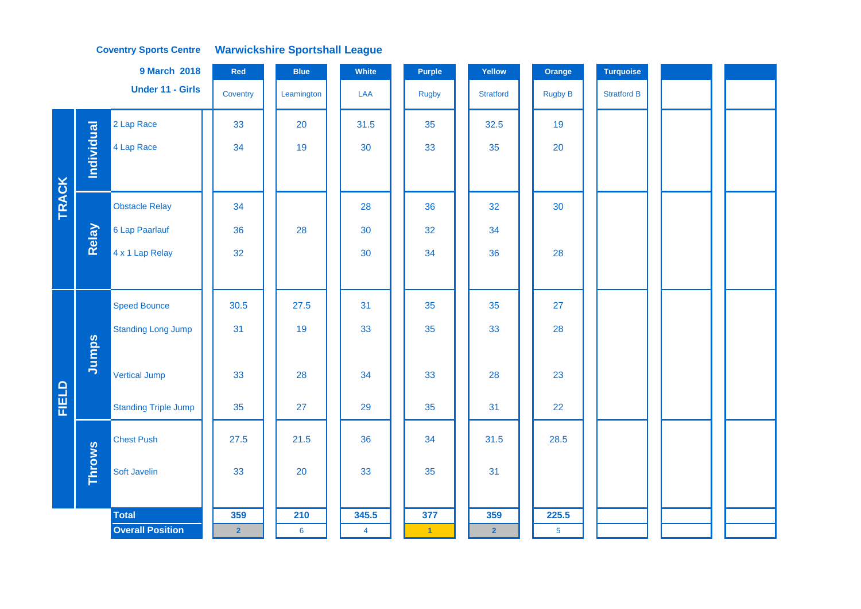#### **Coventry Sports Centre Warwickshire Sportshall League**

|       |                   | <b>9 March 2018</b>         | Red            | <b>Blue</b> | White          | Purple               | Yellow           | Orange         | <b>Turquoise</b>   |  |  |
|-------|-------------------|-----------------------------|----------------|-------------|----------------|----------------------|------------------|----------------|--------------------|--|--|
|       |                   | <b>Under 11 - Girls</b>     | Coventry       | Leamington  | LAA            | <b>Rugby</b>         | <b>Stratford</b> | <b>Rugby B</b> | <b>Stratford B</b> |  |  |
|       |                   | 2 Lap Race                  | 33             | 20          | 31.5           | 35                   | 32.5             | 19             |                    |  |  |
|       | <b>Individual</b> | 4 Lap Race                  | 34             | 19          | 30             | 33                   | 35               | 20             |                    |  |  |
|       |                   |                             |                |             |                |                      |                  |                |                    |  |  |
| TRACK |                   | <b>Obstacle Relay</b>       | 34             |             | 28             | 36                   | 32               | 30             |                    |  |  |
|       | Relay             | 6 Lap Paarlauf              | 36             | 28          | 30             | 32                   | 34               |                |                    |  |  |
|       |                   | 4 x 1 Lap Relay             | 32             |             | 30             | 34                   | 36               | 28             |                    |  |  |
|       |                   |                             |                |             |                |                      |                  |                |                    |  |  |
|       |                   | <b>Speed Bounce</b>         | 30.5           | 27.5        | 31             | 35                   | 35               | 27             |                    |  |  |
|       |                   | <b>Standing Long Jump</b>   | 31             | 19          | 33             | 35                   | 33               | 28             |                    |  |  |
|       | Jumps             |                             |                |             |                |                      |                  |                |                    |  |  |
|       |                   | <b>Vertical Jump</b>        | 33             | 28          | 34             | 33                   | 28               | 23             |                    |  |  |
| FIELD |                   | <b>Standing Triple Jump</b> | 35             | 27          | 29             | 35                   | 31               | 22             |                    |  |  |
|       |                   | <b>Chest Push</b>           | 27.5           | 21.5        | 36             | 34                   | 31.5             | 28.5           |                    |  |  |
|       | <b>Throws</b>     | Soft Javelin                | 33             | 20          | 33             | 35                   | 31               |                |                    |  |  |
|       |                   |                             |                |             |                |                      |                  |                |                    |  |  |
|       |                   | <b>Total</b>                | 359            | 210         | 345.5          | 377                  | 359              | 225.5          |                    |  |  |
|       |                   | <b>Overall Position</b>     | $\overline{2}$ | $\bf 6$     | $\overline{4}$ | $\blacktriangleleft$ | $\overline{2}$   | $\overline{5}$ |                    |  |  |
|       |                   |                             |                |             |                |                      |                  |                |                    |  |  |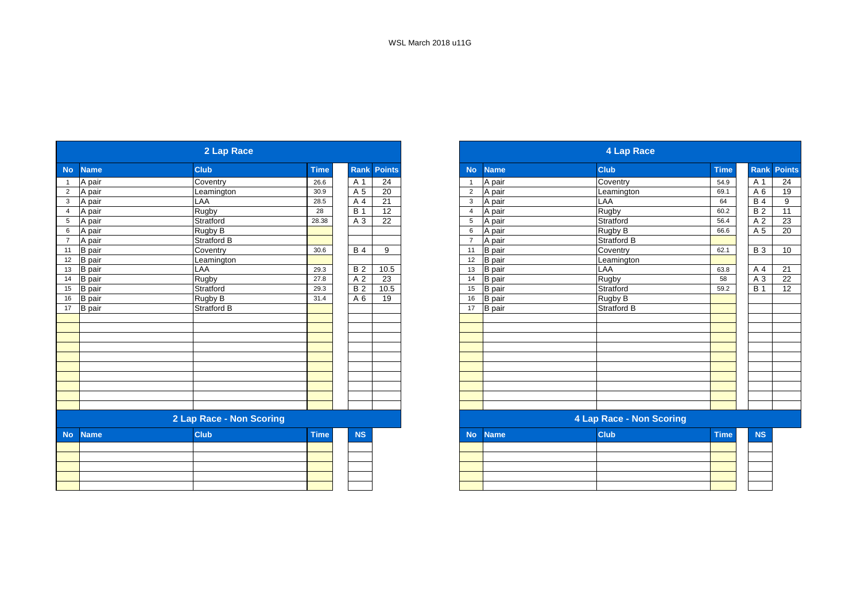|                |               | 2 Lap Race               |             |                  |                 |                |               | 4 Lap Race               |             |  |
|----------------|---------------|--------------------------|-------------|------------------|-----------------|----------------|---------------|--------------------------|-------------|--|
| <b>No</b>      | <b>Name</b>   | <b>Club</b>              | <b>Time</b> | Rank             | <b>Points</b>   | <b>No</b>      | <b>Name</b>   | <b>Club</b>              | <b>Time</b> |  |
|                | A pair        | Coventry                 | 26.6        | A 1              | 24              | $\overline{1}$ | A pair        | Coventry                 | 54.9        |  |
| $\overline{2}$ | A pair        | Leamington               | 30.9        | A 5              | 20              | $\overline{2}$ | A pair        | Leamington               | 69.1        |  |
| 3              | A pair        | <b>LAA</b>               | 28.5        | A 4              | 21              | 3              | A pair        | LAA                      | 64          |  |
| $\overline{4}$ | A pair        | Rugby                    | 28          | $\overline{B}$ 1 | 12              | $\overline{4}$ | A pair        | Rugby                    | 60.2        |  |
| 5              | A pair        | Stratford                | 28.38       | A 3              | $\overline{22}$ | 5              | A pair        | Stratford                | 56.4        |  |
| 6              | A pair        | Rugby B                  |             |                  |                 | 6              | A pair        | Rugby B                  | 66.6        |  |
| $\overline{7}$ | A pair        | Stratford B              |             |                  |                 | $\overline{7}$ | A pair        | <b>Stratford B</b>       |             |  |
| 11             | <b>B</b> pair | Coventry                 | 30.6        | <b>B</b> 4       | 9               | 11             | <b>B</b> pair | Coventry                 | 62.1        |  |
| 12             | <b>B</b> pair | Leamington               |             |                  |                 | 12             | <b>B</b> pair | Leamington               |             |  |
| 13             | <b>B</b> pair | LAA                      | 29.3        | <b>B2</b>        | 10.5            | 13             | <b>B</b> pair | LAA                      | 63.8        |  |
| 14             | <b>B</b> pair | Rugby                    | 27.8        | A 2              | 23              | 14             | <b>B</b> pair | Rugby                    | 58          |  |
| 15             | <b>B</b> pair | Stratford                | 29.3        | $\overline{B2}$  | 10.5            | 15             | <b>B</b> pair | Stratford                | 59.2        |  |
| 16             | <b>B</b> pair | Rugby B                  | 31.4        | A 6              | 19              | 16             | <b>B</b> pair | Rugby B                  |             |  |
| 17             | B pair        | <b>Stratford B</b>       |             |                  |                 | 17             | <b>B</b> pair | <b>Stratford B</b>       |             |  |
|                |               |                          |             |                  |                 |                |               |                          |             |  |
|                |               |                          |             |                  |                 |                |               |                          |             |  |
|                |               |                          |             |                  |                 |                |               |                          |             |  |
|                |               |                          |             |                  |                 |                |               |                          |             |  |
|                |               |                          |             |                  |                 |                |               |                          |             |  |
|                |               |                          |             |                  |                 |                |               |                          |             |  |
|                |               |                          |             |                  |                 |                |               |                          |             |  |
|                |               |                          |             |                  |                 |                |               |                          |             |  |
|                |               |                          |             |                  |                 |                |               |                          |             |  |
|                |               |                          |             |                  |                 |                |               |                          |             |  |
|                |               | 2 Lap Race - Non Scoring |             |                  |                 |                |               | 4 Lap Race - Non Scoring |             |  |
| <b>No</b>      | <b>Name</b>   | <b>Club</b>              | Time        | <b>NS</b>        |                 | <b>No</b>      | <b>Name</b>   | <b>Club</b>              | <b>Time</b> |  |
|                |               |                          |             |                  |                 |                |               |                          |             |  |
|                |               |                          |             |                  |                 |                |               |                          |             |  |
|                |               |                          |             |                  |                 |                |               |                          |             |  |
|                |               |                          |             |                  |                 |                |               |                          |             |  |
|                |               |                          |             |                  |                 |                |               |                          |             |  |

|               | 2 Lap Race               |             |            |               |
|---------------|--------------------------|-------------|------------|---------------|
| <b>Name</b>   | <b>Club</b>              | <b>Time</b> | Rank       | <b>Points</b> |
| A pair        | Coventry                 | 26.6        | A 1        | 24            |
| A pair        | Leamington               | 30.9        | A 5        | 20            |
| A pair        | LAA                      | 28.5        | A 4        | 21            |
| A pair        | Rugby                    | 28          | <b>B</b> 1 | 12            |
| A pair        | Stratford                | 28.38       | A 3        | 22            |
| A pair        | Rugby B                  |             |            |               |
| A pair        | <b>Stratford B</b>       |             |            |               |
| <b>B</b> pair | Coventry                 | 30.6        | <b>B</b> 4 | 9             |
| <b>B</b> pair | Leamington               |             |            |               |
| <b>B</b> pair | LAA                      | 29.3        | <b>B2</b>  | 10.5          |
| <b>B</b> pair | Rugby                    | 27.8        | A 2        | 23            |
| <b>B</b> pair | Stratford                | 29.3        | <b>B2</b>  | 10.5          |
| <b>B</b> pair | Rugby B                  | 31.4        | A 6        | 19            |
| <b>B</b> pair | Stratford B              |             |            |               |
|               |                          |             |            |               |
|               |                          |             |            |               |
|               |                          |             |            |               |
|               |                          |             |            |               |
|               |                          |             |            |               |
|               |                          |             |            |               |
|               |                          |             |            |               |
|               |                          |             |            |               |
|               |                          |             |            |               |
|               |                          |             |            |               |
|               | 2 Lap Race - Non Scoring |             |            |               |
| <b>Name</b>   | <b>Club</b>              | <b>Time</b> | <b>NS</b>  |               |
|               |                          |             |            |               |
|               |                          |             |            |               |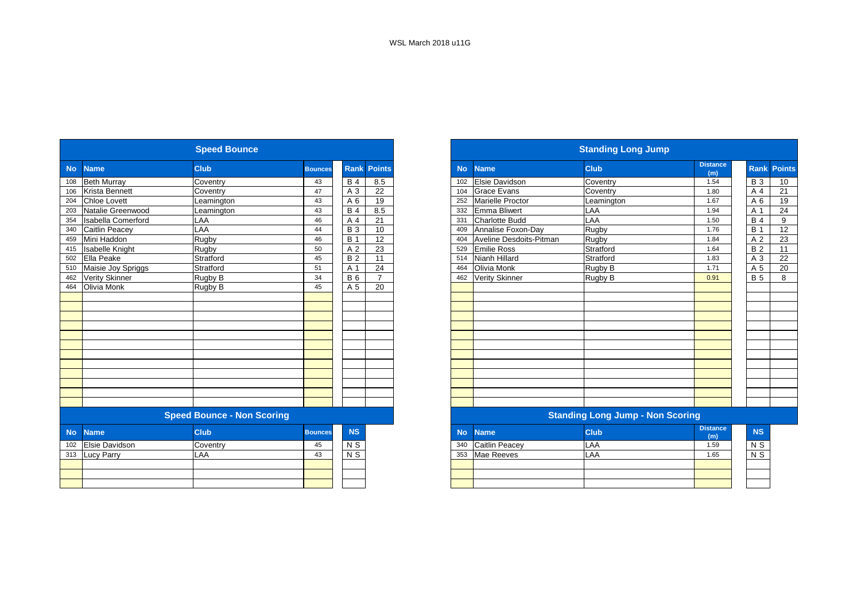|           |                           | <b>Speed Bounce</b>               |                |                  |                |           |                         | <b>Standing Long Jump</b>               |                        |
|-----------|---------------------------|-----------------------------------|----------------|------------------|----------------|-----------|-------------------------|-----------------------------------------|------------------------|
| No        | <b>Name</b>               | <b>Club</b>                       | <b>Bounces</b> | Rank             | <b>Points</b>  | <b>No</b> | <b>Name</b>             | <b>Club</b>                             | <b>Distance</b><br>(m) |
| 108       | <b>Beth Murray</b>        | Coventry                          | 43             | <b>B4</b>        | 8.5            | 102       | Elsie Davidson          | Coventry                                | 1.54                   |
| 106       | <b>Krista Bennett</b>     | Coventry                          | 47             | A 3              | 22             | 104       | <b>Grace Evans</b>      | Coventry                                | 1.80                   |
| 204       | <b>Chloe Lovett</b>       | Leamington                        | 43             | A 6              | 19             | 252       | <b>Marielle Proctor</b> | Leamington                              | 1.67                   |
| 203       | Natalie Greenwood         | Leamington                        | 43             | $B$ 4            | 8.5            | 332       | Emma Bliwert            | LAA                                     | 1.94                   |
| 354       | <b>Isabella Comerford</b> | LAA                               | 46             | A 4              | 21             | 331       | <b>Charlotte Budd</b>   | LAA                                     | 1.50                   |
| 340       | <b>Caitlin Peacey</b>     | LAA                               | 44             | <b>B3</b>        | 10             | 409       | Annalise Foxon-Day      | Rugby                                   | 1.76                   |
| 459       | Mini Haddon               | <b>Rugby</b>                      | 46             | $\overline{B}$ 1 | 12             | 404       | Aveline Desdoits-Pitman | Rugby                                   | 1.84                   |
| 415       | <b>Isabelle Knight</b>    | Rugby                             | 50             | A 2              | 23             | 529       | <b>Emilie Ross</b>      | Stratford                               | 1.64                   |
| 502       | Ella Peake                | Stratford                         | 45             | $\overline{B2}$  | 11             | 514       | Nianh Hillard           | Stratford                               | 1.83                   |
| 510       | Maisie Joy Spriggs        | Stratford                         | 51             | A 1              | 24             | 464       | Olivia Monk             | Rugby B                                 | 1.71                   |
| 462       | <b>Verity Skinner</b>     | Rugby B                           | 34             | <b>B6</b>        | $\overline{7}$ | 462       | <b>Verity Skinner</b>   | Rugby B                                 | 0.91                   |
| 464       | Olivia Monk               | Rugby B                           | 45             | A 5              | 20             |           |                         |                                         |                        |
|           |                           |                                   |                |                  |                |           |                         |                                         |                        |
|           |                           |                                   |                |                  |                |           |                         |                                         |                        |
|           |                           |                                   |                |                  |                |           |                         |                                         |                        |
|           |                           |                                   |                |                  |                |           |                         |                                         |                        |
|           |                           |                                   |                |                  |                |           |                         |                                         |                        |
|           |                           |                                   |                |                  |                |           |                         |                                         |                        |
|           |                           |                                   |                |                  |                |           |                         |                                         |                        |
|           |                           |                                   |                |                  |                |           |                         |                                         |                        |
|           |                           |                                   |                |                  |                |           |                         |                                         |                        |
|           |                           |                                   |                |                  |                |           |                         |                                         |                        |
|           |                           |                                   |                |                  |                |           |                         |                                         |                        |
|           |                           |                                   |                |                  |                |           |                         |                                         |                        |
|           |                           | <b>Speed Bounce - Non Scoring</b> |                |                  |                |           |                         | <b>Standing Long Jump - Non Scoring</b> |                        |
| <b>No</b> | <b>Name</b>               | <b>Club</b>                       | <b>Bounces</b> | <b>NS</b>        |                | <b>No</b> | <b>Name</b>             | <b>Club</b>                             | <b>Distance</b><br>(m) |
| 102       | Elsie Davidson            | Coventry                          | 45             | N S              |                | 340       | <b>Caitlin Peacey</b>   | LAA                                     | 1.59                   |
| 313       | <b>Lucy Parry</b>         | LAA                               | 43             | $N$ S            |                | 353       | <b>Mae Reeves</b>       | LAA                                     | 1.65                   |
|           |                           |                                   |                |                  |                |           |                         |                                         |                        |
|           |                           |                                   |                |                  |                |           |                         |                                         |                        |
|           |                           |                                   |                |                  |                |           |                         |                                         |                        |
|           |                           |                                   |                |                  |                |           |                         |                                         |                        |

|                  |                           | <b>Speed Bounce</b>               |                |                |                |
|------------------|---------------------------|-----------------------------------|----------------|----------------|----------------|
|                  | <b>Name</b>               | <b>Club</b>                       | <b>Bounces</b> | <b>Rank</b>    | Points         |
|                  | <b>Beth Murray</b>        | Coventry                          | 43             | <b>B</b> 4     | 8.5            |
|                  | <b>Krista Bennett</b>     | Coventry                          | 47             | A 3            | 22             |
|                  | <b>Chloe Lovett</b>       | Leamington                        | 43             | A 6            | 19             |
|                  | Natalie Greenwood         | Leamington                        | 43             | B <sub>4</sub> | 8.5            |
|                  | <b>Isabella Comerford</b> | LAA                               | 46             | A 4            | 21             |
|                  | Caitlin Peacey            | <b>LAA</b>                        | 44             | <b>B</b> 3     | 10             |
|                  | Mini Haddon               | Rugby                             | 46             | <b>B</b> 1     | 12             |
|                  | <b>Isabelle Knight</b>    | Rugby                             | 50             | A <sub>2</sub> | 23             |
|                  | Ella Peake                | Stratford                         | 45             | <b>B2</b>      | 11             |
|                  | Maisie Joy Spriggs        | Stratford                         | 51             | A 1            | 24             |
|                  | <b>Verity Skinner</b>     | Rugby B                           | 34             | <b>B6</b>      | $\overline{7}$ |
|                  | Olivia Monk               | Rugby B                           | 45             | A 5            | 20             |
|                  |                           |                                   |                |                |                |
|                  |                           |                                   |                |                |                |
|                  |                           |                                   |                |                |                |
|                  |                           |                                   |                |                |                |
|                  |                           |                                   |                |                |                |
|                  |                           |                                   |                |                |                |
|                  |                           |                                   |                |                |                |
|                  |                           |                                   |                |                |                |
|                  |                           |                                   |                |                |                |
|                  |                           |                                   |                |                |                |
|                  |                           |                                   |                |                |                |
|                  |                           |                                   |                |                |                |
|                  |                           | <b>Speed Bounce - Non Scoring</b> |                |                |                |
|                  | <b>Name</b>               | <b>Club</b>                       | <b>Bounces</b> | <b>NS</b>      |                |
| 102              | <b>Elsie Davidson</b>     | Coventry                          | 45             | N <sub>S</sub> |                |
| $\overline{313}$ | <b>Lucy Parry</b>         | LAA                               | 43             | $N$ S          |                |
|                  |                           |                                   |                |                |                |
|                  |                           |                                   |                |                |                |
|                  |                           |                                   |                |                |                |
|                  |                           |                                   |                |                |                |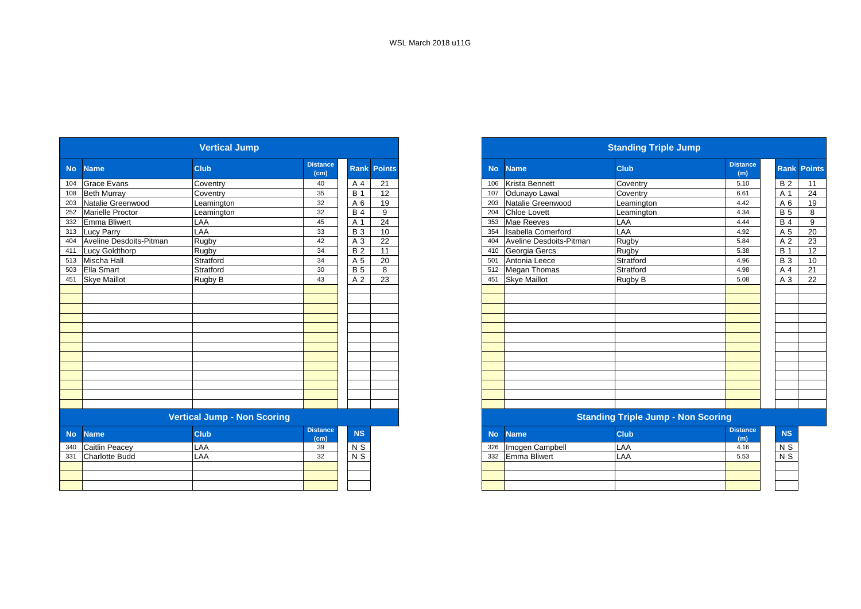|           |                         | <b>Vertical Jump</b>               |                         |            |                    |
|-----------|-------------------------|------------------------------------|-------------------------|------------|--------------------|
| <b>No</b> | <b>Name</b>             | <b>Club</b>                        | <b>Distance</b><br>(cm) |            | <b>Rank Points</b> |
| 104       | <b>Grace Evans</b>      | Coventry                           | 40                      | A 4        | 21                 |
| 108       | <b>Beth Murray</b>      | Coventry                           | 35                      | <b>B</b> 1 | 12                 |
| 203       | Natalie Greenwood       | _eamington                         | 32                      | A 6        | 19                 |
| 252       | Marielle Proctor        | Leamington                         | 32                      | <b>B</b> 4 | 9                  |
| 332       | <b>Emma Bliwert</b>     | LAA                                | 45                      | A 1        | 24                 |
| 313       | Lucy Parry              | LAA                                | 33                      | <b>B</b> 3 | 10                 |
| 404       | Aveline Desdoits-Pitman | Rugby                              | 42                      | A 3        | 22                 |
| 411       | Lucy Goldthorp          | Rugby                              | 34                      | <b>B2</b>  | 11                 |
| 513       | <b>Mischa Hall</b>      | Stratford                          | 34                      | A 5        | 20                 |
| 503       | <b>Ella Smart</b>       | Stratford                          | 30                      | <b>B</b> 5 | 8                  |
| 451       | <b>Skye Maillot</b>     | Rugby B                            | 43                      | A 2        | 23                 |
|           |                         |                                    |                         |            |                    |
|           |                         |                                    |                         |            |                    |
|           |                         |                                    |                         |            |                    |
|           |                         |                                    |                         |            |                    |
|           |                         |                                    |                         |            |                    |
|           |                         |                                    |                         |            |                    |
|           |                         |                                    |                         |            |                    |
|           |                         |                                    |                         |            |                    |
|           |                         |                                    |                         |            |                    |
|           |                         |                                    |                         |            |                    |
|           |                         |                                    |                         |            |                    |
|           |                         |                                    |                         |            |                    |
|           |                         |                                    |                         |            |                    |
|           |                         | <b>Vertical Jump - Non Scoring</b> |                         |            |                    |
| <b>No</b> | <b>Name</b>             | <b>Club</b>                        | <b>Distance</b><br>(cm) | <b>NS</b>  |                    |
| 340       | Caitlin Peacey          | LAA                                | 39                      | $N$ S      |                    |
| 331       | <b>Charlotte Budd</b>   | LAA                                | 32                      | $N$ S      |                    |
|           |                         |                                    |                         |            |                    |

|           |                         | <b>Vertical Jump</b>               |                         |            |                    |
|-----------|-------------------------|------------------------------------|-------------------------|------------|--------------------|
| <b>No</b> | <b>Name</b>             | <b>Club</b>                        | <b>Distance</b><br>(cm) |            | <b>Rank Points</b> |
|           | 104 Grace Evans         | Coventry                           | 40                      | A 4        | 21                 |
|           | 108 Beth Murray         | Coventry                           | 35                      | <b>B</b> 1 | 12                 |
|           | 203 Natalie Greenwood   | Leamington                         | 32                      | A 6        | 19                 |
|           | 252 Marielle Proctor    | Leamington                         | 32                      | <b>B</b> 4 | 9                  |
|           | 332 Emma Bliwert        | LAA                                | 45                      | A 1        | 24                 |
|           | 313 Lucy Parry          | LAA                                | 33                      | <b>B</b> 3 | 10 <sup>1</sup>    |
| 404       | Aveline Desdoits-Pitman | Rugby                              | 42                      | A 3        | 22                 |
| 411       | <b>Lucy Goldthorp</b>   | Rugby                              | 34                      | <b>B2</b>  | 11                 |
|           | 513 Mischa Hall         | Stratford                          | 34                      | A 5        | 20                 |
|           | 503 Ella Smart          | Stratford                          | 30                      | <b>B</b> 5 | 8                  |
|           | 451 Skye Maillot        | Rugby B                            | 43                      | A 2        | 23                 |
|           |                         |                                    |                         |            |                    |
|           |                         |                                    |                         |            |                    |
|           |                         |                                    |                         |            |                    |
|           |                         |                                    |                         |            |                    |
|           |                         |                                    |                         |            |                    |
|           |                         |                                    |                         |            |                    |
|           |                         |                                    |                         |            |                    |
|           |                         |                                    |                         |            |                    |
|           |                         |                                    |                         |            |                    |
|           |                         |                                    |                         |            |                    |
|           |                         |                                    |                         |            |                    |
|           |                         |                                    |                         |            |                    |
|           |                         |                                    |                         |            |                    |
|           |                         | <b>Vertical Jump - Non Scoring</b> |                         |            |                    |

| stance | <b>NS</b>      |     | No Name             | <b>Club</b> | <b>Distance</b><br>(m) |                |
|--------|----------------|-----|---------------------|-------------|------------------------|----------------|
|        | N <sub>S</sub> | 326 | Imogen Campbell     | LAA         | 4.16                   | N <sub>S</sub> |
|        | N <sub>S</sub> | 332 | <b>Emma Bliwert</b> | LAA         | 5.53                   | N <sub>S</sub> |
|        |                |     |                     |             |                        |                |
|        |                |     |                     |             |                        |                |
|        |                |     |                     |             |                        |                |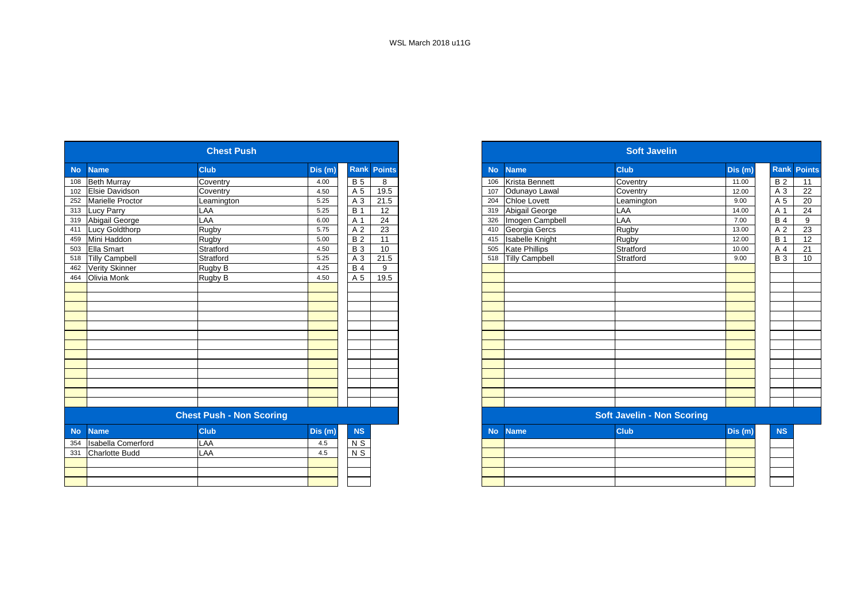|           |                           | <b>Chest Push</b>               |         |                  |                    |
|-----------|---------------------------|---------------------------------|---------|------------------|--------------------|
| <b>No</b> | <b>Name</b>               | <b>Club</b>                     | Dis (m) |                  | <b>Rank Points</b> |
| 108       | <b>Beth Murray</b>        | Coventry                        | 4.00    | <b>B</b> 5       | 8                  |
| 102       | Elsie Davidson            | Coventry                        | 4.50    | A 5              | 19.5               |
| 252       | <b>Marielle Proctor</b>   | Leamington                      | 5.25    | A 3              | 21.5               |
| 313       | Lucy Parry                | LAA                             | 5.25    | <b>B</b> 1       | 12                 |
| 319       | Abigail George            | LAA                             | 6.00    | A 1              | 24                 |
| 411       | Lucy Goldthorp            | Rugby                           | 5.75    | A 2              | 23                 |
| 459       | Mini Haddon               | Rugby                           | 5.00    | B <sub>2</sub>   | 11                 |
| 503       | Ella Smart                | Stratford                       | 4.50    | <b>B</b> 3       | 10                 |
| 518       | <b>Tilly Campbell</b>     | Stratford                       | 5.25    | A 3              | 21.5               |
| 462       | Verity Skinner            | Rugby B                         | 4.25    | $\overline{B}$ 4 | 9                  |
| 464       | <b>Olivia Monk</b>        | Rugby B                         | 4.50    | A 5              | 19.5               |
|           |                           |                                 |         |                  |                    |
|           |                           |                                 |         |                  |                    |
|           |                           |                                 |         |                  |                    |
|           |                           |                                 |         |                  |                    |
|           |                           |                                 |         |                  |                    |
|           |                           |                                 |         |                  |                    |
|           |                           |                                 |         |                  |                    |
|           |                           |                                 |         |                  |                    |
|           |                           |                                 |         |                  |                    |
|           |                           |                                 |         |                  |                    |
|           |                           |                                 |         |                  |                    |
|           |                           |                                 |         |                  |                    |
|           |                           |                                 |         |                  |                    |
|           |                           | <b>Chest Push - Non Scoring</b> |         |                  |                    |
| <b>No</b> | <b>Name</b>               | <b>Club</b>                     | Dis (m) | <b>NS</b>        |                    |
| 354       | <b>Isabella Comerford</b> | LAA                             | 4.5     | $N$ S            |                    |
| 331       | <b>Charlotte Budd</b>     | LAA                             | 4.5     | $N$ S            |                    |
|           |                           |                                 |         |                  |                    |
|           |                           |                                 |         |                  |                    |
|           |                           |                                 |         |                  |                    |

|             |                        | <b>Chest Push</b>               |         |                 |                 |
|-------------|------------------------|---------------------------------|---------|-----------------|-----------------|
| <b>Name</b> |                        | <b>Club</b>                     | Dis (m) | Rank            | <b>Points</b>   |
|             | <b>Beth Murray</b>     | Coventry                        | 4.00    | <b>B</b> 5      | 8               |
|             | 102 Elsie Davidson     | Coventry                        | 4.50    | A 5             | 19.5            |
|             | 252 Marielle Proctor   | Leamington                      | 5.25    | A 3             | 21.5            |
|             | 313 Lucy Parry         | LAA                             | 5.25    | <b>B</b> 1      | 12              |
|             | 319 Abigail George     | LAA                             | 6.00    | A 1             | $\overline{24}$ |
|             | <b>Lucy Goldthorp</b>  | Rugby                           | 5.75    | A 2             | $\overline{23}$ |
|             | 459 Mini Haddon        | Rugby                           | 5.00    | $\overline{B2}$ | 11              |
|             | 503 Ella Smart         | Stratford                       | 4.50    | <b>B</b> 3      | 10              |
|             | 518 Tilly Campbell     | Stratford                       | 5.25    | A 3             | 21.5            |
|             | 462 Verity Skinner     | Rugby B                         | 4.25    | $\overline{B4}$ | 9               |
|             | 464 Olivia Monk        | Rugby B                         | 4.50    | A 5             | 19.5            |
|             |                        |                                 |         |                 |                 |
|             |                        |                                 |         |                 |                 |
|             |                        |                                 |         |                 |                 |
|             |                        |                                 |         |                 |                 |
|             |                        |                                 |         |                 |                 |
|             |                        |                                 |         |                 |                 |
|             |                        |                                 |         |                 |                 |
|             |                        |                                 |         |                 |                 |
|             |                        |                                 |         |                 |                 |
|             |                        |                                 |         |                 |                 |
|             |                        |                                 |         |                 |                 |
|             |                        |                                 |         |                 |                 |
|             |                        |                                 |         |                 |                 |
|             |                        | <b>Chest Push - Non Scoring</b> |         |                 |                 |
| <b>No</b>   | <b>Name</b>            | <b>Club</b>                     | Dis (m) | <b>NS</b>       |                 |
|             | 354 Isabella Comerford | <b>LAA</b>                      | 4.5     | N S             |                 |
|             | 331 Charlotte Budd     | LAA                             | 4.5     | N <sub>S</sub>  |                 |
|             |                        |                                 |         |                 |                 |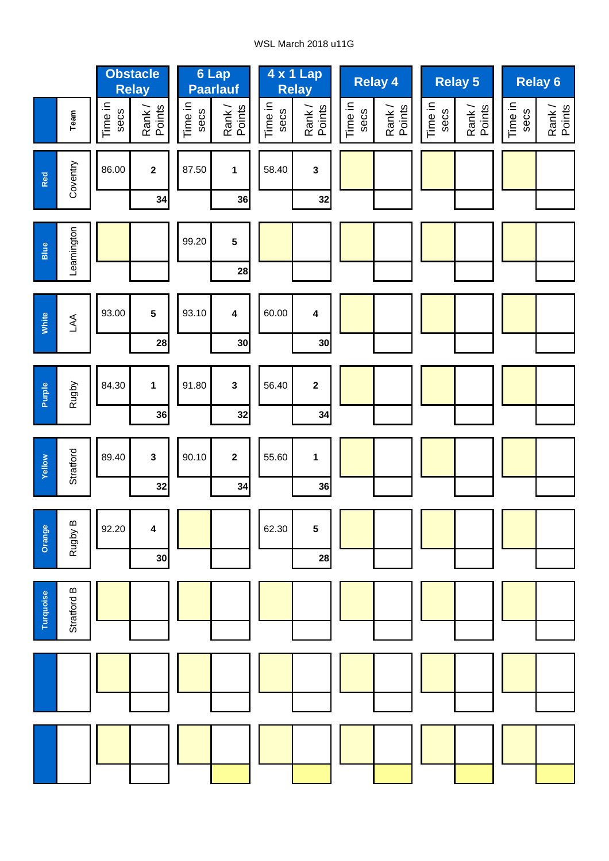## WSL March 2018 u11G

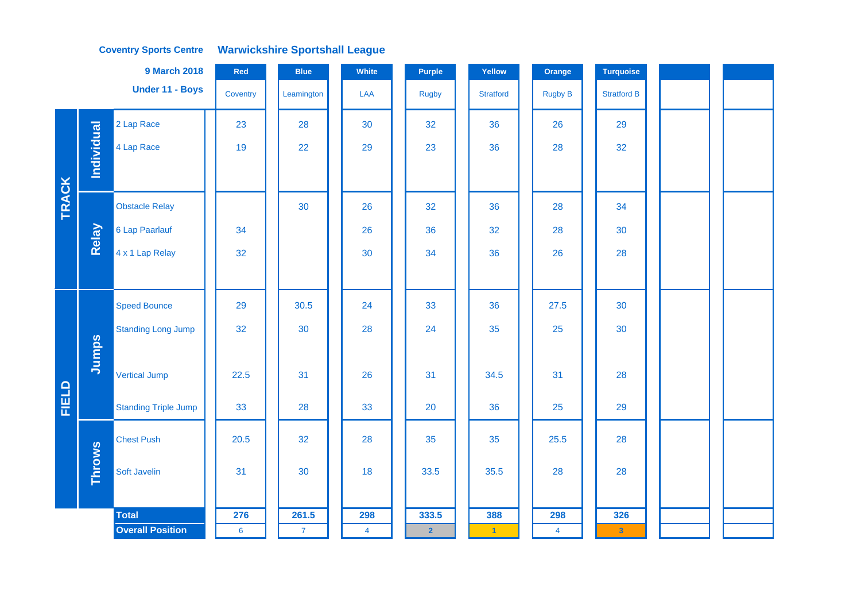#### **Coventry Sports Centre Warwickshire Sportshall League**

|              |               | <b>9 March 2018</b>                     | Red             | <b>Blue</b>    | White          | <b>Purple</b>  | Yellow               | Orange                  | <b>Turquoise</b>        |  |  |
|--------------|---------------|-----------------------------------------|-----------------|----------------|----------------|----------------|----------------------|-------------------------|-------------------------|--|--|
|              |               | Under 11 - Boys                         | Coventry        | Leamington     | LAA            | <b>Rugby</b>   | <b>Stratford</b>     | Rugby B                 | <b>Stratford B</b>      |  |  |
|              |               | 2 Lap Race                              | 23              | 28             | 30             | 32             | 36                   | 26                      | 29                      |  |  |
|              | Individual    | 4 Lap Race                              | 19              | 22             | 29             | 23             | 36                   | 28                      | 32                      |  |  |
|              |               |                                         |                 |                |                |                |                      |                         |                         |  |  |
| <b>TRACK</b> |               | <b>Obstacle Relay</b>                   |                 | 30             | 26             | 32             | 36                   | 28                      | 34                      |  |  |
|              | Relay         | 6 Lap Paarlauf                          | 34              |                | 26             | 36             | 32                   | 28                      | 30                      |  |  |
|              |               | 4 x 1 Lap Relay                         | 32              |                | 30             | 34             | 36                   | 26                      | 28                      |  |  |
|              |               |                                         |                 |                |                |                |                      |                         |                         |  |  |
|              |               | <b>Speed Bounce</b>                     | 29              | 30.5           | 24             | 33             | 36                   | 27.5                    | 30                      |  |  |
|              |               | <b>Standing Long Jump</b>               | 32              | 30             | 28             | 24             | 35                   | 25                      | 30                      |  |  |
|              | Jumps         |                                         |                 |                |                |                |                      |                         |                         |  |  |
|              |               | <b>Vertical Jump</b>                    | 22.5            | 31             | 26             | 31             | 34.5                 | 31                      | 28                      |  |  |
| <b>FIELD</b> |               | <b>Standing Triple Jump</b>             | 33              | 28             | 33             | 20             | 36                   | 25                      | 29                      |  |  |
|              |               | <b>Chest Push</b>                       | 20.5            | 32             | 28             | 35             | 35                   | 25.5                    | 28                      |  |  |
|              | <b>Throws</b> | Soft Javelin                            | 31              | 30             | 18             | 33.5           | 35.5                 | 28                      | 28                      |  |  |
|              |               |                                         |                 | 261.5          |                |                |                      |                         |                         |  |  |
|              |               | <b>Total</b><br><b>Overall Position</b> | 276             |                | 298            | 333.5          | 388                  | 298                     | 326                     |  |  |
|              |               |                                         | $6\phantom{1}6$ | $\overline{7}$ | $\overline{4}$ | $\overline{2}$ | $\blacktriangleleft$ | $\overline{\mathbf{4}}$ | $\overline{\mathbf{3}}$ |  |  |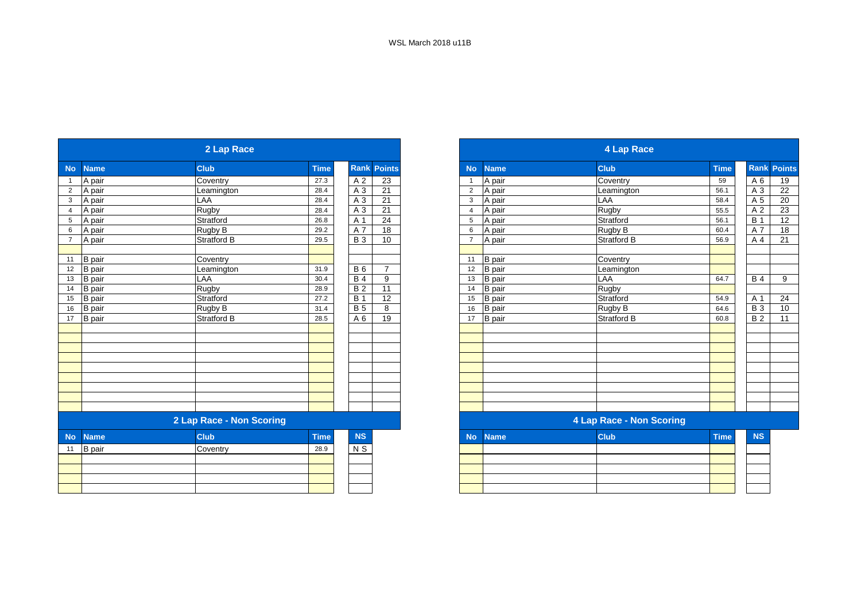|                |               | 2 Lap Race               |             |                 |                    |
|----------------|---------------|--------------------------|-------------|-----------------|--------------------|
| <b>No</b>      | <b>Name</b>   | <b>Club</b>              | <b>Time</b> |                 | <b>Rank Points</b> |
| $\mathbf{1}$   | A pair        | Coventry                 | 27.3        | A 2             | $\overline{23}$    |
| $\overline{2}$ | A pair        | Leamington               | 28.4        | $A_3$           | 21                 |
| 3              | A pair        | LAA                      | 28.4        | A 3             | 21                 |
| $\overline{4}$ | A pair        | <b>Rugby</b>             | 28.4        | $\overline{A3}$ | 21                 |
| 5              | A pair        | Stratford                | 26.8        | A 1             | 24                 |
| 6              | A pair        | Rugby B                  | 29.2        | A 7             | 18                 |
| $\overline{7}$ | A pair        | Stratford B              | 29.5        | <b>B</b> 3      | 10                 |
|                |               |                          |             |                 |                    |
| 11             | <b>B</b> pair | Coventry                 |             |                 |                    |
| 12             | <b>B</b> pair | Leamington               | 31.9        | <b>B6</b>       | $\overline{7}$     |
| 13             | B pair        | LAA                      | 30.4        | <b>B4</b>       | 9                  |
| 14             | <b>B</b> pair | Rugby                    | 28.9        | B <sub>2</sub>  | 11                 |
| 15             | <b>B</b> pair | Stratford                | 27.2        | <b>B</b> 1      | 12                 |
| 16             | <b>B</b> pair | Rugby B                  | 31.4        | $\overline{B}$  | 8                  |
| 17             | <b>B</b> pair | Stratford B              | 28.5        | A6              | 19                 |
|                |               |                          |             |                 |                    |
|                |               |                          |             |                 |                    |
|                |               |                          |             |                 |                    |
|                |               |                          |             |                 |                    |
|                |               |                          |             |                 |                    |
|                |               |                          |             |                 |                    |
|                |               |                          |             |                 |                    |
|                |               |                          |             |                 |                    |
|                |               |                          |             |                 |                    |
|                |               | 2 Lap Race - Non Scoring |             |                 |                    |
| <b>No</b>      | <b>Name</b>   | <b>Club</b>              | <b>Time</b> | <b>NS</b>       |                    |
| 11             | <b>B</b> pair | Coventry                 | 28.9        | N S             |                    |
|                |               |                          |             |                 |                    |
|                |               |                          |             |                 |                    |
|                |               |                          |             |                 |                    |
|                |               |                          |             |                 |                    |
|                |               |                          |             |                 |                    |

|                 |               | 2 Lap Race               |             |             |                |                |               | 4 Lap Race               |             |                  |                 |
|-----------------|---------------|--------------------------|-------------|-------------|----------------|----------------|---------------|--------------------------|-------------|------------------|-----------------|
| <b>No</b>       | <b>Name</b>   | <b>Club</b>              | <b>Time</b> | <b>Rank</b> | <b>Points</b>  | <b>No</b>      | <b>Name</b>   | <b>Club</b>              | <b>Time</b> | <b>Rank</b>      | <b>Points</b>   |
|                 | A pair        | Coventry                 | 27.3        | A 2         | 23             |                | A pair        | Coventry                 | 59          | A 6              | 19              |
| $\overline{2}$  | A pair        | Leamington               | 28.4        | A 3         | 21             | 2              | A pair        | Leamington               | 56.1        | A 3              | 22              |
| $\mathbf{3}$    | A pair        | LAA                      | 28.4        | A 3         | 21             | 3              | A pair        | LAA                      | 58.4        | A 5              | $\overline{20}$ |
| $\overline{4}$  | A pair        | Rugby                    | 28.4        | A 3         | 21             | $\overline{4}$ | A pair        | Rugby                    | 55.5        | A <sub>2</sub>   | 23              |
| $5\phantom{.0}$ | A pair        | Stratford                | 26.8        | A 1         | 24             | 5              | A pair        | Stratford                | 56.1        | $\overline{B}$ 1 | 12              |
| $6\phantom{.}6$ | A pair        | Rugby B                  | 29.2        | A 7         | 18             | 6              | A pair        | Rugby B                  | 60.4        | A 7              | 18              |
| $\overline{7}$  | A pair        | Stratford B              | 29.5        | <b>B</b> 3  | 10             |                | A pair        | <b>Stratford B</b>       | 56.9        | A 4              | 21              |
|                 |               |                          |             |             |                |                |               |                          |             |                  |                 |
| 11              | B pair        | Coventry                 |             |             |                | 11             | <b>B</b> pair | Coventry                 |             |                  |                 |
| 12              | <b>B</b> pair | Leamington               | 31.9        | <b>B6</b>   | $\overline{7}$ | 12             | <b>B</b> pair | Leamington               |             |                  |                 |
| 13              | <b>B</b> pair | LAA                      | 30.4        | <b>B</b> 4  | 9              | 13             | <b>B</b> pair | LAA                      | 64.7        | <b>B</b> 4       | 9               |
| 14              | <b>B</b> pair | Rugby                    | 28.9        | <b>B2</b>   | 11             | 14             | B pair        | <b>Rugby</b>             |             |                  |                 |
| $15\,$          | <b>B</b> pair | Stratford                | 27.2        | <b>B</b> 1  | 12             | 15             | <b>B</b> pair | Stratford                | 54.9        | A 1              | 24              |
| 16              | <b>B</b> pair | Rugby B                  | 31.4        | <b>B</b> 5  | 8              | 16             | <b>B</b> pair | Rugby B                  | 64.6        | <b>B</b> 3       | 10              |
| 17              | <b>B</b> pair | Stratford B              | 28.5        | A 6         | 19             | 17             | <b>B</b> pair | Stratford B              | 60.8        | $\overline{B2}$  | 11              |
|                 |               |                          |             |             |                |                |               |                          |             |                  |                 |
|                 |               |                          |             |             |                |                |               |                          |             |                  |                 |
|                 |               |                          |             |             |                |                |               |                          |             |                  |                 |
|                 |               |                          |             |             |                |                |               |                          |             |                  |                 |
|                 |               |                          |             |             |                |                |               |                          |             |                  |                 |
|                 |               |                          |             |             |                |                |               |                          |             |                  |                 |
|                 |               |                          |             |             |                |                |               |                          |             |                  |                 |
|                 |               |                          |             |             |                |                |               |                          |             |                  |                 |
|                 |               |                          |             |             |                |                |               |                          |             |                  |                 |
|                 |               | 2 Lap Race - Non Scoring |             |             |                |                |               | 4 Lap Race - Non Scoring |             |                  |                 |

| <b>NS</b>  |  | No Name | <b>Club</b> | <b>Time</b> | <b>NS</b> |
|------------|--|---------|-------------|-------------|-----------|
| $\sqrt{S}$ |  |         |             |             |           |
|            |  |         |             |             |           |
|            |  |         |             |             |           |
|            |  |         |             |             |           |
|            |  |         |             |             |           |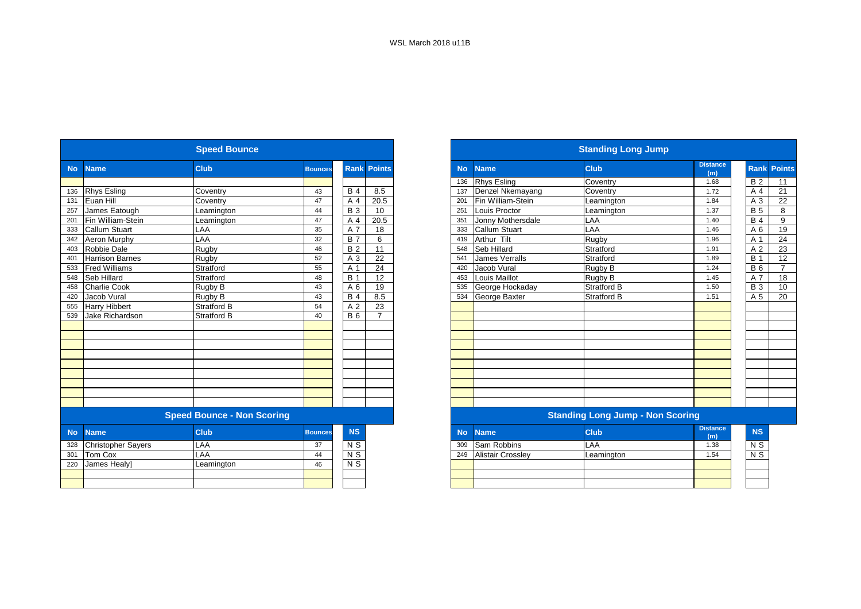|           |                           | <b>Speed Bounce</b>               |                |                |                    |           |                          | <b>Standing Long Jump</b>               |                        |
|-----------|---------------------------|-----------------------------------|----------------|----------------|--------------------|-----------|--------------------------|-----------------------------------------|------------------------|
| <b>No</b> | <b>Name</b>               | <b>Club</b>                       | <b>Bounces</b> |                | <b>Rank Points</b> | <b>No</b> | <b>Name</b>              | <b>Club</b>                             | <b>Distance</b><br>(m) |
|           |                           |                                   |                |                |                    | 136       | <b>Rhys Esling</b>       | Coventry                                | 1.68                   |
| 136       | <b>Rhys Esling</b>        | Coventry                          | 43             | <b>B4</b>      | 8.5                | 137       | Denzel Nkemayang         | Coventry                                | 1.72                   |
| 131       | Euan Hill                 | Coventry                          | 47             | A 4            | 20.5               | 201       | Fin William-Stein        | Leamington                              | 1.84                   |
| 257       | James Eatough             | Leamington                        | 44             | <b>B</b> 3     | 10                 | 251       | Louis Proctor            | Leamington                              | 1.37                   |
| 201       | Fin William-Stein         | Leamington                        | 47             | A <sub>4</sub> | 20.5               | 351       | Jonny Mothersdale        | LAA                                     | 1.40                   |
| 333       | <b>Callum Stuart</b>      | LAA                               | 35             | A 7            | 18                 | 333       | Callum Stuart            | LAA                                     | 1.46                   |
| 342       | <b>Aeron Murphy</b>       | LAA                               | 32             | <b>B</b> 7     | 6                  | 419       | Arthur Tilt              | Rugby                                   | 1.96                   |
| 403       | Robbie Dale               | Rugby                             | 46             | <b>B2</b>      | 11                 | 548       | Seb Hillard              | Stratford                               | 1.91                   |
| 401       | <b>Harrison Barnes</b>    | Rugby                             | 52             | A 3            | $\overline{22}$    | 541       | <b>James Verralls</b>    | Stratford                               | 1.89                   |
| 533       | <b>Fred Williams</b>      | Stratford                         | 55             | A 1            | 24                 | 420       | Jacob Vural              | Rugby B                                 | 1.24                   |
| 548       | Seb Hillard               | Stratford                         | 48             | <b>B</b> 1     | 12                 | 453       | Louis Maillot            | Rugby B                                 | 1.45                   |
| 458       | Charlie Cook              | Rugby B                           | 43             | A 6            | 19                 | 535       | George Hockaday          | <b>Stratford B</b>                      | 1.50                   |
| 420       | Jacob Vural               | Rugby B                           | 43             | <b>B4</b>      | 8.5                | 534       | George Baxter            | <b>Stratford B</b>                      | 1.51                   |
| 555       | <b>Harry Hibbert</b>      | Stratford B                       | 54             | A <sub>2</sub> | 23                 |           |                          |                                         |                        |
| 539       | Jake Richardson           | Stratford B                       | 40             | <b>B</b> 6     | $\overline{7}$     |           |                          |                                         |                        |
|           |                           |                                   |                |                |                    |           |                          |                                         |                        |
|           |                           |                                   |                |                |                    |           |                          |                                         |                        |
|           |                           |                                   |                |                |                    |           |                          |                                         |                        |
|           |                           |                                   |                |                |                    |           |                          |                                         |                        |
|           |                           |                                   |                |                |                    |           |                          |                                         |                        |
|           |                           |                                   |                |                |                    |           |                          |                                         |                        |
|           |                           |                                   |                |                |                    |           |                          |                                         |                        |
|           |                           |                                   |                |                |                    |           |                          |                                         |                        |
|           |                           |                                   |                |                |                    |           |                          |                                         |                        |
|           |                           | <b>Speed Bounce - Non Scoring</b> |                |                |                    |           |                          | <b>Standing Long Jump - Non Scoring</b> |                        |
| <b>No</b> | <b>Name</b>               | <b>Club</b>                       | <b>Bounces</b> | <b>NS</b>      |                    | <b>No</b> | <b>Name</b>              | <b>Club</b>                             | <b>Distance</b><br>(m) |
| 328       | <b>Christopher Sayers</b> | LAA                               | 37             | N <sub>S</sub> |                    | 309       | Sam Robbins              | LAA                                     | 1.38                   |
| 301       | <b>Tom Cox</b>            | LAA                               | 44             | N <sub>S</sub> |                    | 249       | <b>Alistair Crossley</b> | Leamington                              | 1.54                   |
| 220       | James Healy]              | Leamington                        | 46             | N S            |                    |           |                          |                                         |                        |
|           |                           |                                   |                |                |                    |           |                          |                                         |                        |
|           |                           |                                   |                |                |                    |           |                          |                                         |                        |
|           |                           |                                   |                |                |                    |           |                          |                                         |                        |

|           |                           | <b>Speed Bounce</b>               |                |                |                    |
|-----------|---------------------------|-----------------------------------|----------------|----------------|--------------------|
|           | <b>Name</b>               | <b>Club</b>                       | <b>Bounces</b> |                | <b>Rank Points</b> |
|           |                           |                                   |                |                |                    |
|           | <b>Rhys Esling</b>        | Coventry                          | 43             | <b>B</b> 4     | 8.5                |
|           | Euan Hill                 | Coventry                          | 47             | A <sub>4</sub> | 20.5               |
|           | James Eatough             | _eamington                        | 44             | <b>B</b> 3     | 10                 |
|           | Fin William-Stein         | Leamington                        | 47             | A 4            | 20.5               |
|           | <b>Callum Stuart</b>      | LAA                               | 35             | A 7            | 18                 |
|           | Aeron Murphy              | LAA                               | 32             | <b>B</b> 7     | 6                  |
|           | Robbie Dale               | Rugby                             | 46             | <b>B2</b>      | 11                 |
|           | <b>Harrison Barnes</b>    | Rugby                             | 52             | A 3            | 22                 |
|           | <b>Fred Williams</b>      | Stratford                         | 55             | A 1            | 24                 |
|           | Seb Hillard               | Stratford                         | 48             | <b>B</b> 1     | 12                 |
|           | <b>Charlie Cook</b>       | Rugby B                           | 43             | A 6            | 19                 |
| 420       | Jacob Vural               | Rugby B                           | 43             | <b>B</b> 4     | 8.5                |
| 555       | <b>Harry Hibbert</b>      | Stratford B                       | 54             | A <sub>2</sub> | $\overline{23}$    |
| 539       | Jake Richardson           | Stratford B                       | 40             | <b>B</b> 6     | $\overline{7}$     |
|           |                           |                                   |                |                |                    |
|           |                           |                                   |                |                |                    |
|           |                           |                                   |                |                |                    |
|           |                           |                                   |                |                |                    |
|           |                           |                                   |                |                |                    |
|           |                           |                                   |                |                |                    |
|           |                           |                                   |                |                |                    |
|           |                           |                                   |                |                |                    |
|           |                           |                                   |                |                |                    |
|           |                           | <b>Speed Bounce - Non Scoring</b> |                |                |                    |
| <b>No</b> | <b>Name</b>               | <b>Club</b>                       | <b>Bounces</b> | <b>NS</b>      |                    |
| 328       | <b>Christopher Sayers</b> | LAA                               | 37             | N S            |                    |
| 301       | <b>Tom Cox</b>            | LAA                               | 44             | N S            |                    |
|           |                           |                                   |                |                |                    |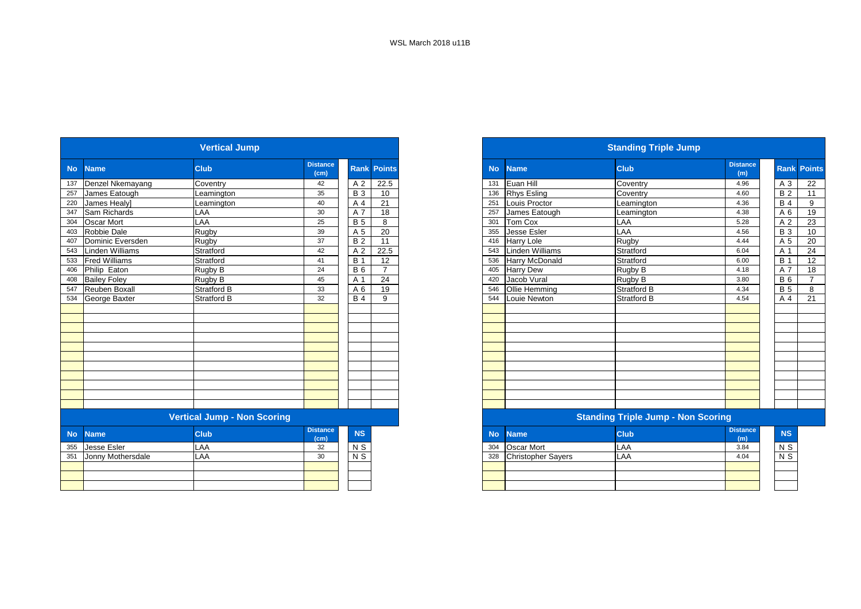|                      | <b>Vertical Jump</b>               |                         |             |                |
|----------------------|------------------------------------|-------------------------|-------------|----------------|
| <b>Name</b>          | <b>Club</b>                        | <b>Distance</b><br>(cm) | <b>Rank</b> | <b>Points</b>  |
| Denzel Nkemayang     | Coventry                           | 42                      | A 2         | 22.5           |
| James Eatough        | Leamington                         | 35                      | <b>B</b> 3  | 10             |
| James Healy]         | Leamington                         | 40                      | A 4         | 21             |
| Sam Richards         | LAA                                | 30                      | A 7         | 18             |
| <b>Oscar Mort</b>    | LAA                                | 25                      | <b>B</b> 5  | 8              |
| Robbie Dale          | Rugby                              | 39                      | A 5         | 20             |
| Dominic Eversden     | Rugby                              | 37                      | <b>B2</b>   | 11             |
| Linden Williams      | Stratford                          | 42                      | A 2         | 22.5           |
| <b>Fred Williams</b> | Stratford                          | 41                      | <b>B</b> 1  | 12             |
| Philip Eaton         | Rugby B                            | 24                      | <b>B</b> 6  | $\overline{7}$ |
| <b>Bailey Foley</b>  | Rugby B                            | 45                      | A 1         | 24             |
| <b>Reuben Boxall</b> | <b>Stratford B</b>                 | 33                      | A 6         | 19             |
| George Baxter        | <b>Stratford B</b>                 | 32                      | <b>B4</b>   | 9              |
|                      | <b>Vertical Jump - Non Scoring</b> |                         |             |                |
|                      |                                    |                         |             |                |
| <b>Name</b>          | <b>Club</b>                        | <b>Distance</b><br>(cm) | NS          |                |
| <b>Jesse Esler</b>   | LAA                                | 32                      | $N$ S       |                |
| Jonny Mothersdale    | LAA                                | 30                      | $N$ S       |                |
|                      |                                    |                         |             |                |

|     |                      | <b>Vertical Jump</b>               |                         |                |                    |           |                    | <b>Standing Triple Jump</b>               |                        |            |                    |
|-----|----------------------|------------------------------------|-------------------------|----------------|--------------------|-----------|--------------------|-------------------------------------------|------------------------|------------|--------------------|
|     | No Name              | <b>Club</b>                        | <b>Distance</b><br>(cm) |                | <b>Rank Points</b> | <b>No</b> | <b>Name</b>        | <b>Club</b>                               | <b>Distance</b><br>(m) |            | <b>Rank Points</b> |
|     | 137 Denzel Nkemayang | Coventry                           | 42                      | A 2            | 22.5               | 131       | Euan Hill          | Coventry                                  | 4.96                   | A 3        | 22                 |
|     | 257 James Eatough    | Leamington                         | 35                      | <b>B</b> 3     | 10                 | 136       | <b>Rhys Esling</b> | Coventry                                  | 4.60                   | <b>B2</b>  | 11                 |
|     | 220 James Healy]     | Leamington                         | 40                      | A 4            | 21                 | 251       | Louis Proctor      | Leamington                                | 4.36                   | <b>B</b> 4 | 9                  |
|     | 347 Sam Richards     | LAA                                | 30                      | A 7            | 18                 | 257       | James Eatough      | Leamington                                | 4.38                   | A 6        | 19                 |
| 304 | <b>Oscar Mort</b>    | LAA                                | 25                      | <b>B</b> 5     | 8                  | 301       | Tom Cox            | LAA                                       | 5.28                   | A 2        | 23                 |
| 403 | Robbie Dale          | Rugby                              | 39                      | A 5            | 20                 | 355       | Jesse Esler        | LAA                                       | 4.56                   | <b>B</b> 3 | 10                 |
| 407 | Dominic Eversden     | Rugby                              | 37                      | <b>B2</b>      | 11                 | 416       | <b>Harry Lole</b>  | Rugby                                     | 4.44                   | A 5        | 20                 |
|     | 543 Linden Williams  | Stratford                          | 42                      | A <sub>2</sub> | 22.5               | 543       | Linden Williams    | Stratford                                 | 6.04                   | A 1        | 24                 |
| 533 | <b>Fred Williams</b> | Stratford                          | 41                      | <b>B</b> 1     | 12                 | 536       | Harry McDonald     | Stratford                                 | 6.00                   | <b>B</b> 1 | 12                 |
| 406 | Philip Eaton         | Rugby B                            | 24                      | <b>B</b> 6     | $\overline{7}$     | 405       | <b>Harry Dew</b>   | Rugby B                                   | 4.18                   | A 7        | 18                 |
| 408 | <b>Bailey Foley</b>  | Rugby B                            | 45                      | A 1            | 24                 | 420       | Jacob Vural        | Rugby B                                   | 3.80                   | <b>B6</b>  | $\overline{ }$     |
|     | 547 Reuben Boxall    | Stratford B                        | 33                      | A 6            | 19                 | 546       | Ollie Hemming      | <b>Stratford B</b>                        | 4.34                   | <b>B</b> 5 | 8                  |
| 534 | George Baxter        | <b>Stratford B</b>                 | 32                      | <b>B</b> 4     | 9                  | 544       | Louie Newton       | <b>Stratford B</b>                        | 4.54                   | A 4        | 21                 |
|     |                      |                                    |                         |                |                    |           |                    |                                           |                        |            |                    |
|     |                      |                                    |                         |                |                    |           |                    |                                           |                        |            |                    |
|     |                      |                                    |                         |                |                    |           |                    |                                           |                        |            |                    |
|     |                      |                                    |                         |                |                    |           |                    |                                           |                        |            |                    |
|     |                      |                                    |                         |                |                    |           |                    |                                           |                        |            |                    |
|     |                      |                                    |                         |                |                    |           |                    |                                           |                        |            |                    |
|     |                      |                                    |                         |                |                    |           |                    |                                           |                        |            |                    |
|     |                      |                                    |                         |                |                    |           |                    |                                           |                        |            |                    |
|     |                      |                                    |                         |                |                    |           |                    |                                           |                        |            |                    |
|     |                      |                                    |                         |                |                    |           |                    |                                           |                        |            |                    |
|     |                      | <b>Vertical Jump - Non Scoring</b> |                         |                |                    |           |                    | <b>Standing Triple Jump - Non Scoring</b> |                        |            |                    |

|  | <b>NS</b> | <b>No</b> | <b>Name</b>               | <b>Club</b> | <b>Distance</b><br>(m) | <b>NS</b> |
|--|-----------|-----------|---------------------------|-------------|------------------------|-----------|
|  | N S       | 304       | Oscar Mort                | LAA         | 3.84                   | N S       |
|  | N S       | 328       | <b>Christopher Sayers</b> | LAA         | 4.04                   | N S       |
|  |           |           |                           |             |                        |           |
|  |           |           |                           |             |                        |           |
|  |           |           |                           |             |                        |           |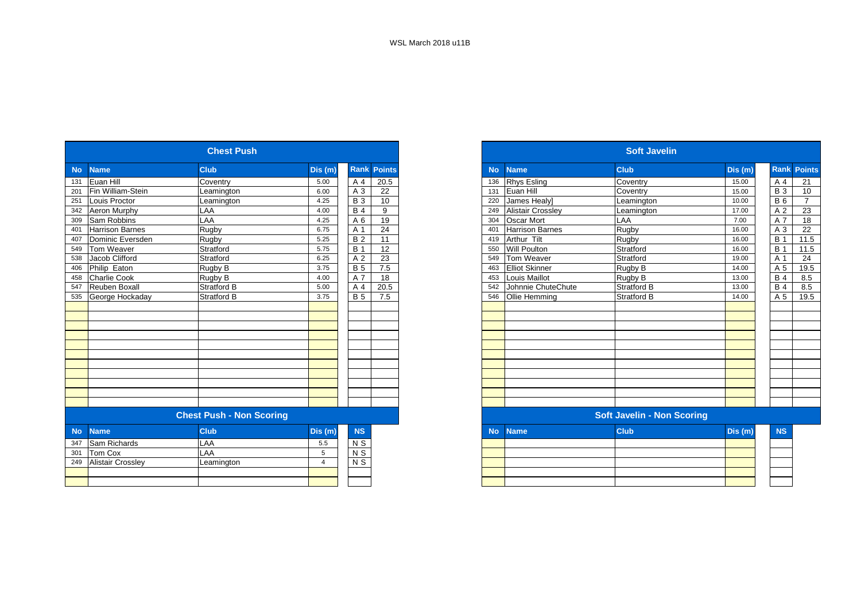|           |                          | <b>Chest Push</b>               |                |                 |                    |
|-----------|--------------------------|---------------------------------|----------------|-----------------|--------------------|
| <b>No</b> | <b>Name</b>              | <b>Club</b>                     | Dis(m)         |                 | <b>Rank Points</b> |
| 131       | Euan Hill                | Coventry                        | 5.00           | A 4             | 20.5               |
| 201       | Fin William-Stein        | Leamington                      | 6.00           | A 3             | 22                 |
| 251       | Louis Proctor            | Leamington                      | 4.25           | <b>B3</b>       | 10                 |
| 342       | Aeron Murphy             | LAA                             | 4.00           | <b>B</b> 4      | 9                  |
| 309       | Sam Robbins              | LAA                             | 4.25           | A 6             | 19                 |
| 401       | <b>Harrison Barnes</b>   | <b>Rugby</b>                    | 6.75           | A 1             | 24                 |
| 407       | Dominic Eversden         | Rugby                           | 5.25           | <b>B2</b>       | 11                 |
| 549       | Tom Weaver               | Stratford                       | 5.75           | <b>B</b> 1      | 12                 |
| 538       | Jacob Clifford           | Stratford                       | 6.25           | A 2             | 23                 |
| 406       | Philip Eaton             | Rugby B                         | 3.75           | <b>B</b> 5      | 7.5                |
| 458       | <b>Charlie Cook</b>      | Rugby B                         | 4.00           | A 7             | 18                 |
| 547       | Reuben Boxall            | Stratford B                     | 5.00           | A 4             | 20.5               |
| 535       | George Hockaday          | <b>Stratford B</b>              | 3.75           | <b>B</b> 5      | 7.5                |
|           |                          |                                 |                |                 |                    |
|           |                          |                                 |                |                 |                    |
|           |                          |                                 |                |                 |                    |
|           |                          |                                 |                |                 |                    |
|           |                          |                                 |                |                 |                    |
|           |                          |                                 |                |                 |                    |
|           |                          |                                 |                |                 |                    |
|           |                          |                                 |                |                 |                    |
|           |                          |                                 |                |                 |                    |
|           |                          |                                 |                |                 |                    |
|           |                          |                                 |                |                 |                    |
|           |                          | <b>Chest Push - Non Scoring</b> |                |                 |                    |
| <b>No</b> | <b>Name</b>              | <b>Club</b>                     | Dis (m)        | <b>NS</b>       |                    |
| 347       | Sam Richards             | LAA                             | 5.5            | $N$ S           |                    |
| 301       | Tom Cox                  | LAA                             | 5              | $N$ S           |                    |
| 249       | <b>Alistair Crossley</b> | Leamington                      | $\overline{4}$ | $\overline{NS}$ |                    |
|           |                          |                                 |                |                 |                    |
|           |                          |                                 |                |                 |                    |

|           |                          | <b>Chest Push</b>               |                |                |                    |
|-----------|--------------------------|---------------------------------|----------------|----------------|--------------------|
| <b>No</b> | <b>Name</b>              | <b>Club</b>                     | Dis(m)         |                | <b>Rank Points</b> |
| 131       | Euan Hill                | Coventry                        | 5.00           | A 4            | 20.5               |
| 201       | Fin William-Stein        | Leamington                      | 6.00           | A 3            | 22                 |
| 251       | Louis Proctor            | Leamington                      | 4.25           | <b>B</b> 3     | 10                 |
| 342       | Aeron Murphy             | LAA                             | 4.00           | <b>B</b> 4     | 9                  |
| 309       | Sam Robbins              | LAA                             | 4.25           | A 6            | 19                 |
| 401       | <b>Harrison Barnes</b>   | Rugby                           | 6.75           | A 1            | 24                 |
| 407       | Dominic Eversden         | Rugby                           | 5.25           | <b>B2</b>      | 11                 |
| 549       | Tom Weaver               | Stratford                       | 5.75           | <b>B</b> 1     | 12                 |
| 538       | Jacob Clifford           | Stratford                       | 6.25           | A 2            | 23                 |
| 406       | Philip Eaton             | Rugby B                         | 3.75           | <b>B</b> 5     | 7.5                |
| 458       | <b>Charlie Cook</b>      | Rugby B                         | 4.00           | A 7            | 18                 |
| 547       | Reuben Boxall            | <b>Stratford B</b>              | 5.00           | A 4            | 20.5               |
| 535       | George Hockaday          | <b>Stratford B</b>              | 3.75           | <b>B</b> 5     | 7.5                |
|           |                          |                                 |                |                |                    |
|           |                          |                                 |                |                |                    |
|           |                          |                                 |                |                |                    |
|           |                          |                                 |                |                |                    |
|           |                          |                                 |                |                |                    |
|           |                          |                                 |                |                |                    |
|           |                          |                                 |                |                |                    |
|           |                          |                                 |                |                |                    |
|           |                          |                                 |                |                |                    |
|           |                          |                                 |                |                |                    |
|           |                          |                                 |                |                |                    |
|           |                          | <b>Chest Push - Non Scoring</b> |                |                |                    |
| <b>No</b> | <b>Name</b>              | <b>Club</b>                     | Dis(m)         | <b>NS</b>      |                    |
| 347       | Sam Richards             | LAA                             | 5.5            | N S            |                    |
| 301       | Tom Cox                  | LAA                             | 5              | $\overline{N}$ |                    |
| 249       | <b>Alistair Crossley</b> | Leamington                      | $\overline{4}$ | N S            |                    |
|           |                          |                                 |                |                |                    |
|           |                          |                                 |                |                |                    |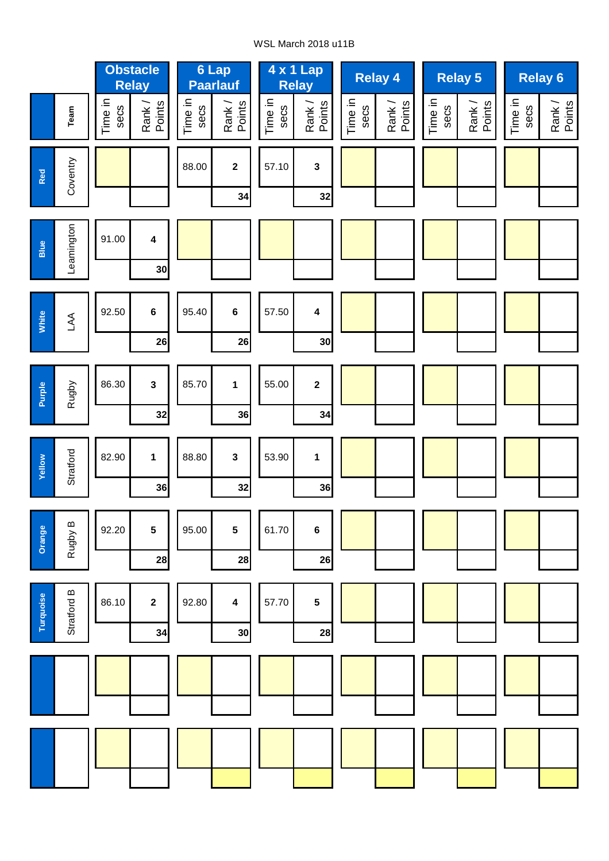#### WSL March 2018 u11B

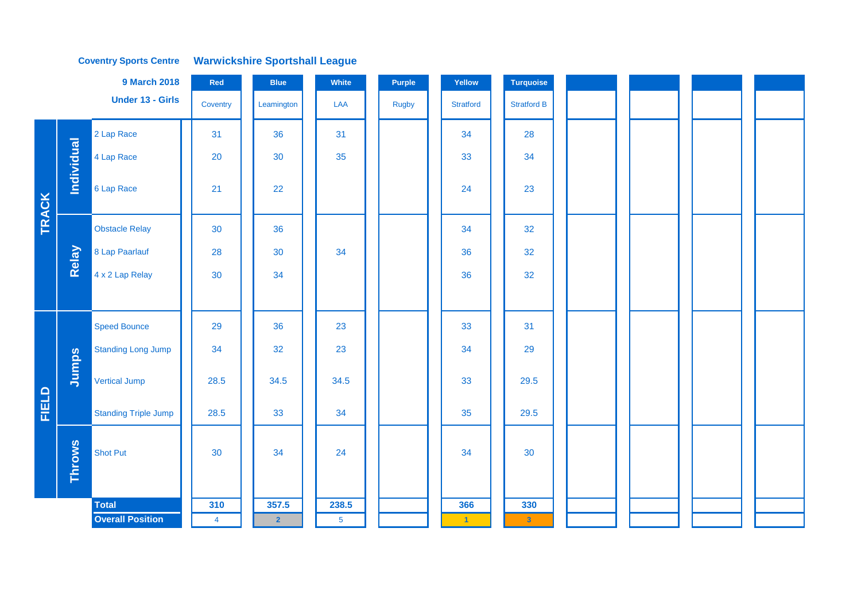#### **Coventry Sports Centre Warwickshire Sportshall League**

|              |               | <b>9 March 2018</b>         | Red            | <b>Blue</b>    | White          | Purple       | Yellow           | <b>Turquoise</b>   |  |  |
|--------------|---------------|-----------------------------|----------------|----------------|----------------|--------------|------------------|--------------------|--|--|
|              |               | Under 13 - Girls            | Coventry       | Leamington     | LAA            | <b>Rugby</b> | <b>Stratford</b> | <b>Stratford B</b> |  |  |
|              |               | 2 Lap Race                  | 31             | 36             | 31             |              | 34               | 28                 |  |  |
|              | Individual    | 4 Lap Race                  | 20             | 30             | 35             |              | 33               | 34                 |  |  |
| <b>TRACK</b> |               | 6 Lap Race                  | 21             | 22             |                |              | 24               | 23                 |  |  |
|              |               | <b>Obstacle Relay</b>       | 30             | 36             |                |              | 34               | 32                 |  |  |
|              | Relay         | 8 Lap Paarlauf              | 28             | 30             | 34             |              | 36               | 32                 |  |  |
|              |               | 4 x 2 Lap Relay             | 30             | 34             |                |              | 36               | 32                 |  |  |
|              |               |                             |                |                |                |              |                  |                    |  |  |
|              |               | <b>Speed Bounce</b>         | 29             | 36             | 23             |              | 33               | 31                 |  |  |
|              |               | Standing Long Jump          | 34             | 32             | 23             |              | 34               | 29                 |  |  |
|              | Jumps         | Vertical Jump               | 28.5           | 34.5           | 34.5           |              | 33               | 29.5               |  |  |
| <b>FIELD</b> |               | <b>Standing Triple Jump</b> | 28.5           | 33             | 34             |              | 35               | 29.5               |  |  |
|              | <b>Throws</b> | Shot Put                    | 30             | 34             | 24             |              | 34               | 30                 |  |  |
|              |               | <b>Total</b>                | 310            | 357.5          | 238.5          |              | 366              | 330                |  |  |
|              |               | <b>Overall Position</b>     | $\overline{4}$ | $\overline{2}$ | 5 <sub>5</sub> |              | $\vert 1 \vert$  | $\vert 3 \vert$    |  |  |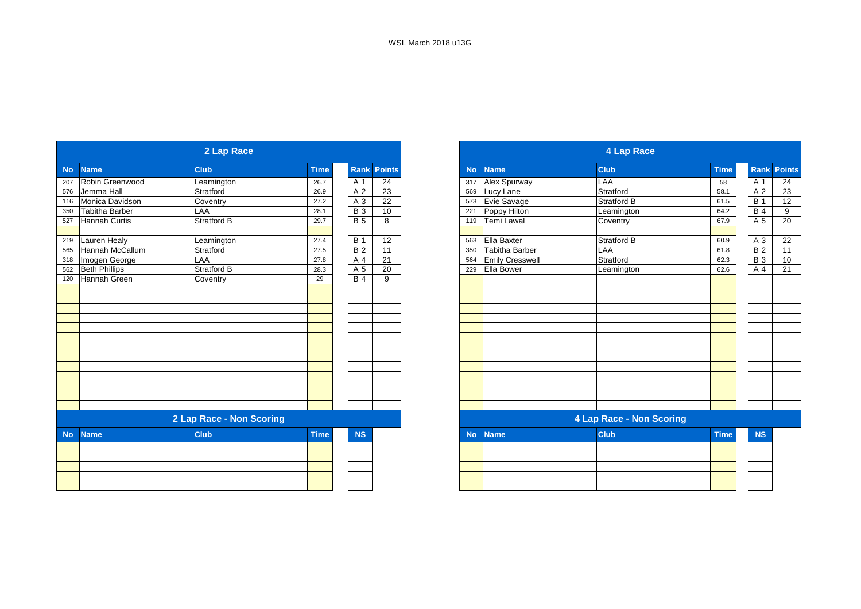|           |                       | 2 Lap Race               |             |                 |                    |
|-----------|-----------------------|--------------------------|-------------|-----------------|--------------------|
| <b>No</b> | <b>Name</b>           | <b>Club</b>              | <b>Time</b> |                 | <b>Rank Points</b> |
|           | 207 Robin Greenwood   | Leamington               | 26.7        | A 1             | 24                 |
| 576       | Jemma Hall            | Stratford                | 26.9        | A 2             | 23                 |
| 116       | Monica Davidson       | Coventry                 | 27.2        | $\overline{A}3$ | 22                 |
| 350       | <b>Tabitha Barber</b> | LAA                      | 28.1        | $B_3$           | 10                 |
| 527       | <b>Hannah Curtis</b>  | <b>Stratford B</b>       | 29.7        | <b>B</b> 5      | 8                  |
|           |                       |                          |             |                 |                    |
| 219       | <b>Lauren Healy</b>   | Leamington               | 27.4        | <b>B</b> 1      | 12                 |
| 565       | Hannah McCallum       | Stratford                | 27.5        | B <sub>2</sub>  | 11                 |
| 318       | Imogen George         | LAA                      | 27.8        | A 4             | 21                 |
| 562       | <b>Beth Phillips</b>  | <b>Stratford B</b>       | 28.3        | A 5             | 20                 |
|           | 120 Hannah Green      | Coventry                 | 29          | <b>B</b> 4      | 9                  |
|           |                       |                          |             |                 |                    |
|           |                       |                          |             |                 |                    |
|           |                       |                          |             |                 |                    |
|           |                       |                          |             |                 |                    |
|           |                       |                          |             |                 |                    |
|           |                       |                          |             |                 |                    |
|           |                       |                          |             |                 |                    |
|           |                       |                          |             |                 |                    |
|           |                       |                          |             |                 |                    |
|           |                       |                          |             |                 |                    |
|           |                       |                          |             |                 |                    |
|           |                       |                          |             |                 |                    |
|           |                       |                          |             |                 |                    |
|           |                       | 2 Lap Race - Non Scoring |             |                 |                    |
| <b>No</b> | <b>Name</b>           | <b>Club</b>              | <b>Time</b> | <b>NS</b>       |                    |
|           |                       |                          |             |                 |                    |
|           |                       |                          |             |                 |                    |
|           |                       |                          |             |                 |                    |
|           |                       |                          |             |                 |                    |
|           |                       |                          |             |                 |                    |

|           |                       | 2 Lap Race               |             |             |               |
|-----------|-----------------------|--------------------------|-------------|-------------|---------------|
|           | <b>Name</b>           | <b>Club</b>              | <b>Time</b> | <b>Rank</b> | <b>Points</b> |
|           | Robin Greenwood       | Leamington               | 26.7        | A 1         | 24            |
|           | Jemma Hall            | Stratford                | 26.9        | A 2         | 23            |
|           | Monica Davidson       | Coventry                 | 27.2        | A 3         | 22            |
|           | <b>Tabitha Barber</b> | LAA                      | 28.1        | <b>B</b> 3  | 10            |
| 527       | <b>Hannah Curtis</b>  | <b>Stratford B</b>       | 29.7        | <b>B</b> 5  | 8             |
|           | 219 Lauren Healy      | Leamington               | 27.4        | <b>B</b> 1  | 12            |
| 565       | Hannah McCallum       | Stratford                | 27.5        | <b>B2</b>   | 11            |
| 318       | Imogen George         | LAA                      | 27.8        | A 4         | 21            |
| 562       | <b>Beth Phillips</b>  | Stratford B              | 28.3        | A 5         | 20            |
| 120       | Hannah Green          | Coventry                 | 29          | <b>B</b> 4  | 9             |
|           |                       |                          |             |             |               |
|           |                       |                          |             |             |               |
|           |                       |                          |             |             |               |
|           |                       |                          |             |             |               |
|           |                       |                          |             |             |               |
|           |                       |                          |             |             |               |
|           |                       |                          |             |             |               |
|           |                       |                          |             |             |               |
|           |                       |                          |             |             |               |
|           |                       |                          |             |             |               |
|           |                       |                          |             |             |               |
|           |                       | 2 Lap Race - Non Scoring |             |             |               |
| <b>No</b> | <b>Name</b>           | <b>Club</b>              | <b>Time</b> | <b>NS</b>   |               |
|           |                       |                          |             |             |               |
|           |                       |                          |             |             |               |
|           |                       |                          |             |             |               |
|           |                       |                          |             |             |               |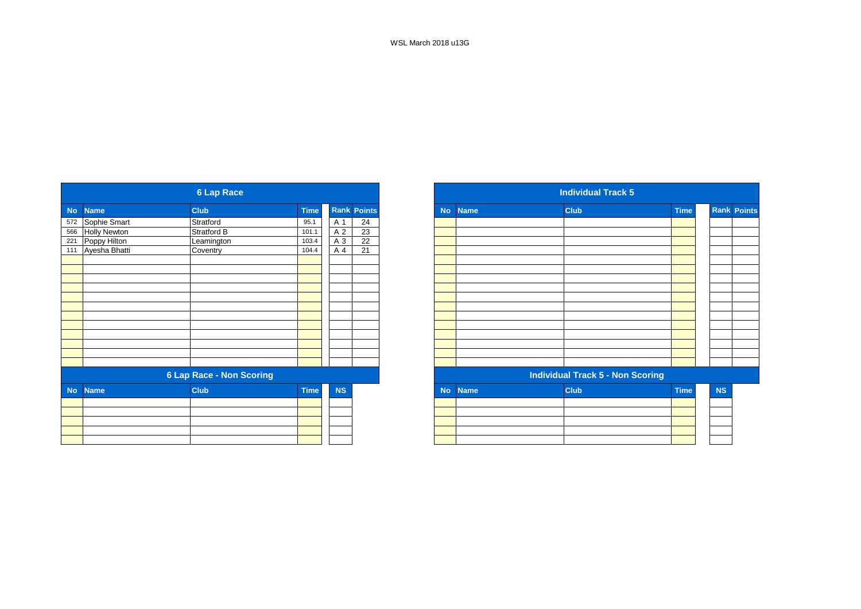|                          |                  | <b>6 Lap Race</b>               |             |           |                    |
|--------------------------|------------------|---------------------------------|-------------|-----------|--------------------|
| <b>Name</b>              |                  | <b>Club</b>                     | <b>Time</b> |           | <b>Rank Points</b> |
|                          | 572 Sophie Smart | Stratford                       | 95.1        | A 1       | 24                 |
| <b>Holly Newton</b>      |                  | Stratford B                     | 101.1       | A 2       | $\overline{23}$    |
| Poppy Hilton             |                  | Leamington                      | 103.4       | A 3       | $\overline{22}$    |
| Ayesha Bhatti            |                  | Coventry                        | 104.4       | A 4       | 21                 |
|                          |                  |                                 |             |           |                    |
|                          |                  |                                 |             |           |                    |
|                          |                  |                                 |             |           |                    |
|                          |                  |                                 |             |           |                    |
|                          |                  |                                 |             |           |                    |
|                          |                  |                                 |             |           |                    |
|                          |                  |                                 |             |           |                    |
|                          |                  |                                 |             |           |                    |
|                          |                  |                                 |             |           |                    |
|                          |                  |                                 |             |           |                    |
|                          |                  |                                 |             |           |                    |
|                          |                  |                                 |             |           |                    |
|                          |                  | <b>6 Lap Race - Non Scoring</b> |             |           |                    |
| <b>Name</b><br><b>No</b> |                  | <b>Club</b>                     | <b>Time</b> | <b>NS</b> |                    |
|                          |                  |                                 |             |           |                    |
|                          |                  |                                 |             |           |                    |
|                          |                  |                                 |             |           |                    |
|                          |                  |                                 |             |           |                    |
|                          |                  |                                 |             |           |                    |

|            |                     | <b>6 Lap Race</b>               |             |           |                    |
|------------|---------------------|---------------------------------|-------------|-----------|--------------------|
| No         | <b>Name</b>         | <b>Club</b>                     | <b>Time</b> |           | <b>Rank Points</b> |
| 572        | Sophie Smart        | Stratford                       | 95.1        | A 1       | 24                 |
| 566        | <b>Holly Newton</b> | Stratford B                     | 101.1       | A 2       | 23                 |
| 221<br>111 | Poppy Hilton        | Leamington                      | 103.4       | A 3       | 22                 |
|            | Ayesha Bhatti       | Coventry                        | 104.4       | A 4       | 21                 |
|            |                     |                                 |             |           |                    |
|            |                     |                                 |             |           |                    |
|            |                     |                                 |             |           |                    |
|            |                     |                                 |             |           |                    |
|            |                     |                                 |             |           |                    |
|            |                     |                                 |             |           |                    |
|            |                     |                                 |             |           |                    |
|            |                     |                                 |             |           |                    |
|            |                     |                                 |             |           |                    |
|            |                     |                                 |             |           |                    |
|            |                     |                                 |             |           |                    |
|            |                     | <b>6 Lap Race - Non Scoring</b> |             |           |                    |
| <b>No</b>  | <b>Name</b>         | <b>Club</b>                     | <b>Time</b> | <b>NS</b> |                    |
|            |                     |                                 |             |           |                    |
|            |                     |                                 |             |           |                    |
|            |                     |                                 |             |           |                    |
|            |                     |                                 |             |           |                    |
|            |                     |                                 |             |           |                    |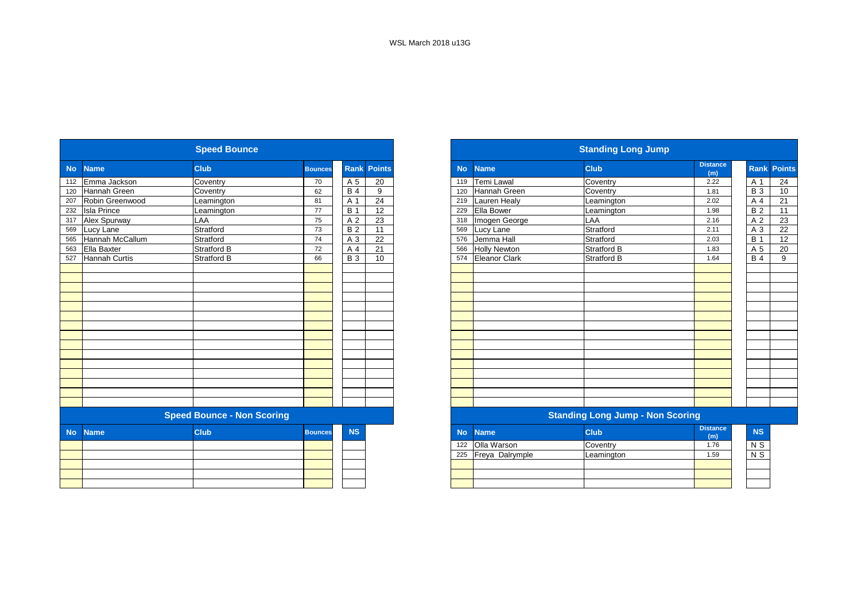|           |                      | <b>Speed Bounce</b>               |                |                  |                    |           |                      | <b>Standing Long Jump</b>               |                        |
|-----------|----------------------|-----------------------------------|----------------|------------------|--------------------|-----------|----------------------|-----------------------------------------|------------------------|
| <b>No</b> | <b>Name</b>          | <b>Club</b>                       | <b>Bounces</b> |                  | <b>Rank Points</b> | <b>No</b> | <b>Name</b>          | <b>Club</b>                             | <b>Distance</b><br>(m) |
| 112       | Emma Jackson         | Coventry                          | 70             | A 5              | 20                 | 119       | Temi Lawal           | Coventry                                | 2.22                   |
| 120       | Hannah Green         | Coventry                          | 62             | <b>B4</b>        | 9                  | 120       | Hannah Green         | Coventry                                | 1.81                   |
| 207       | Robin Greenwood      | Leamington                        | 81             | A 1              | 24                 | 219       | <b>Lauren Healy</b>  | Leamington                              | 2.02                   |
| 232       | <b>Isla Prince</b>   | Leamington                        | 77             | $\overline{B}$ 1 | 12                 | 229       | Ella Bower           | Leamington                              | 1.98                   |
| 317       | Alex Spurway         | LAA                               | 75             | A 2              | 23                 | 318       | Imogen George        | LAA                                     | 2.16                   |
| 569       | Lucy Lane            | Stratford                         | 73             | <b>B2</b>        | 11                 | 569       | Lucy Lane            | Stratford                               | 2.11                   |
| 565       | Hannah McCallum      | Stratford                         | 74             | A 3              | 22                 | 576       | Jemma Hall           | Stratford                               | 2.03                   |
| 563       | Ella Baxter          | <b>Stratford B</b>                | 72             | A 4              | $\overline{21}$    | 566       | <b>Holly Newton</b>  | <b>Stratford B</b>                      | 1.83                   |
| 527       | <b>Hannah Curtis</b> | <b>Stratford B</b>                | 66             | <b>B</b> 3       | 10                 | 574       | <b>Eleanor Clark</b> | Stratford B                             | 1.64                   |
|           |                      |                                   |                |                  |                    |           |                      |                                         |                        |
|           |                      |                                   |                |                  |                    |           |                      |                                         |                        |
|           |                      |                                   |                |                  |                    |           |                      |                                         |                        |
|           |                      |                                   |                |                  |                    |           |                      |                                         |                        |
|           |                      |                                   |                |                  |                    |           |                      |                                         |                        |
|           |                      |                                   |                |                  |                    |           |                      |                                         |                        |
|           |                      |                                   |                |                  |                    |           |                      |                                         |                        |
|           |                      |                                   |                |                  |                    |           |                      |                                         |                        |
|           |                      |                                   |                |                  |                    |           |                      |                                         |                        |
|           |                      |                                   |                |                  |                    |           |                      |                                         |                        |
|           |                      |                                   |                |                  |                    |           |                      |                                         |                        |
|           |                      |                                   |                |                  |                    |           |                      |                                         |                        |
|           |                      |                                   |                |                  |                    |           |                      |                                         |                        |
|           |                      |                                   |                |                  |                    |           |                      |                                         |                        |
|           |                      |                                   |                |                  |                    |           |                      |                                         |                        |
|           |                      | <b>Speed Bounce - Non Scoring</b> |                |                  |                    |           |                      | <b>Standing Long Jump - Non Scoring</b> |                        |
| <b>No</b> | <b>Name</b>          | <b>Club</b>                       | <b>Bounces</b> | <b>NS</b>        |                    | <b>No</b> | <b>Name</b>          | <b>Club</b>                             | <b>Distance</b><br>(m) |
|           |                      |                                   |                |                  |                    | 122       | Olla Warson          | Coventry                                | 1.76                   |
|           |                      |                                   |                |                  |                    | 225       | Freya Dalrymple      | Leamington                              | 1.59                   |
|           |                      |                                   |                |                  |                    |           |                      |                                         |                        |
|           |                      |                                   |                |                  |                    |           |                      |                                         |                        |
|           |                      |                                   |                |                  |                    |           |                      |                                         |                        |
|           |                      |                                   |                |                  |                    |           |                      |                                         |                        |

|           |                    | <b>Speed Bounce</b>               |                |             |                 |           |                      | <b>Standing Long Jump</b>               |                        |                |                    |
|-----------|--------------------|-----------------------------------|----------------|-------------|-----------------|-----------|----------------------|-----------------------------------------|------------------------|----------------|--------------------|
| <b>No</b> | <b>Name</b>        | <b>Club</b>                       | <b>Bounces</b> | <b>Rank</b> | <b>Points</b>   | <b>No</b> | <b>Name</b>          | <b>Club</b>                             | <b>Distance</b><br>(m) |                | <b>Rank Points</b> |
| 112       | Emma Jackson       | Coventry                          | 70             | A 5         | 20              | 119       | Temi Lawal           | Coventry                                | 2.22                   | A 1            | 24                 |
| 120       | Hannah Green       | Coventry                          | 62             | <b>B</b> 4  | 9               | 120       | <b>Hannah Green</b>  | Coventry                                | 1.81                   | <b>B</b> 3     | 10                 |
| 207       | Robin Greenwood    | Leamington                        | 81             | A 1         | 24              | 219       | Lauren Healy         | Leamington                              | 2.02                   | A 4            | 21                 |
| 232       | <b>Isla Prince</b> | Leamington                        | 77             | <b>B</b> 1  | $\overline{12}$ | 229       | Ella Bower           | Leamington                              | 1.98                   | <b>B2</b>      | 11                 |
| 317       | Alex Spurway       | LAA                               | 75             | A 2         | 23              | 318       | Imogen George        | LAA                                     | 2.16                   | A 2            | 23                 |
| 569       | Lucy Lane          | Stratford                         | 73             | <b>B2</b>   | $\overline{11}$ | 569       | Lucy Lane            | Stratford                               | 2.11                   | A <sub>3</sub> | 22                 |
| 565       | Hannah McCallum    | Stratford                         | 74             | A 3         | 22              | 576       | Jemma Hall           | Stratford                               | 2.03                   | <b>B</b> 1     | 12                 |
| 563       | Ella Baxter        | <b>Stratford B</b>                | 72             | A 4         | 21              | 566       | <b>Holly Newton</b>  | Stratford B                             | 1.83                   | A 5            | 20                 |
| 527       | Hannah Curtis      | <b>Stratford B</b>                | 66             | <b>B</b> 3  | 10              | 574       | <b>Eleanor Clark</b> | <b>Stratford B</b>                      | 1.64                   | <b>B4</b>      | 9                  |
|           |                    |                                   |                |             |                 |           |                      |                                         |                        |                |                    |
|           |                    |                                   |                |             |                 |           |                      |                                         |                        |                |                    |
|           |                    |                                   |                |             |                 |           |                      |                                         |                        |                |                    |
|           |                    |                                   |                |             |                 |           |                      |                                         |                        |                |                    |
|           |                    |                                   |                |             |                 |           |                      |                                         |                        |                |                    |
|           |                    |                                   |                |             |                 |           |                      |                                         |                        |                |                    |
|           |                    |                                   |                |             |                 |           |                      |                                         |                        |                |                    |
|           |                    |                                   |                |             |                 |           |                      |                                         |                        |                |                    |
|           |                    |                                   |                |             |                 |           |                      |                                         |                        |                |                    |
|           |                    |                                   |                |             |                 |           |                      |                                         |                        |                |                    |
|           |                    |                                   |                |             |                 |           |                      |                                         |                        |                |                    |
|           |                    |                                   |                |             |                 |           |                      |                                         |                        |                |                    |
|           |                    |                                   |                |             |                 |           |                      |                                         |                        |                |                    |
|           |                    |                                   |                |             |                 |           |                      |                                         |                        |                |                    |
|           |                    | <b>Speed Bounce - Non Scoring</b> |                |             |                 |           |                      | <b>Standing Long Jump - Non Scoring</b> |                        |                |                    |
| <b>No</b> | <b>Name</b>        | <b>Club</b>                       | <b>Bounces</b> | <b>NS</b>   |                 | <b>No</b> | <b>Name</b>          | <b>Club</b>                             | <b>Distance</b><br>(m) | <b>NS</b>      |                    |
|           |                    |                                   |                |             |                 | 122       | Olla Warson          | Coventry                                | 1.76                   | N S            |                    |
|           |                    |                                   |                |             |                 | 225       | Freya Dalrymple      | Leamington                              | 1.59                   | $N$ S          |                    |
|           |                    |                                   |                |             |                 |           |                      |                                         |                        |                |                    |
|           |                    |                                   |                |             |                 |           |                      |                                         |                        |                |                    |
|           |                    |                                   |                |             |                 |           |                      |                                         |                        |                |                    |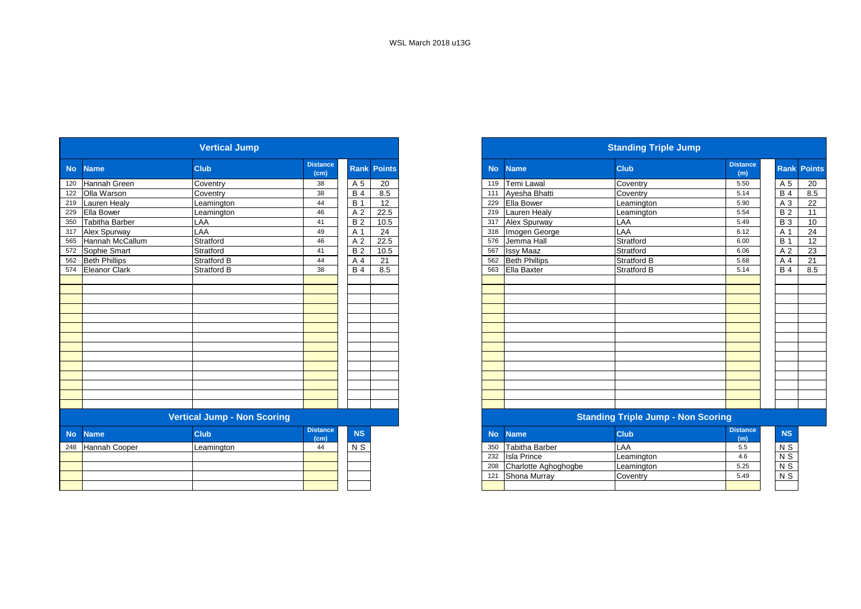|           |                       | <b>Vertical Jump</b>               |                         |            |               |
|-----------|-----------------------|------------------------------------|-------------------------|------------|---------------|
| <b>No</b> | <b>Name</b>           | <b>Club</b>                        | <b>Distance</b><br>(cm) | Rank       | <b>Points</b> |
| 120       | <b>Hannah Green</b>   | Coventry                           | 38                      | A 5        | 20            |
| 122       | Olla Warson           | Coventry                           | 38                      | <b>B</b> 4 | 8.5           |
| 219       | <b>Lauren Healy</b>   | Leamington                         | 44                      | <b>B</b> 1 | 12            |
| 229       | Ella Bower            | Leamington                         | 46                      | A 2        | 22.5          |
| 350       | <b>Tabitha Barber</b> | LAA                                | 41                      | <b>B2</b>  | 10.5          |
| 317       | Alex Spurway          | LAA                                | 49                      | A 1        | 24            |
| 565       | Hannah McCallum       | Stratford                          | 46                      | A 2        | 22.5          |
| 572       | Sophie Smart          | Stratford                          | 41                      | <b>B</b> 2 | 10.5          |
| 562       | <b>Beth Phillips</b>  | <b>Stratford B</b>                 | 44                      | A 4        | 21            |
| 574       | <b>Eleanor Clark</b>  | <b>Stratford B</b>                 | 38                      | <b>B</b> 4 | 8.5           |
|           |                       |                                    |                         |            |               |
|           |                       |                                    |                         |            |               |
|           |                       |                                    |                         |            |               |
|           |                       |                                    |                         |            |               |
|           |                       |                                    |                         |            |               |
|           |                       |                                    |                         |            |               |
|           |                       |                                    |                         |            |               |
|           |                       |                                    |                         |            |               |
|           |                       |                                    |                         |            |               |
|           |                       |                                    |                         |            |               |
|           |                       |                                    |                         |            |               |
|           |                       |                                    |                         |            |               |
|           |                       |                                    |                         |            |               |
|           |                       |                                    |                         |            |               |
|           |                       | <b>Vertical Jump - Non Scoring</b> |                         |            |               |
| <b>No</b> | <b>Name</b>           | <b>Club</b>                        | <b>Distance</b><br>(cm) | <b>NS</b>  |               |
| 248       | Hannah Cooper         | Leamington                         | 44                      | $N$ S      |               |
|           |                       |                                    |                         |            |               |
|           |                       |                                    |                         |            |               |
|           |                       |                                    |                         |            |               |
|           |                       |                                    |                         |            |               |

|     |                     | <b>Vertical Jump</b>        |                         |                |                    |           |                      | <b>Standing Triple Jump</b>               |                        |                    |     |
|-----|---------------------|-----------------------------|-------------------------|----------------|--------------------|-----------|----------------------|-------------------------------------------|------------------------|--------------------|-----|
|     | No Name             | <b>Club</b>                 | <b>Distance</b><br>(cm) |                | <b>Rank Points</b> | <b>No</b> | <b>Name</b>          | <b>Club</b>                               | <b>Distance</b><br>(m) | <b>Rank Points</b> |     |
|     | 120 Hannah Green    | Coventry                    | 38                      | A 5            | 20                 | 119       | Temi Lawal           | Coventry                                  | 5.50                   | A 5                | 20  |
|     | 122 Olla Warson     | Coventry                    | 38                      | <b>B</b> 4     | 8.5                | 111       | Ayesha Bhatti        | Coventry                                  | 5.14                   | <b>B</b> 4         | 8.5 |
|     | 219 Lauren Healy    | Leamington                  | 44                      | <b>B</b> 1     | 12                 | 229       | <b>Ella Bower</b>    | Leamington                                | 5.90                   | A 3                | 22  |
|     | 229 Ella Bower      | Leamington                  | 46                      | A <sub>2</sub> | 22.5               | 219       | Lauren Healy         | Leamington                                | 5.54                   | <b>B2</b>          | 11  |
| 350 | Tabitha Barber      | LAA                         | 41                      | <b>B2</b>      | 10.5               | 317       | Alex Spurway         | LAA                                       | 5.49                   | <b>B</b> 3         | 10  |
|     | 317 Alex Spurway    | LAA                         | 49                      | A 1            | 24                 | 318       | Imogen George        | LAA                                       | 6.12                   | A 1                | 24  |
|     | 565 Hannah McCallum | Stratford                   | 46                      | A <sub>2</sub> | 22.5               | 576       | Jemma Hall           | Stratford                                 | 6.00                   | <b>B</b> 1         | 12  |
|     | 572 Sophie Smart    | Stratford                   | 41                      | <b>B2</b>      | 10.5               | 567       | <b>Issy Maaz</b>     | Stratford                                 | 6.06                   | A 2                | 23  |
|     | 562 Beth Phillips   | Stratford B                 | 44                      | A 4            | 21                 | 562       | <b>Beth Phillips</b> | Stratford B                               | 5.68                   | A 4                | 21  |
|     | 574 Eleanor Clark   | <b>Stratford B</b>          | 38                      | <b>B</b> 4     | 8.5                | 563       | Ella Baxter          | <b>Stratford B</b>                        | 5.14                   | <b>B4</b>          | 8.5 |
|     |                     |                             |                         |                |                    |           |                      |                                           |                        |                    |     |
|     |                     |                             |                         |                |                    |           |                      |                                           |                        |                    |     |
|     |                     |                             |                         |                |                    |           |                      |                                           |                        |                    |     |
|     |                     |                             |                         |                |                    |           |                      |                                           |                        |                    |     |
|     |                     |                             |                         |                |                    |           |                      |                                           |                        |                    |     |
|     |                     |                             |                         |                |                    |           |                      |                                           |                        |                    |     |
|     |                     |                             |                         |                |                    |           |                      |                                           |                        |                    |     |
|     |                     |                             |                         |                |                    |           |                      |                                           |                        |                    |     |
|     |                     |                             |                         |                |                    |           |                      |                                           |                        |                    |     |
|     |                     |                             |                         |                |                    |           |                      |                                           |                        |                    |     |
|     |                     |                             |                         |                |                    |           |                      |                                           |                        |                    |     |
|     |                     |                             |                         |                |                    |           |                      |                                           |                        |                    |     |
|     |                     |                             |                         |                |                    |           |                      |                                           |                        |                    |     |
|     |                     |                             |                         |                |                    |           |                      |                                           |                        |                    |     |
|     |                     | Vertical Jumn - Non Scoring |                         |                |                    |           |                      | <b>Standing Triple Jump - Non Scoring</b> |                        |                    |     |

|           |     |                       | . .         |                        |                |
|-----------|-----|-----------------------|-------------|------------------------|----------------|
| <b>NS</b> | No  | <b>Name</b>           | <b>Club</b> | <b>Distance</b><br>(m) | <b>NS</b>      |
| N S       | 350 | <b>Tabitha Barber</b> | LAA         | 5.5                    | N S            |
|           | 232 | <b>Isla Prince</b>    | Leamington  | 4.6                    | N <sub>S</sub> |
|           | 208 | Charlotte Aghoghogbe  | Leamington  | 5.25                   | N <sub>S</sub> |
|           | 121 | Shona Murray          | Coventry    | 5.49                   | N <sub>S</sub> |
|           |     |                       |             |                        |                |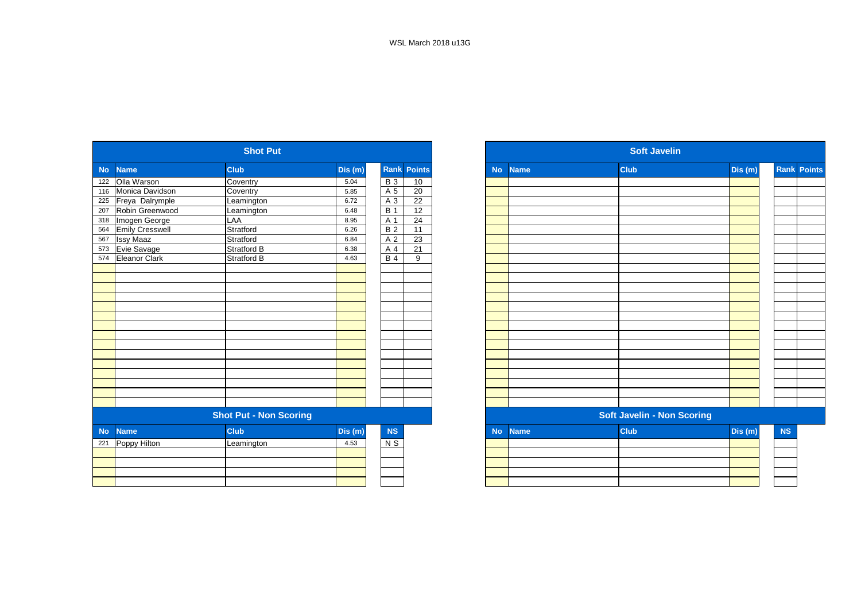|           |                        | <b>Shot Put</b>               |         |                 |                    |           |             | <b>Soft Javelin</b>               |         |
|-----------|------------------------|-------------------------------|---------|-----------------|--------------------|-----------|-------------|-----------------------------------|---------|
| <b>No</b> | <b>Name</b>            | <b>Club</b>                   | Dis (m) |                 | <b>Rank Points</b> | <b>No</b> | <b>Name</b> | <b>Club</b>                       | Dis (m) |
| 122       | Olla Warson            | Coventry                      | 5.04    | <b>B3</b>       | 10                 |           |             |                                   |         |
| 116       | Monica Davidson        | Coventry                      | 5.85    | A 5             | $\overline{20}$    |           |             |                                   |         |
| 225       | Freya Dalrymple        | Leamington                    | 6.72    | $\overline{A}3$ | $\overline{22}$    |           |             |                                   |         |
| 207       | Robin Greenwood        | Leamington                    | 6.48    | <b>B</b> 1      | 12                 |           |             |                                   |         |
| 318       | Imogen George          | LAA                           | 8.95    | A 1             | 24                 |           |             |                                   |         |
| 564       | <b>Emily Cresswell</b> | Stratford                     | 6.26    | <b>B2</b>       | 11                 |           |             |                                   |         |
| 567       | <b>Issy Maaz</b>       | Stratford                     | 6.84    | A 2             | $\overline{23}$    |           |             |                                   |         |
| 573       | Evie Savage            | Stratford B                   | 6.38    | A 4             | 21                 |           |             |                                   |         |
| 574       | Eleanor Clark          | Stratford B                   | 4.63    | $B$ 4           | 9                  |           |             |                                   |         |
|           |                        |                               |         |                 |                    |           |             |                                   |         |
|           |                        |                               |         |                 |                    |           |             |                                   |         |
|           |                        |                               |         |                 |                    |           |             |                                   |         |
|           |                        |                               |         |                 |                    |           |             |                                   |         |
|           |                        |                               |         |                 |                    |           |             |                                   |         |
|           |                        |                               |         |                 |                    |           |             |                                   |         |
|           |                        |                               |         |                 |                    |           |             |                                   |         |
|           |                        |                               |         |                 |                    |           |             |                                   |         |
|           |                        |                               |         |                 |                    |           |             |                                   |         |
|           |                        |                               |         |                 |                    |           |             |                                   |         |
|           |                        |                               |         |                 |                    |           |             |                                   |         |
|           |                        |                               |         |                 |                    |           |             |                                   |         |
|           |                        |                               |         |                 |                    |           |             |                                   |         |
|           |                        |                               |         |                 |                    |           |             |                                   |         |
|           |                        |                               |         |                 |                    |           |             |                                   |         |
|           |                        | <b>Shot Put - Non Scoring</b> |         |                 |                    |           |             | <b>Soft Javelin - Non Scoring</b> |         |
| <b>No</b> | <b>Name</b>            | <b>Club</b>                   | Dis(m)  | NS              |                    | <b>No</b> | <b>Name</b> | <b>Club</b>                       | Dis (m) |
| 221       | Poppy Hilton           | Leamington                    | 4.53    | $N$ S           |                    |           |             |                                   |         |
|           |                        |                               |         |                 |                    |           |             |                                   |         |
|           |                        |                               |         |                 |                    |           |             |                                   |         |
|           |                        |                               |         |                 |                    |           |             |                                   |         |
|           |                        |                               |         |                 |                    |           |             |                                   |         |

|                   |                        | <b>Shot Put</b>               |         |            |                    |           |             | <b>Soft Javelin</b>               |         |           |                    |
|-------------------|------------------------|-------------------------------|---------|------------|--------------------|-----------|-------------|-----------------------------------|---------|-----------|--------------------|
| No l              | <b>Name</b>            | <b>Club</b>                   | Dis (m) |            | <b>Rank Points</b> | <b>No</b> | <b>Name</b> | <b>Club</b>                       | Dis(m)  |           | <b>Rank Points</b> |
|                   | 122 Olla Warson        | Coventry                      | 5.04    | <b>B3</b>  | 10                 |           |             |                                   |         |           |                    |
|                   | 116 Monica Davidson    | Coventry                      | 5.85    | A 5        | 20                 |           |             |                                   |         |           |                    |
| 225               | Freya Dalrymple        | Leamington                    | 6.72    | A 3        | 22                 |           |             |                                   |         |           |                    |
| 207               | Robin Greenwood        | Leamington                    | 6.48    | <b>B</b> 1 | $\overline{12}$    |           |             |                                   |         |           |                    |
| 318               | Imogen George          | LAA                           | 8.95    | A 1        | 24                 |           |             |                                   |         |           |                    |
| 564               | <b>Emily Cresswell</b> | Stratford                     | 6.26    | <b>B2</b>  | 11                 |           |             |                                   |         |           |                    |
|                   | <b>Issy Maaz</b>       | Stratford                     | 6.84    | A 2        | 23                 |           |             |                                   |         |           |                    |
| 567<br>573<br>574 | Evie Savage            | Stratford B                   | 6.38    | A 4        | 21                 |           |             |                                   |         |           |                    |
|                   | Eleanor Clark          | <b>Stratford B</b>            | 4.63    | $B$ 4      | 9                  |           |             |                                   |         |           |                    |
|                   |                        |                               |         |            |                    |           |             |                                   |         |           |                    |
|                   |                        |                               |         |            |                    |           |             |                                   |         |           |                    |
|                   |                        |                               |         |            |                    |           |             |                                   |         |           |                    |
|                   |                        |                               |         |            |                    |           |             |                                   |         |           |                    |
|                   |                        |                               |         |            |                    |           |             |                                   |         |           |                    |
|                   |                        |                               |         |            |                    |           |             |                                   |         |           |                    |
|                   |                        |                               |         |            |                    |           |             |                                   |         |           |                    |
|                   |                        |                               |         |            |                    |           |             |                                   |         |           |                    |
|                   |                        |                               |         |            |                    |           |             |                                   |         |           |                    |
|                   |                        |                               |         |            |                    |           |             |                                   |         |           |                    |
|                   |                        |                               |         |            |                    |           |             |                                   |         |           |                    |
|                   |                        |                               |         |            |                    |           |             |                                   |         |           |                    |
|                   |                        |                               |         |            |                    |           |             |                                   |         |           |                    |
|                   |                        |                               |         |            |                    |           |             |                                   |         |           |                    |
|                   |                        |                               |         |            |                    |           |             |                                   |         |           |                    |
|                   |                        | <b>Shot Put - Non Scoring</b> |         |            |                    |           |             | <b>Soft Javelin - Non Scoring</b> |         |           |                    |
| No                | <b>Name</b>            | <b>Club</b>                   | Dis (m) | <b>NS</b>  |                    | <b>No</b> | <b>Name</b> | <b>Club</b>                       | Dis (m) | <b>NS</b> |                    |
|                   | 221 Poppy Hilton       | Leamington                    | 4.53    | $N$ S      |                    |           |             |                                   |         |           |                    |
|                   |                        |                               |         |            |                    |           |             |                                   |         |           |                    |
|                   |                        |                               |         |            |                    |           |             |                                   |         |           |                    |
|                   |                        |                               |         |            |                    |           |             |                                   |         |           |                    |
|                   |                        |                               |         |            |                    |           |             |                                   |         |           |                    |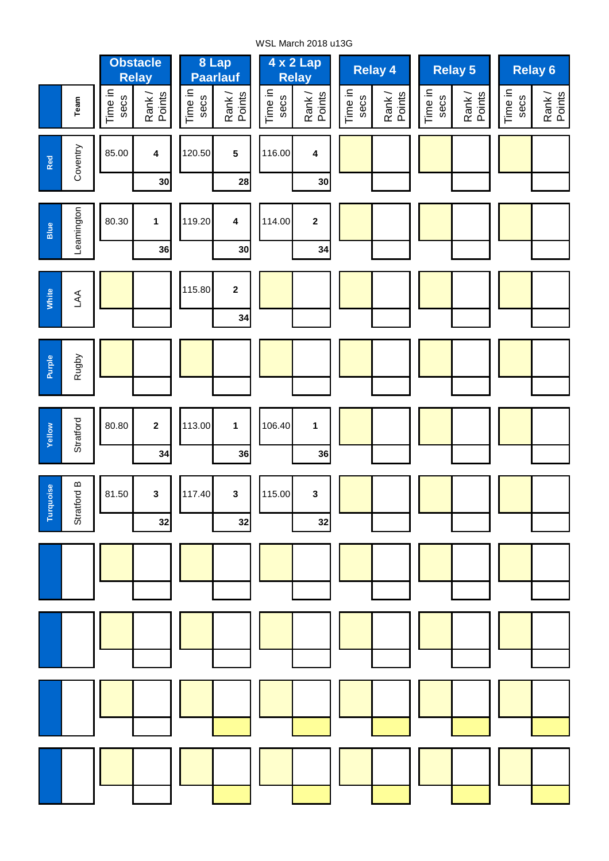WSL March 2018 u13G

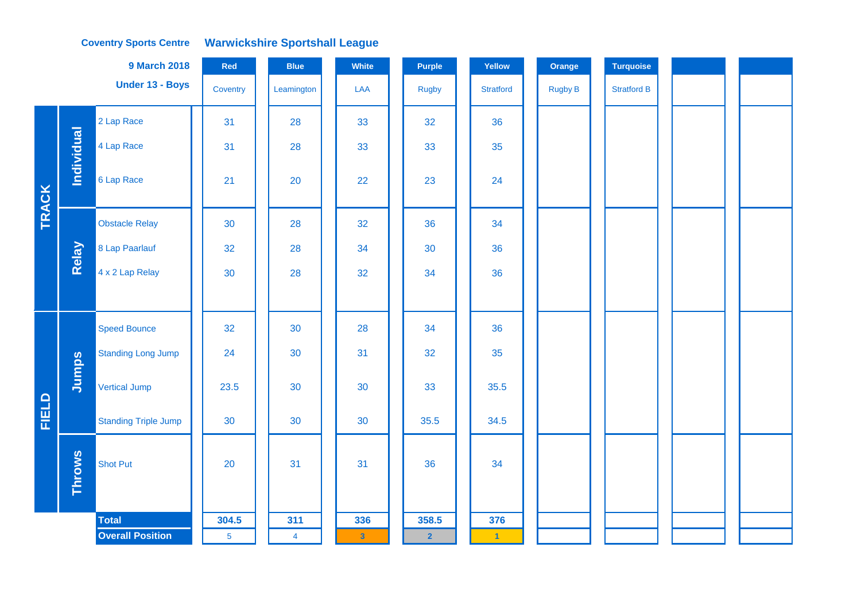#### **Coventry Sports Centre Warwickshire Sportshall League**

|              |                   | <b>9 March 2018</b>         | Red             | <b>Blue</b>    | White                   | <b>Purple</b>  | Yellow               | Orange         | Turquoise          |  |
|--------------|-------------------|-----------------------------|-----------------|----------------|-------------------------|----------------|----------------------|----------------|--------------------|--|
|              |                   | Under 13 - Boys             | Coventry        | Leamington     | LAA                     | <b>Rugby</b>   | <b>Stratford</b>     | <b>Rugby B</b> | <b>Stratford B</b> |  |
|              |                   | 2 Lap Race                  | 31              | 28             | 33                      | 32             | 36                   |                |                    |  |
|              | <b>Individual</b> | 4 Lap Race                  | 31              | 28             | 33                      | 33             | 35                   |                |                    |  |
| <b>TRACK</b> |                   | 6 Lap Race                  | 21              | 20             | 22                      | 23             | 24                   |                |                    |  |
|              |                   | <b>Obstacle Relay</b>       | 30              | 28             | 32                      | 36             | 34                   |                |                    |  |
|              | Relay             | 8 Lap Paarlauf              | 32              | 28             | 34                      | 30             | 36                   |                |                    |  |
|              |                   | 4 x 2 Lap Relay             | 30              | 28             | 32                      | 34             | 36                   |                |                    |  |
|              |                   |                             |                 |                |                         |                |                      |                |                    |  |
|              |                   | <b>Speed Bounce</b>         | 32              | 30             | 28                      | 34             | 36                   |                |                    |  |
|              |                   | <b>Standing Long Jump</b>   | 24              | 30             | 31                      | 32             | 35                   |                |                    |  |
|              | Jumps             | <b>Vertical Jump</b>        | 23.5            | 30             | 30                      | 33             | 35.5                 |                |                    |  |
| FIELD        |                   | <b>Standing Triple Jump</b> | 30              | 30             | 30                      | 35.5           | 34.5                 |                |                    |  |
|              | <b>Throws</b>     | <b>Shot Put</b>             | 20              | 31             | 31                      | 36             | 34                   |                |                    |  |
|              |                   | <b>Total</b>                | 304.5           | 311            | 336                     | 358.5          | 376                  |                |                    |  |
|              |                   | <b>Overall Position</b>     | $5\phantom{.0}$ | $\overline{4}$ | $\overline{\mathbf{3}}$ | $\overline{2}$ | $\blacktriangleleft$ |                |                    |  |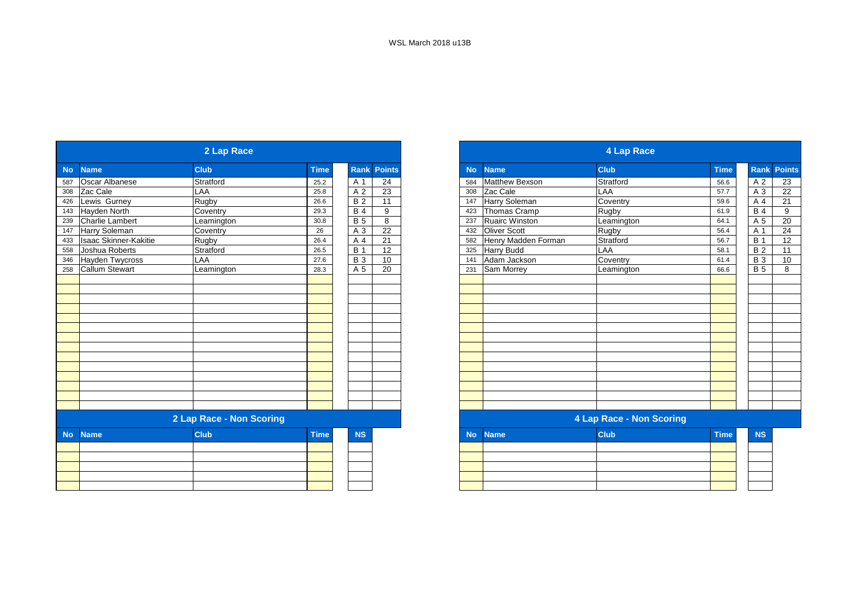|           |                        | 2 Lap Race               |             |                 |               |
|-----------|------------------------|--------------------------|-------------|-----------------|---------------|
| <b>No</b> | <b>Name</b>            | <b>Club</b>              | <b>Time</b> | <b>Rank</b>     | <b>Points</b> |
| 587       | <b>Oscar Albanese</b>  | Stratford                | 25.2        | A 1             | 24            |
| 308       | Zac Cale               | <b>LAA</b>               | 25.8        | A 2             | 23            |
| 426       | Lewis Gurney           | Rugby                    | 26.6        | $\overline{B2}$ | 11            |
| 143       | Hayden North           | Coventry                 | 29.3        | <b>B4</b>       | 9             |
| 239       | <b>Charlie Lambert</b> | Leamington               | 30.8        | <b>B</b> 5      | 8             |
| 147       | Harry Soleman          | Coventry                 | 26          | A 3             | 22            |
| 433       | Isaac Skinner-Kakitie  | Rugby                    | 26.4        | A 4             | 21            |
| 558       | Joshua Roberts         | Stratford                | 26.5        | <b>B</b> 1      | 12            |
| 346       | <b>Hayden Twycross</b> | LAA                      | 27.6        | $\overline{B}3$ | 10            |
| 258       | <b>Callum Stewart</b>  | Leamington               | 28.3        | A 5             | 20            |
|           |                        |                          |             |                 |               |
|           |                        |                          |             |                 |               |
|           |                        |                          |             |                 |               |
|           |                        |                          |             |                 |               |
|           |                        |                          |             |                 |               |
|           |                        |                          |             |                 |               |
|           |                        |                          |             |                 |               |
|           |                        |                          |             |                 |               |
|           |                        |                          |             |                 |               |
|           |                        |                          |             |                 |               |
|           |                        |                          |             |                 |               |
|           |                        |                          |             |                 |               |
|           |                        |                          |             |                 |               |
|           |                        |                          |             |                 |               |
|           |                        | 2 Lap Race - Non Scoring |             |                 |               |
| <b>No</b> | <b>Name</b>            | <b>Club</b>              | <b>Time</b> | <b>NS</b>       |               |
|           |                        |                          |             |                 |               |
|           |                        |                          |             |                 |               |
|           |                        |                          |             |                 |               |
|           |                        |                          |             |                 |               |
|           |                        |                          |             |                 |               |

|                  |                              | 2 Lap Race               |             |                |               |
|------------------|------------------------------|--------------------------|-------------|----------------|---------------|
| No               | <b>Name</b>                  | <b>Club</b>              | <b>Time</b> | <b>Rank</b>    | <b>Points</b> |
|                  | Oscar Albanese               | Stratford                | 25.2        | A 1            | 24            |
|                  | Zac Cale                     | LAA                      | 25.8        | A <sub>2</sub> | 23            |
| 426              | Lewis Gurney                 | Rugby                    | 26.6        | <b>B2</b>      | 11            |
| 143              | Hayden North                 | Coventry                 | 29.3        | <b>B4</b>      | 9             |
| 239              | <b>Charlie Lambert</b>       | Leamington               | 30.8        | <b>B</b> 5     | 8             |
| $\frac{1}{47}$   | Harry Soleman                | Coventry                 | 26          | A 3            | 22            |
| 433              | <b>Isaac Skinner-Kakitie</b> | Rugby                    | 26.4        | A 4            | 21            |
| 558              | Joshua Roberts               | Stratford                | 26.5        | <b>B</b> 1     | 12            |
| 346              | <b>Hayden Twycross</b>       | LAA                      | 27.6        | <b>B3</b>      | 10            |
| $\overline{258}$ | <b>Callum Stewart</b>        | Leamington               | 28.3        | A 5            | 20            |
|                  |                              |                          |             |                |               |
|                  |                              |                          |             |                |               |
|                  |                              |                          |             |                |               |
|                  |                              |                          |             |                |               |
|                  |                              |                          |             |                |               |
|                  |                              |                          |             |                |               |
|                  |                              |                          |             |                |               |
|                  |                              |                          |             |                |               |
|                  |                              |                          |             |                |               |
|                  |                              |                          |             |                |               |
|                  |                              |                          |             |                |               |
|                  |                              |                          |             |                |               |
|                  |                              |                          |             |                |               |
|                  |                              |                          |             |                |               |
|                  |                              | 2 Lap Race - Non Scoring |             |                |               |
| <b>No</b>        | <b>Name</b>                  | <b>Club</b>              | <b>Time</b> | <b>NS</b>      |               |
|                  |                              |                          |             |                |               |
|                  |                              |                          |             |                |               |
|                  |                              |                          |             |                |               |
|                  |                              |                          |             |                |               |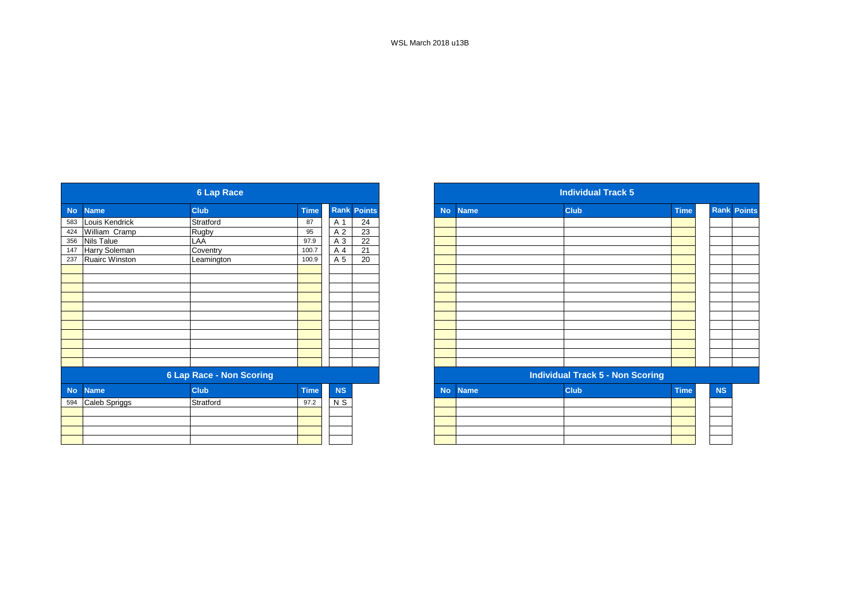|           |                       | <b>6 Lap Race</b>               |             |           |                    |
|-----------|-----------------------|---------------------------------|-------------|-----------|--------------------|
| <b>No</b> | <b>Name</b>           | <b>Club</b>                     | <b>Time</b> |           | <b>Rank Points</b> |
|           | 583 Louis Kendrick    | Stratford                       | 87          | A 1       | 24                 |
| 424       | William Cramp         | Rugby                           | 95          | A 2       | 23                 |
| 356       | <b>Nils Talue</b>     | LAA                             | 97.9        | A 3       | 22                 |
| 147       | Harry Soleman         | Coventry                        | 100.7       | A 4       | 21                 |
| 237       | <b>Ruairc Winston</b> | Leamington                      | 100.9       | A 5       | 20                 |
|           |                       |                                 |             |           |                    |
|           |                       |                                 |             |           |                    |
|           |                       |                                 |             |           |                    |
|           |                       |                                 |             |           |                    |
|           |                       |                                 |             |           |                    |
|           |                       |                                 |             |           |                    |
|           |                       |                                 |             |           |                    |
|           |                       |                                 |             |           |                    |
|           |                       |                                 |             |           |                    |
|           |                       |                                 |             |           |                    |
|           |                       |                                 |             |           |                    |
|           |                       | <b>6 Lap Race - Non Scoring</b> |             |           |                    |
| <b>No</b> | <b>Name</b>           | <b>Club</b>                     | <b>Time</b> | <b>NS</b> |                    |
| 594       | Caleb Spriggs         | Stratford                       | 97.2        | N S       |                    |
|           |                       |                                 |             |           |                    |
|           |                       |                                 |             |           |                    |
|           |                       |                                 |             |           |                    |
|           |                       |                                 |             |           |                    |

|           |                       | <b>6 Lap Race</b>               |             |           |                    |
|-----------|-----------------------|---------------------------------|-------------|-----------|--------------------|
|           | <b>Name</b>           | <b>Club</b>                     | <b>Time</b> |           | <b>Rank Points</b> |
|           | Louis Kendrick        | Stratford                       | 87          | A 1       | 24                 |
|           | William Cramp         | Rugby                           | 95          | A 2       | 23                 |
|           | <b>Nils Talue</b>     | LAA                             | 97.9        | A 3       | $\overline{22}$    |
|           | Harry Soleman         | Coventry                        | 100.7       | A 4       | 21                 |
|           | <b>Ruairc Winston</b> | Leamington                      | 100.9       | A 5       | 20                 |
|           |                       |                                 |             |           |                    |
|           |                       |                                 |             |           |                    |
|           |                       |                                 |             |           |                    |
|           |                       |                                 |             |           |                    |
|           |                       |                                 |             |           |                    |
|           |                       |                                 |             |           |                    |
|           |                       |                                 |             |           |                    |
|           |                       |                                 |             |           |                    |
|           |                       |                                 |             |           |                    |
|           |                       |                                 |             |           |                    |
|           |                       |                                 |             |           |                    |
|           |                       | <b>6 Lap Race - Non Scoring</b> |             |           |                    |
| <b>No</b> | <b>Name</b>           | <b>Club</b>                     | <b>Time</b> | <b>NS</b> |                    |
| 594       | Caleb Spriggs         | Stratford                       | 97.2        | N S       |                    |
|           |                       |                                 |             |           |                    |
|           |                       |                                 |             |           |                    |
|           |                       |                                 |             |           |                    |
|           |                       |                                 |             |           |                    |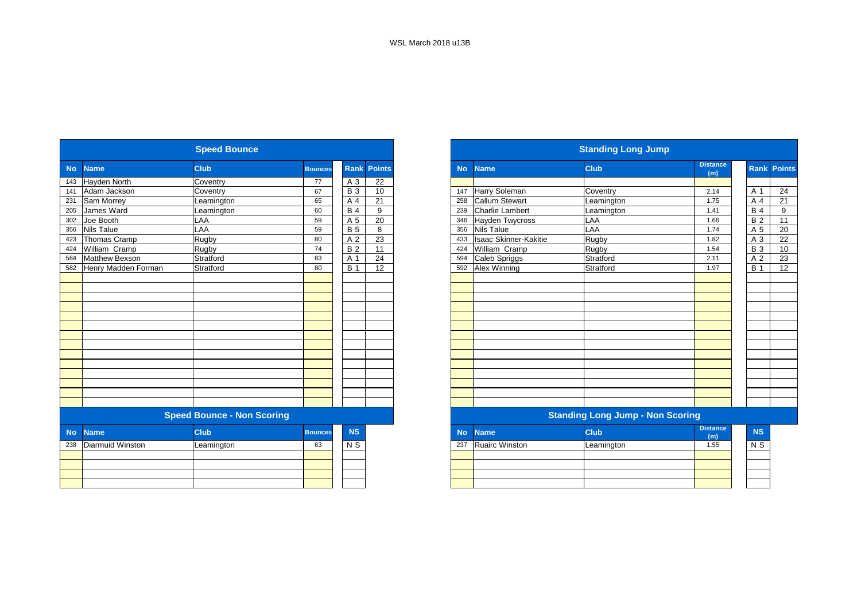|           |                         | <b>Speed Bounce</b>               |                |                 |                 |           |                        | <b>Standing Long Jump</b>               |                        |
|-----------|-------------------------|-----------------------------------|----------------|-----------------|-----------------|-----------|------------------------|-----------------------------------------|------------------------|
| <b>No</b> | <b>Name</b>             | Club                              | <b>Bounces</b> | Rank            | <b>Points</b>   | <b>No</b> | <b>Name</b>            | <b>Club</b>                             | <b>Distance</b><br>(m) |
| 143       | Hayden North            | Coventry                          | 77             | A 3             | 22              |           |                        |                                         |                        |
| 141       | Adam Jackson            | Coventry                          | 67             | $\overline{B}3$ | 10              | 147       | Harry Soleman          | Coventry                                | 2.14                   |
| 231       | Sam Morrey              | Leamington                        | 65             | A 4             | 21              | 258       | <b>Callum Stewart</b>  | Leamington                              | 1.75                   |
| 205       | James Ward              | Leamington                        | 60             | <b>B4</b>       | 9               | 239       | <b>Charlie Lambert</b> | Leamington                              | 1.41                   |
| 302       | Joe Booth               | LAA                               | 59             | A 5             | 20              | 346       | <b>Hayden Twycross</b> | LAA                                     | 1.66                   |
| 356       | <b>Nils Talue</b>       | LAA                               | 59             | <b>B</b> 5      | 8               | 356       | <b>Nils Talue</b>      | LAA                                     | 1.74                   |
| 423       | Thomas Cramp            | Rugby                             | 80             | A 2             | 23              | 433       | Isaac Skinner-Kakitie  | Rugby                                   | 1.82                   |
| 424       | William Cramp           | Rugby                             | 74             | <b>B2</b>       | 11              | 424       | William Cramp          | Rugby                                   | 1.54                   |
| 584       | <b>Matthew Bexson</b>   | Stratford                         | 83             | A 1             | 24              | 594       | Caleb Spriggs          | Stratford                               | 2.11                   |
| 582       | Henry Madden Forman     | Stratford                         | 80             | <b>B</b> 1      | $\overline{12}$ | 592       | Alex Winning           | Stratford                               | 1.97                   |
|           |                         |                                   |                |                 |                 |           |                        |                                         |                        |
|           |                         |                                   |                |                 |                 |           |                        |                                         |                        |
|           |                         |                                   |                |                 |                 |           |                        |                                         |                        |
|           |                         |                                   |                |                 |                 |           |                        |                                         |                        |
|           |                         |                                   |                |                 |                 |           |                        |                                         |                        |
|           |                         |                                   |                |                 |                 |           |                        |                                         |                        |
|           |                         |                                   |                |                 |                 |           |                        |                                         |                        |
|           |                         |                                   |                |                 |                 |           |                        |                                         |                        |
|           |                         |                                   |                |                 |                 |           |                        |                                         |                        |
|           |                         |                                   |                |                 |                 |           |                        |                                         |                        |
|           |                         |                                   |                |                 |                 |           |                        |                                         |                        |
|           |                         |                                   |                |                 |                 |           |                        |                                         |                        |
|           |                         |                                   |                |                 |                 |           |                        |                                         |                        |
|           |                         |                                   |                |                 |                 |           |                        |                                         |                        |
|           |                         | <b>Speed Bounce - Non Scoring</b> |                |                 |                 |           |                        | <b>Standing Long Jump - Non Scoring</b> |                        |
| <b>No</b> | <b>Name</b>             | Club                              | <b>Bounces</b> | <b>NS</b>       |                 | <b>No</b> | <b>Name</b>            | <b>Club</b>                             | <b>Distance</b><br>(m) |
| 238       | <b>Diarmuid Winston</b> | Leamington                        | 63             | $N$ S           |                 | 237       | <b>Ruairc Winston</b>  | Leamington                              | 1.55                   |
|           |                         |                                   |                |                 |                 |           |                        |                                         |                        |
|           |                         |                                   |                |                 |                 |           |                        |                                         |                        |
|           |                         |                                   |                |                 |                 |           |                        |                                         |                        |
|           |                         |                                   |                |                 |                 |           |                        |                                         |                        |
|           |                         |                                   |                |                 |                 |           |                        |                                         |                        |

|           |                       | <b>Speed Bounce</b>               |                |                 |                    |
|-----------|-----------------------|-----------------------------------|----------------|-----------------|--------------------|
| <b>No</b> | <b>Name</b>           | <b>Club</b>                       | <b>Bounces</b> |                 | <b>Rank Points</b> |
|           | Hayden North          | Coventry                          | 77             | A 3             | 22                 |
|           | Adam Jackson          | Coventry                          | 67             | <b>B</b> 3      | 10                 |
|           | Sam Morrey            | Leamington                        | 65             | A 4             | 21                 |
|           | James Ward            | Leamington                        | 60             | <b>B</b> 4      | 9                  |
|           | Joe Booth             | LAA                               | 59             | $\overline{A}5$ | $\overline{20}$    |
|           | <b>Nils Talue</b>     | LAA                               | 59             | <b>B</b> 5      | 8                  |
|           | Thomas Cramp          | Rugby                             | 80             | A 2             | 23                 |
|           | William Cramp         | Rugby                             | 74             | <b>B2</b>       | 11                 |
|           | <b>Matthew Bexson</b> | Stratford                         | 83             | A 1             | $\overline{24}$    |
|           | Henry Madden Forman   | Stratford                         | 80             | <b>B</b> 1      | 12                 |
|           |                       |                                   |                |                 |                    |
|           |                       |                                   |                |                 |                    |
|           |                       |                                   |                |                 |                    |
|           |                       |                                   |                |                 |                    |
|           |                       |                                   |                |                 |                    |
|           |                       |                                   |                |                 |                    |
|           |                       |                                   |                |                 |                    |
|           |                       |                                   |                |                 |                    |
|           |                       |                                   |                |                 |                    |
|           |                       |                                   |                |                 |                    |
|           |                       |                                   |                |                 |                    |
|           |                       |                                   |                |                 |                    |
|           |                       |                                   |                |                 |                    |
|           |                       |                                   |                |                 |                    |
|           |                       | <b>Speed Bounce - Non Scoring</b> |                |                 |                    |
|           | <b>Name</b>           | <b>Club</b>                       | <b>Bounces</b> | <b>NS</b>       |                    |
| 238       | Diarmuid Winston      | Leamington                        | 63             | N <sub>S</sub>  |                    |
|           |                       |                                   |                |                 |                    |
|           |                       |                                   |                |                 |                    |
|           |                       |                                   |                |                 |                    |
|           |                       |                                   |                |                 |                    |
|           |                       |                                   |                |                 |                    |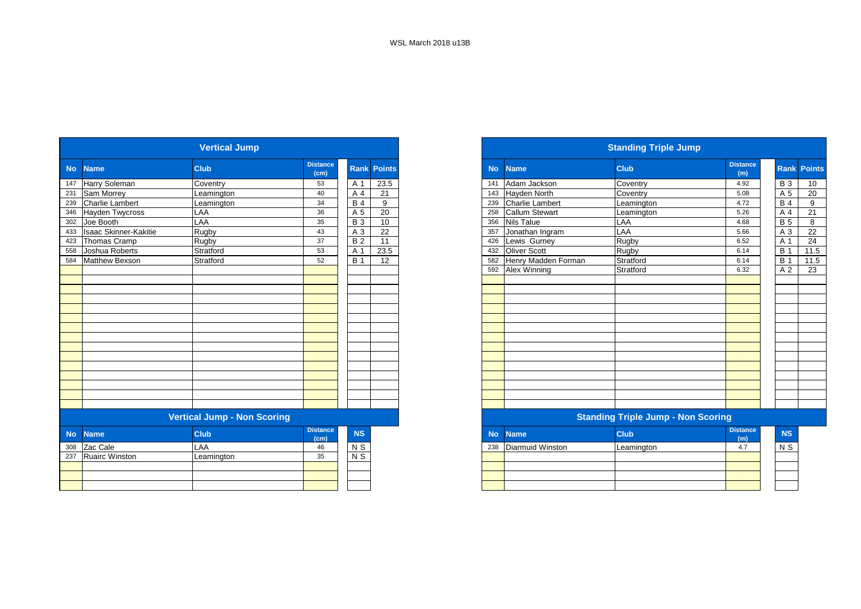|           |                              | <b>Vertical Jump</b>               |                                      |            |               |
|-----------|------------------------------|------------------------------------|--------------------------------------|------------|---------------|
| <b>No</b> | <b>Name</b>                  | <b>Club</b>                        | <b>Distance</b><br>(cm)              | Rank       | <b>Points</b> |
| 147       | Harry Soleman                | Coventry                           | 53                                   | A 1        | 23.5          |
| 231       | Sam Morrey                   | Leamington                         | 40                                   | A 4        | 21            |
| 239       | <b>Charlie Lambert</b>       | Leamington                         | 34                                   | <b>B4</b>  | 9             |
| 346       | Hayden Twycross              | LAA                                | 36                                   | A 5        | 20            |
| 302       | Joe Booth                    | LAA                                | 35                                   | <b>B</b> 3 | 10            |
| 433       | <b>Isaac Skinner-Kakitie</b> | Rugby                              | 43                                   | A 3        | 22            |
| 423       | Thomas Cramp                 | Rugby                              | 37                                   | <b>B2</b>  | 11            |
| 558       | Joshua Roberts               | Stratford                          | 53                                   | A 1        | 23.5          |
| 584       | <b>Matthew Bexson</b>        | Stratford                          | 52                                   | <b>B</b> 1 | 12            |
|           |                              |                                    |                                      |            |               |
|           |                              |                                    |                                      |            |               |
|           |                              |                                    |                                      |            |               |
|           |                              |                                    |                                      |            |               |
|           |                              |                                    |                                      |            |               |
|           |                              |                                    |                                      |            |               |
|           |                              |                                    |                                      |            |               |
|           |                              |                                    |                                      |            |               |
|           |                              |                                    |                                      |            |               |
|           |                              |                                    |                                      |            |               |
|           |                              |                                    |                                      |            |               |
|           |                              |                                    |                                      |            |               |
|           |                              |                                    |                                      |            |               |
|           |                              |                                    |                                      |            |               |
|           |                              |                                    |                                      |            |               |
|           |                              | <b>Vertical Jump - Non Scoring</b> |                                      |            |               |
| <b>No</b> | <b>Name</b>                  | <b>Club</b>                        | <b>Distance</b><br>(c <sub>m</sub> ) | <b>NS</b>  |               |
| 308       | Zac Cale                     | LAA                                | 46                                   | N S        |               |
| 237       | <b>Ruairc Winston</b>        | Leamington                         | 35                                   | $N$ S      |               |
|           |                              |                                    |                                      |            |               |

|     |                           | <b>Vertical Jump</b>               |                         |            |                    |     | <b>Standing Triple Jump</b> |                       |                                           |                        |            |                    |
|-----|---------------------------|------------------------------------|-------------------------|------------|--------------------|-----|-----------------------------|-----------------------|-------------------------------------------|------------------------|------------|--------------------|
|     | No Name                   | <b>Club</b>                        | <b>Distance</b><br>(cm) |            | <b>Rank Points</b> |     | <b>No</b>                   | <b>Name</b>           | <b>Club</b>                               | <b>Distance</b><br>(m) |            | <b>Rank Points</b> |
|     | 147 Harry Soleman         | Coventry                           | 53                      | A 1        | 23.5               | 141 |                             | Adam Jackson          | Coventry                                  | 4.92                   | <b>B</b> 3 | 10                 |
|     | 231 Sam Morrey            | _eamington                         | 40                      | A 4        | 21                 | 143 |                             | Hayden North          | Coventry                                  | 5.08                   | A 5        | 20                 |
|     | 239 Charlie Lambert       | Leamington                         | 34                      | <b>B</b> 4 | 9                  | 239 |                             | Charlie Lambert       | Leamington                                | 4.72                   | <b>B4</b>  | 9                  |
|     | 346 Hayden Twycross       | LAA                                | 36                      | A 5        | 20                 | 258 |                             | <b>Callum Stewart</b> | Leamington                                | 5.26                   | A 4        | 21                 |
| 302 | Joe Booth                 | LAA                                | 35                      | <b>B</b> 3 | 10                 | 356 |                             | <b>Nils Talue</b>     | LAA                                       | 4.68                   | <b>B</b> 5 | 8                  |
|     | 433 Isaac Skinner-Kakitie | Rugby                              | 43                      | A 3        | 22                 | 357 |                             | Jonathan Ingram       | LAA                                       | 5.66                   | A 3        | 22                 |
| 423 | Thomas Cramp              | Rugby                              | 37                      | <b>B2</b>  | 11                 | 426 |                             | Lewis Gurney          | Rugby                                     | 6.52                   | A 1        | 24                 |
| 558 | Joshua Roberts            | Stratford                          | 53                      | A 1        | 23.5               | 432 |                             | <b>Oliver Scott</b>   | Rugby                                     | 6.14                   | <b>B</b> 1 | 11.5               |
| 584 | <b>Matthew Bexson</b>     | Stratford                          | 52                      | <b>B</b> 1 | 12                 | 582 |                             | Henry Madden Forman   | Stratford                                 | 6.14                   | <b>B</b> 1 | 11.5               |
|     |                           |                                    |                         |            |                    | 592 |                             | Alex Winning          | Stratford                                 | 6.32                   | A 2        | 23                 |
|     |                           |                                    |                         |            |                    |     |                             |                       |                                           |                        |            |                    |
|     |                           |                                    |                         |            |                    |     |                             |                       |                                           |                        |            |                    |
|     |                           |                                    |                         |            |                    |     |                             |                       |                                           |                        |            |                    |
|     |                           |                                    |                         |            |                    |     |                             |                       |                                           |                        |            |                    |
|     |                           |                                    |                         |            |                    |     |                             |                       |                                           |                        |            |                    |
|     |                           |                                    |                         |            |                    |     |                             |                       |                                           |                        |            |                    |
|     |                           |                                    |                         |            |                    |     |                             |                       |                                           |                        |            |                    |
|     |                           |                                    |                         |            |                    |     |                             |                       |                                           |                        |            |                    |
|     |                           |                                    |                         |            |                    |     |                             |                       |                                           |                        |            |                    |
|     |                           |                                    |                         |            |                    |     |                             |                       |                                           |                        |            |                    |
|     |                           |                                    |                         |            |                    |     |                             |                       |                                           |                        |            |                    |
|     |                           |                                    |                         |            |                    |     |                             |                       |                                           |                        |            |                    |
|     |                           |                                    |                         |            |                    |     |                             |                       |                                           |                        |            |                    |
|     |                           |                                    |                         |            |                    |     |                             |                       |                                           |                        |            |                    |
|     |                           | <b>Vertical Jump - Non Scoring</b> |                         |            |                    |     |                             |                       | <b>Standing Triple Jump - Non Scoring</b> |                        |            |                    |
|     |                           |                                    | Distance I              |            |                    |     |                             |                       |                                           | <b>Distance</b>        |            |                    |

| stance<br>(cm) | <b>NS</b> | <b>No</b> | <b>Name</b>      | <b>Club</b> | <b>Distance</b><br>(m) | <b>NS</b>      |
|----------------|-----------|-----------|------------------|-------------|------------------------|----------------|
| 46             | N S       | 238       | Diarmuid Winston | Leamington  | 4.7                    | N <sub>S</sub> |
| 35             | N S       |           |                  |             |                        |                |
|                |           |           |                  |             |                        |                |
|                |           |           |                  |             |                        |                |
|                |           |           |                  |             |                        |                |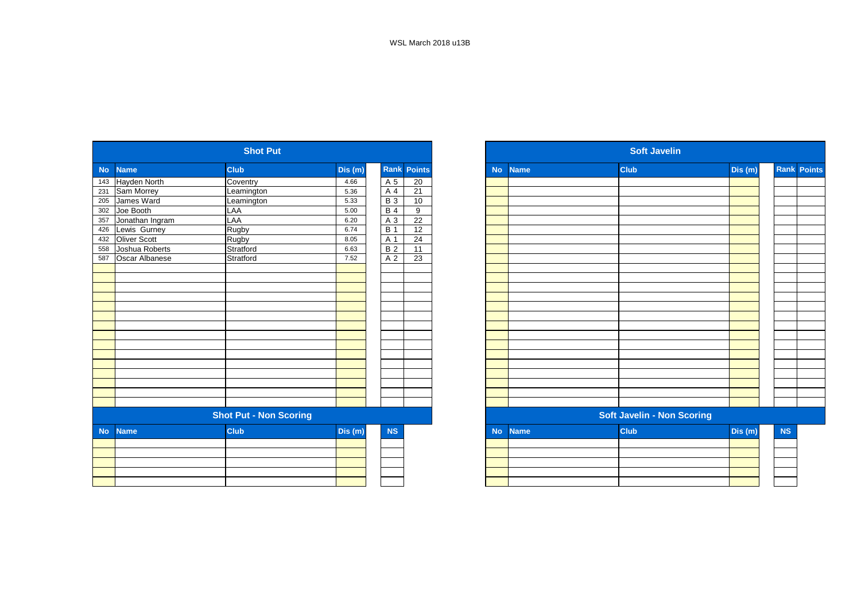|              | <b>Shot Put</b>                                                                                 |                                                    |                 |                 |  |  |  |  |
|--------------|-------------------------------------------------------------------------------------------------|----------------------------------------------------|-----------------|-----------------|--|--|--|--|
| <b>Name</b>  | <b>Club</b>                                                                                     | Dis (m)                                            | Rank            | <b>Points</b>   |  |  |  |  |
|              |                                                                                                 | 4.66                                               |                 | 20              |  |  |  |  |
|              | Leamington                                                                                      | 5.36                                               | A 4             | 21              |  |  |  |  |
|              | Leamington                                                                                      | 5.33                                               | $\overline{B}3$ | 10              |  |  |  |  |
| Joe Booth    | LAA                                                                                             | 5.00                                               | <b>B4</b>       | 9               |  |  |  |  |
|              | LAA                                                                                             | 6.20                                               | A 3             | $\overline{22}$ |  |  |  |  |
| Lewis Gurney | Rugby                                                                                           | 6.74                                               | <b>B</b> 1      | 12              |  |  |  |  |
| Oliver Scott |                                                                                                 | 8.05                                               | A 1             | 24              |  |  |  |  |
|              | Stratford                                                                                       | 6.63                                               | <b>B2</b>       | 11              |  |  |  |  |
|              | Stratford                                                                                       | 7.52                                               | A 2             | 23              |  |  |  |  |
|              |                                                                                                 |                                                    |                 |                 |  |  |  |  |
|              |                                                                                                 |                                                    |                 |                 |  |  |  |  |
|              |                                                                                                 |                                                    |                 |                 |  |  |  |  |
|              |                                                                                                 |                                                    |                 |                 |  |  |  |  |
|              |                                                                                                 |                                                    |                 |                 |  |  |  |  |
|              |                                                                                                 |                                                    |                 |                 |  |  |  |  |
|              |                                                                                                 |                                                    |                 |                 |  |  |  |  |
|              |                                                                                                 |                                                    |                 |                 |  |  |  |  |
|              |                                                                                                 |                                                    |                 |                 |  |  |  |  |
|              |                                                                                                 |                                                    |                 |                 |  |  |  |  |
|              |                                                                                                 |                                                    |                 |                 |  |  |  |  |
|              |                                                                                                 |                                                    |                 |                 |  |  |  |  |
|              |                                                                                                 |                                                    |                 |                 |  |  |  |  |
|              |                                                                                                 |                                                    |                 |                 |  |  |  |  |
|              |                                                                                                 |                                                    |                 |                 |  |  |  |  |
|              |                                                                                                 |                                                    |                 |                 |  |  |  |  |
|              |                                                                                                 |                                                    |                 |                 |  |  |  |  |
| <b>Name</b>  | <b>Club</b>                                                                                     | Dis (m)                                            | NS              |                 |  |  |  |  |
|              |                                                                                                 |                                                    |                 |                 |  |  |  |  |
|              |                                                                                                 |                                                    |                 |                 |  |  |  |  |
|              |                                                                                                 |                                                    |                 |                 |  |  |  |  |
|              |                                                                                                 |                                                    |                 |                 |  |  |  |  |
|              |                                                                                                 |                                                    |                 |                 |  |  |  |  |
|              | Hayden North<br>Sam Morrey<br>James Ward<br>Jonathan Ingram<br>Joshua Roberts<br>Oscar Albanese | Coventry<br>Rugby<br><b>Shot Put - Non Scoring</b> |                 | A 5             |  |  |  |  |

|           |                       | <b>Shot Put</b>               |        |                  |                    |
|-----------|-----------------------|-------------------------------|--------|------------------|--------------------|
|           | No Name               | <b>Club</b>                   | Dis(m) |                  | <b>Rank Points</b> |
|           | Hayden North          | Coventry                      | 4.66   | A 5              | 20                 |
|           | 231 Sam Morrey        | Leamington                    | 5.36   | A 4              | 21                 |
| 205       | James Ward            | Leamington                    | 5.33   | $\overline{B}3$  | 10                 |
|           | 302 Joe Booth         | LAA                           | 5.00   | $B$ 4            | 9                  |
|           | 357 Jonathan Ingram   | LAA                           | 6.20   | A 3              | 22                 |
| 426       | Lewis Gurney          | Rugby                         | 6.74   | $\overline{B}$ 1 | 12                 |
| 432       | <b>Oliver Scott</b>   | Rugby                         | 8.05   | A 1              | 24                 |
| 558       | Joshua Roberts        | Stratford                     | 6.63   | B <sub>2</sub>   | 11                 |
| 587       | <b>Oscar Albanese</b> | Stratford                     | 7.52   | A 2              | 23                 |
|           |                       |                               |        |                  |                    |
|           |                       |                               |        |                  |                    |
|           |                       |                               |        |                  |                    |
|           |                       |                               |        |                  |                    |
|           |                       |                               |        |                  |                    |
|           |                       |                               |        |                  |                    |
|           |                       |                               |        |                  |                    |
|           |                       |                               |        |                  |                    |
|           |                       |                               |        |                  |                    |
|           |                       |                               |        |                  |                    |
|           |                       |                               |        |                  |                    |
|           |                       |                               |        |                  |                    |
|           |                       |                               |        |                  |                    |
|           |                       |                               |        |                  |                    |
|           |                       |                               |        |                  |                    |
|           |                       | <b>Shot Put - Non Scoring</b> |        |                  |                    |
| <b>No</b> | <b>Name</b>           | <b>Club</b>                   | Dis(m) | NS               |                    |
|           |                       |                               |        |                  |                    |
|           |                       |                               |        |                  |                    |
|           |                       |                               |        |                  |                    |
|           |                       |                               |        |                  |                    |
|           |                       |                               |        |                  |                    |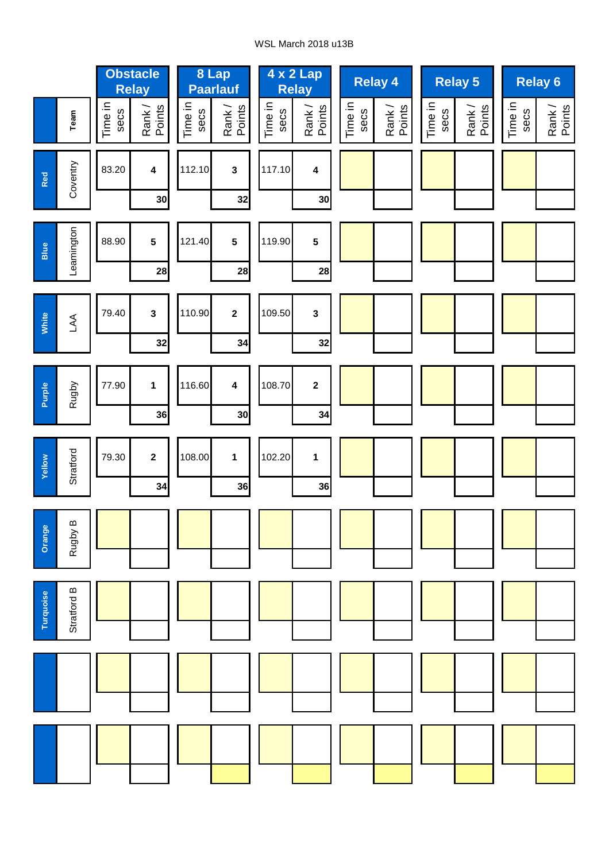## WSL March 2018 u13B

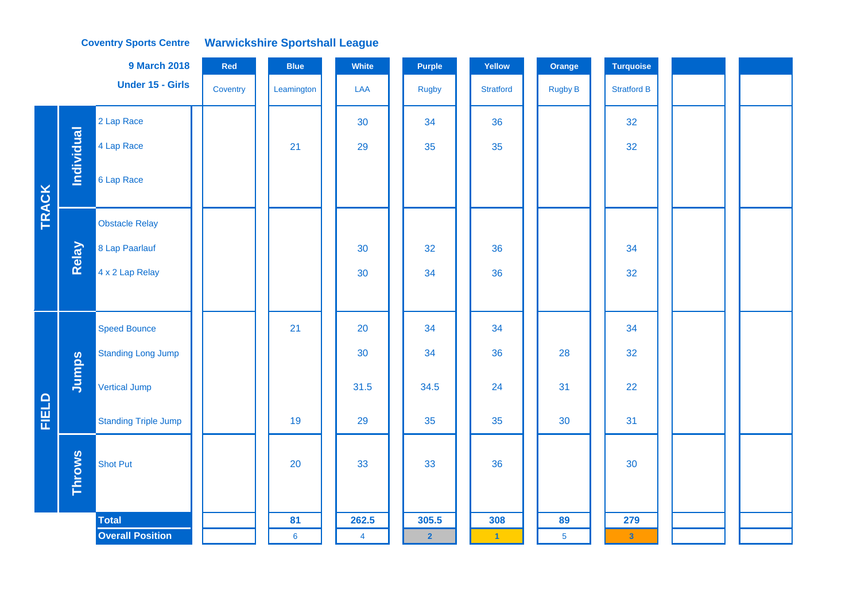#### **Coventry Sports Centre Warwickshire Sportshall League**

|              |               | <b>9 March 2018</b>         | Red      | <b>Blue</b>    | White          | <b>Purple</b>  | Yellow               | Orange         | <b>Turquoise</b>        |  |
|--------------|---------------|-----------------------------|----------|----------------|----------------|----------------|----------------------|----------------|-------------------------|--|
|              |               | <b>Under 15 - Girls</b>     | Coventry | Leamington     | LAA            | <b>Rugby</b>   | <b>Stratford</b>     | Rugby B        | <b>Stratford B</b>      |  |
|              |               | 2 Lap Race                  |          |                | 30             | 34             | 36                   |                | 32                      |  |
|              | Individual    | 4 Lap Race                  |          | 21             | 29             | 35             | 35                   |                | 32                      |  |
| TRACK        |               | 6 Lap Race                  |          |                |                |                |                      |                |                         |  |
|              |               | <b>Obstacle Relay</b>       |          |                |                |                |                      |                |                         |  |
|              | Relay         | 8 Lap Paarlauf              |          |                | 30             | 32             | 36                   |                | 34                      |  |
|              |               | 4 x 2 Lap Relay             |          |                | 30             | 34             | 36                   |                | 32                      |  |
|              |               |                             |          |                |                |                |                      |                |                         |  |
|              |               | <b>Speed Bounce</b>         |          | 21             | 20             | 34             | 34                   |                | 34                      |  |
|              |               | <b>Standing Long Jump</b>   |          |                | 30             | 34             | 36                   | 28             | 32                      |  |
|              | Jumps         | <b>Vertical Jump</b>        |          |                | 31.5           | 34.5           | 24                   | 31             | 22                      |  |
| <b>FIELD</b> |               | <b>Standing Triple Jump</b> |          | 19             | 29             | 35             | 35                   | 30             | 31                      |  |
|              | <b>Throws</b> | <b>Shot Put</b>             |          | 20             | 33             | 33             | 36                   |                | 30                      |  |
|              |               | <b>Total</b>                |          | 81             | 262.5          | 305.5          | 308                  | 89             | 279                     |  |
|              |               | <b>Overall Position</b>     |          | $6\phantom{a}$ | $\overline{4}$ | $\overline{2}$ | $\blacktriangleleft$ | $\overline{5}$ | $\overline{\mathbf{3}}$ |  |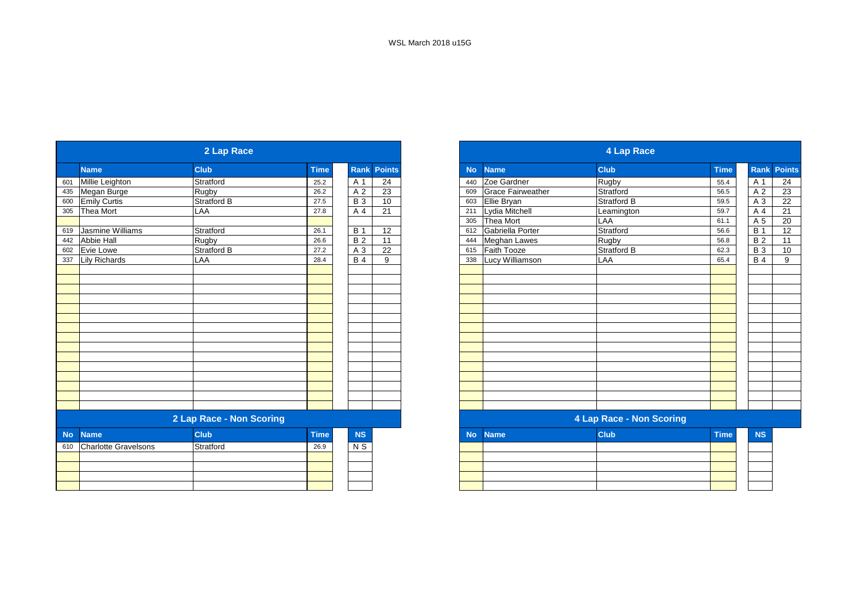|                          |                             | 2 Lap Race               |             |                |               |           |                          | 4 Lap Race               |             |                  |
|--------------------------|-----------------------------|--------------------------|-------------|----------------|---------------|-----------|--------------------------|--------------------------|-------------|------------------|
| <b>Name</b>              |                             | <b>Club</b>              | <b>Time</b> | Rank           | <b>Points</b> | <b>No</b> | <b>Name</b>              | <b>Club</b>              | <b>Time</b> | Rank Poin        |
|                          | Millie Leighton             | Stratford                | 25.2        | A 1            | 24            | 440       | Zoe Gardner              | <b>Rugby</b>             | 55.4        | A 1              |
|                          | Megan Burge                 | Rugby                    | 26.2        | A <sub>2</sub> | 23            | 609       | <b>Grace Fairweather</b> | Stratford                | 56.5        | A 2              |
| 600                      | <b>Emily Curtis</b>         | <b>Stratford B</b>       | 27.5        | <b>B</b> 3     | 10            | 603       | Ellie Bryan              | Stratford B              | 59.5        | A 3              |
| 305                      | Thea Mort                   | LAA                      | 27.8        | A 4            | 21            | 211       | Lydia Mitchell           | Leamington               | 59.7        | A 4              |
|                          |                             |                          |             |                |               |           | 305 Thea Mort            | LAA                      | 61.1        | A 5              |
| 619                      | Jasmine Williams            | Stratford                | 26.1        | <b>B</b> 1     | 12            |           | 612 Gabriella Porter     | Stratford                | 56.6        | $\overline{B}$ 1 |
| 442                      | <b>Abbie Hall</b>           | Rugby                    | 26.6        | <b>B2</b>      | 11            | 444       | <b>Meghan Lawes</b>      | <b>Rugby</b>             | 56.8        | B <sub>2</sub>   |
| 602                      | Evie Lowe                   | <b>Stratford B</b>       | 27.2        | A 3            | 22            | 615       | <b>Faith Tooze</b>       | Stratford B              | 62.3        | <b>B</b> 3       |
| 337                      | <b>Lily Richards</b>        | LAA                      | 28.4        | $B$ 4          | 9             | 338       | Lucy Williamson          | LAA                      | 65.4        | <b>B4</b>        |
|                          |                             |                          |             |                |               |           |                          |                          |             |                  |
|                          |                             |                          |             |                |               |           |                          |                          |             |                  |
|                          |                             |                          |             |                |               |           |                          |                          |             |                  |
|                          |                             |                          |             |                |               |           |                          |                          |             |                  |
|                          |                             |                          |             |                |               |           |                          |                          |             |                  |
|                          |                             |                          |             |                |               |           |                          |                          |             |                  |
|                          |                             |                          |             |                |               |           |                          |                          |             |                  |
|                          |                             |                          |             |                |               |           |                          |                          |             |                  |
|                          |                             |                          |             |                |               |           |                          |                          |             |                  |
|                          |                             |                          |             |                |               |           |                          |                          |             |                  |
|                          |                             |                          |             |                |               |           |                          |                          |             |                  |
|                          |                             |                          |             |                |               |           |                          |                          |             |                  |
|                          |                             |                          |             |                |               |           |                          |                          |             |                  |
|                          |                             |                          |             |                |               |           |                          |                          |             |                  |
|                          |                             |                          |             |                |               |           |                          |                          |             |                  |
|                          |                             | 2 Lap Race - Non Scoring |             |                |               |           |                          | 4 Lap Race - Non Scoring |             |                  |
| <b>No</b><br><b>Name</b> |                             | <b>Club</b>              | <b>Time</b> | NS             |               | <b>No</b> | <b>Name</b>              | <b>Club</b>              | <b>Time</b> | <b>NS</b>        |
| 610                      | <b>Charlotte Gravelsons</b> | Stratford                | 26.9        | N S            |               |           |                          |                          |             |                  |
|                          |                             |                          |             |                |               |           |                          |                          |             |                  |
|                          |                             |                          |             |                |               |           |                          |                          |             |                  |
|                          |                             |                          |             |                |               |           |                          |                          |             |                  |
|                          |                             |                          |             |                |               |           |                          |                          |             |                  |

|                             | 2 Lap Race               |             |                 |                    |
|-----------------------------|--------------------------|-------------|-----------------|--------------------|
| <b>Name</b>                 | <b>Club</b>              | <b>Time</b> |                 | <b>Rank Points</b> |
| Millie Leighton             | Stratford                | 25.2        | A 1             | $\overline{24}$    |
| Megan Burge                 | Rugby                    | 26.2        | A 2             | 23                 |
| <b>Emily Curtis</b>         | Stratford B              | 27.5        | $\overline{B}3$ | 10                 |
| Thea Mort                   | LAA                      | 27.8        | A 4             | 21                 |
|                             |                          |             |                 |                    |
| Jasmine Williams            | Stratford                | 26.1        | <b>B</b> 1      | 12                 |
| Abbie Hall                  | Rugby                    | 26.6        | $\overline{B2}$ | 11                 |
| Evie Lowe                   | <b>Stratford B</b>       | 27.2        | $\overline{A3}$ | 22                 |
| <b>Lily Richards</b>        | LAA                      | 28.4        | <b>B</b> 4      | 9                  |
|                             |                          |             |                 |                    |
|                             |                          |             |                 |                    |
|                             |                          |             |                 |                    |
|                             |                          |             |                 |                    |
|                             |                          |             |                 |                    |
|                             |                          |             |                 |                    |
|                             |                          |             |                 |                    |
|                             |                          |             |                 |                    |
|                             |                          |             |                 |                    |
|                             |                          |             |                 |                    |
|                             |                          |             |                 |                    |
|                             |                          |             |                 |                    |
|                             |                          |             |                 |                    |
|                             |                          |             |                 |                    |
|                             |                          |             |                 |                    |
|                             | 2 Lap Race - Non Scoring |             |                 |                    |
| <b>Name</b>                 | <b>Club</b>              | <b>Time</b> | <b>NS</b>       |                    |
| <b>Charlotte Gravelsons</b> | Stratford                | 26.9        | $N$ S           |                    |
|                             |                          |             |                 |                    |
|                             |                          |             |                 |                    |
|                             |                          |             |                 |                    |
|                             |                          |             |                 |                    |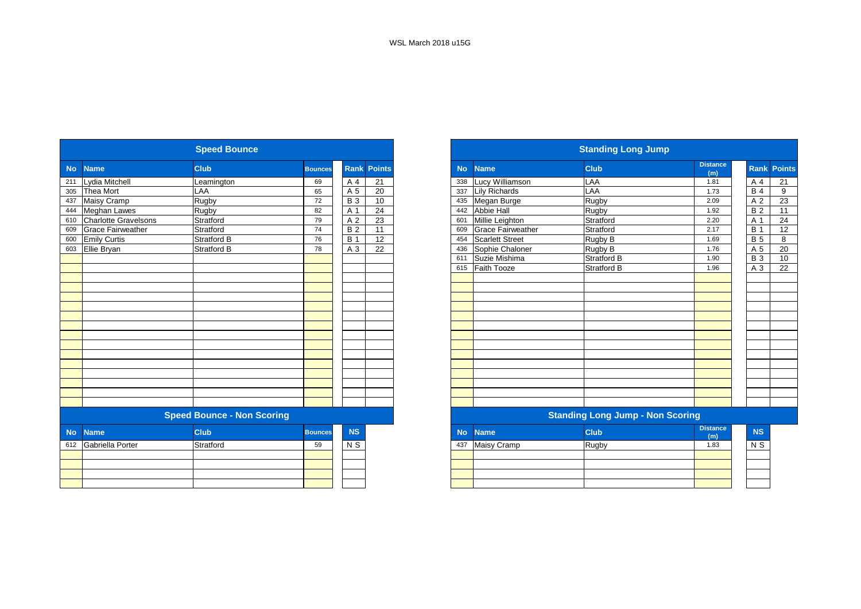|           |                             | <b>Speed Bounce</b>               |                |            |                    |           |                          | <b>Standing Long Jump</b>               |                        |
|-----------|-----------------------------|-----------------------------------|----------------|------------|--------------------|-----------|--------------------------|-----------------------------------------|------------------------|
| <b>No</b> | <b>Name</b>                 | <b>Club</b>                       | <b>Bounces</b> |            | <b>Rank Points</b> | <b>No</b> | <b>Name</b>              | <b>Club</b>                             | <b>Distance</b><br>(m) |
| 211       | Lydia Mitchell              | Leamington                        | 69             | A 4        | 21                 | 338       | Lucy Williamson          | LAA                                     | 1.81                   |
| 305       | <b>Thea Mort</b>            | LAA                               | 65             | A 5        | 20                 | 337       | <b>Lily Richards</b>     | LAA                                     | 1.73                   |
| 437       | Maisy Cramp                 | Rugby                             | 72             | <b>B</b> 3 | 10                 | 435       | Megan Burge              | Rugby                                   | 2.09                   |
| 444       | <b>Meghan Lawes</b>         | Rugby                             | 82             | A 1        | 24                 | 442       | Abbie Hall               | Rugby                                   | 1.92                   |
| 610       | <b>Charlotte Gravelsons</b> | Stratford                         | 79             | A 2        | 23                 | 601       | Millie Leighton          | Stratford                               | 2.20                   |
| 609       | <b>Grace Fairweather</b>    | Stratford                         | 74             | <b>B2</b>  | 11                 | 609       | <b>Grace Fairweather</b> | Stratford                               | 2.17                   |
| 600       | <b>Emily Curtis</b>         | <b>Stratford B</b>                | 76             | <b>B</b> 1 | 12                 | 454       | <b>Scarlett Street</b>   | Rugby B                                 | 1.69                   |
|           | 603 Ellie Bryan             | <b>Stratford B</b>                | 78             | A 3        | 22                 |           | 436 Sophie Chaloner      | Rugby B                                 | 1.76                   |
|           |                             |                                   |                |            |                    | 611       | Suzie Mishima            | Stratford B                             | 1.90                   |
|           |                             |                                   |                |            |                    | 615       | Faith Tooze              | Stratford B                             | 1.96                   |
|           |                             |                                   |                |            |                    |           |                          |                                         |                        |
|           |                             |                                   |                |            |                    |           |                          |                                         |                        |
|           |                             |                                   |                |            |                    |           |                          |                                         |                        |
|           |                             |                                   |                |            |                    |           |                          |                                         |                        |
|           |                             |                                   |                |            |                    |           |                          |                                         |                        |
|           |                             |                                   |                |            |                    |           |                          |                                         |                        |
|           |                             |                                   |                |            |                    |           |                          |                                         |                        |
|           |                             |                                   |                |            |                    |           |                          |                                         |                        |
|           |                             |                                   |                |            |                    |           |                          |                                         |                        |
|           |                             |                                   |                |            |                    |           |                          |                                         |                        |
|           |                             |                                   |                |            |                    |           |                          |                                         |                        |
|           |                             |                                   |                |            |                    |           |                          |                                         |                        |
|           |                             |                                   |                |            |                    |           |                          |                                         |                        |
|           |                             |                                   |                |            |                    |           |                          |                                         |                        |
|           |                             | <b>Speed Bounce - Non Scoring</b> |                |            |                    |           |                          | <b>Standing Long Jump - Non Scoring</b> |                        |
| <b>No</b> | <b>Name</b>                 | <b>Club</b>                       | <b>Bounces</b> | <b>NS</b>  |                    | <b>No</b> | <b>Name</b>              | <b>Club</b>                             | <b>Distance</b><br>(m) |
|           | 612 Gabriella Porter        | Stratford                         | 59             | N S        |                    | 437       | <b>Maisy Cramp</b>       | Rugby                                   | 1.83                   |
|           |                             |                                   |                |            |                    |           |                          |                                         |                        |
|           |                             |                                   |                |            |                    |           |                          |                                         |                        |
|           |                             |                                   |                |            |                    |           |                          |                                         |                        |
|           |                             |                                   |                |            |                    |           |                          |                                         |                        |

|           |                             | <b>Speed Bounce</b>               |                |             |                 |  |  |  |
|-----------|-----------------------------|-----------------------------------|----------------|-------------|-----------------|--|--|--|
| <b>No</b> | <b>Name</b>                 | <b>Club</b>                       | <b>Bounces</b> | <b>Rank</b> | <b>Points</b>   |  |  |  |
|           | Lydia Mitchell              | Leamington                        | 69             | A 4         | 21              |  |  |  |
|           | Thea Mort                   | LAA                               | 65             | A 5         | 20              |  |  |  |
|           | <b>Maisy Cramp</b>          | Rugby                             | 72             | <b>B3</b>   | 10              |  |  |  |
|           | <b>Meghan Lawes</b>         | Rugby                             | 82             | A 1         | 24              |  |  |  |
|           | <b>Charlotte Gravelsons</b> | Stratford                         | 79             | A 2         | 23              |  |  |  |
|           | <b>Grace Fairweather</b>    | Stratford                         | 74             | <b>B2</b>   | $\overline{11}$ |  |  |  |
|           | <b>Emily Curtis</b>         | <b>Stratford B</b>                | 76             | <b>B</b> 1  | $\overline{12}$ |  |  |  |
|           | Ellie Bryan                 | <b>Stratford B</b>                | 78             | A 3         | 22              |  |  |  |
|           |                             |                                   |                |             |                 |  |  |  |
|           |                             |                                   |                |             |                 |  |  |  |
|           |                             |                                   |                |             |                 |  |  |  |
|           |                             |                                   |                |             |                 |  |  |  |
|           |                             |                                   |                |             |                 |  |  |  |
|           |                             |                                   |                |             |                 |  |  |  |
|           |                             |                                   |                |             |                 |  |  |  |
|           |                             |                                   |                |             |                 |  |  |  |
|           |                             |                                   |                |             |                 |  |  |  |
|           |                             |                                   |                |             |                 |  |  |  |
|           |                             |                                   |                |             |                 |  |  |  |
|           |                             |                                   |                |             |                 |  |  |  |
|           |                             |                                   |                |             |                 |  |  |  |
|           |                             |                                   |                |             |                 |  |  |  |
|           |                             |                                   |                |             |                 |  |  |  |
|           |                             |                                   |                |             |                 |  |  |  |
|           |                             | <b>Speed Bounce - Non Scoring</b> |                |             |                 |  |  |  |
| <b>No</b> | <b>Name</b>                 | <b>Club</b>                       | <b>Bounces</b> | <b>NS</b>   |                 |  |  |  |
| 612       | Gabriella Porter            | Stratford                         | 59             | $N$ S       |                 |  |  |  |
|           |                             |                                   |                |             |                 |  |  |  |
|           |                             |                                   |                |             |                 |  |  |  |
|           |                             |                                   |                |             |                 |  |  |  |
|           |                             |                                   |                |             |                 |  |  |  |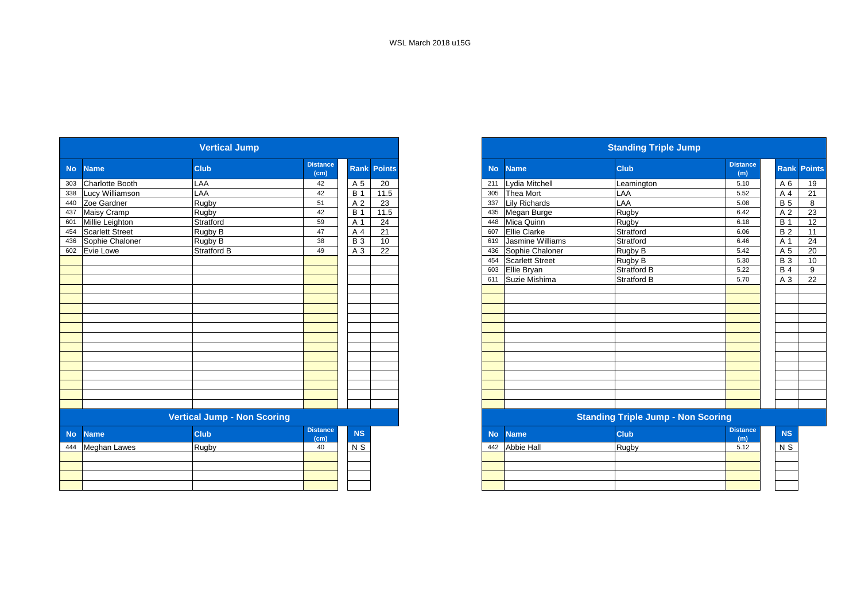|           |                        | <b>Vertical Jump</b>               |                         |            |                    |           |                        | <b>Standing Triple Jump</b>               |                        |                 |  |
|-----------|------------------------|------------------------------------|-------------------------|------------|--------------------|-----------|------------------------|-------------------------------------------|------------------------|-----------------|--|
| <b>No</b> | <b>Name</b>            | <b>Club</b>                        | <b>Distance</b><br>(cm) |            | <b>Rank Points</b> | <b>No</b> | <b>Name</b>            | <b>Club</b>                               | <b>Distance</b><br>(m) | Rank Po         |  |
| 303       | <b>Charlotte Booth</b> | LAA                                | 42                      | A 5        | 20                 | 211       | Lydia Mitchell         | Leamington                                | 5.10                   | A6              |  |
| 338       | Lucy Williamson        | LAA                                | 42                      | <b>B</b> 1 | 11.5               | 305       | <b>Thea Mort</b>       | LAA                                       | 5.52                   | A 4             |  |
| 440       | Zoe Gardner            | Rugby                              | 51                      | A 2        | 23                 | 337       | <b>Lily Richards</b>   | LAA                                       | 5.08                   | <b>B</b> 5      |  |
| 437       | Maisy Cramp            | Rugby                              | 42                      | <b>B</b> 1 | 11.5               | 435       | Megan Burge            | Rugby                                     | 6.42                   | A 2             |  |
| 601       | Millie Leighton        | Stratford                          | 59                      | A 1        | 24                 | 448       | Mica Quinn             | Rugby                                     | 6.18                   | <b>B</b> 1      |  |
| 454       | Scarlett Street        | Rugby B                            | 47                      | A 4        | 21                 | 607       | <b>Ellie Clarke</b>    | Stratford                                 | 6.06                   | B <sub>2</sub>  |  |
| 436       | Sophie Chaloner        | Rugby B                            | 38                      | <b>B</b> 3 | 10                 | 619       | Jasmine Williams       | Stratford                                 | 6.46                   | A 1             |  |
|           | 602 Evie Lowe          | Stratford B                        | 49                      | A 3        | 22                 | 436       | Sophie Chaloner        | Rugby B                                   | 5.42                   | A <sub>5</sub>  |  |
|           |                        |                                    |                         |            |                    | 454       | <b>Scarlett Street</b> | Rugby B                                   | 5.30                   | $\overline{B}3$ |  |
|           |                        |                                    |                         |            |                    | 603       | Ellie Bryan            | Stratford B                               | 5.22                   | B <sub>4</sub>  |  |
|           |                        |                                    |                         |            |                    | 611       | Suzie Mishima          | <b>Stratford B</b>                        | 5.70                   | A 3             |  |
|           |                        |                                    |                         |            |                    |           |                        |                                           |                        |                 |  |
|           |                        |                                    |                         |            |                    |           |                        |                                           |                        |                 |  |
|           |                        |                                    |                         |            |                    |           |                        |                                           |                        |                 |  |
|           |                        |                                    |                         |            |                    |           |                        |                                           |                        |                 |  |
|           |                        |                                    |                         |            |                    |           |                        |                                           |                        |                 |  |
|           |                        |                                    |                         |            |                    |           |                        |                                           |                        |                 |  |
|           |                        |                                    |                         |            |                    |           |                        |                                           |                        |                 |  |
|           |                        |                                    |                         |            |                    |           |                        |                                           |                        |                 |  |
|           |                        |                                    |                         |            |                    |           |                        |                                           |                        |                 |  |
|           |                        |                                    |                         |            |                    |           |                        |                                           |                        |                 |  |
|           |                        |                                    |                         |            |                    |           |                        |                                           |                        |                 |  |
|           |                        |                                    |                         |            |                    |           |                        |                                           |                        |                 |  |
|           |                        |                                    |                         |            |                    |           |                        |                                           |                        |                 |  |
|           |                        | <b>Vertical Jump - Non Scoring</b> |                         |            |                    |           |                        | <b>Standing Triple Jump - Non Scoring</b> |                        |                 |  |
| <b>No</b> | <b>Name</b>            | <b>Club</b>                        | <b>Distance</b><br>(cm) | NS         |                    | <b>No</b> | <b>Name</b>            | <b>Club</b>                               | <b>Distance</b><br>(m) | NS              |  |
| 444       | <b>Meghan Lawes</b>    | Rugby                              | 40                      | $N$ S      |                    | 442       | <b>Abbie Hall</b>      | Rugby                                     | 5.12                   | $N$ S           |  |
|           |                        |                                    |                         |            |                    |           |                        |                                           |                        |                 |  |
|           |                        |                                    |                         |            |                    |           |                        |                                           |                        |                 |  |
|           |                        |                                    |                         |            |                    |           |                        |                                           |                        |                 |  |
|           |                        |                                    |                         |            |                    |           |                        |                                           |                        |                 |  |

|                                    |                                                                | <b>Vertical Jump</b> |                         |                  |                    |
|------------------------------------|----------------------------------------------------------------|----------------------|-------------------------|------------------|--------------------|
|                                    | No Name                                                        | <b>Club</b>          | <b>Distance</b><br>(cm) |                  | <b>Rank Points</b> |
|                                    | 303 Charlotte Booth                                            | LAA                  | 42                      | A 5              | 20                 |
|                                    | 338 Lucy Williamson                                            | LAA                  | 42                      | <b>B</b> 1       | 11.5               |
|                                    | 440 Zoe Gardner                                                | Rugby                | 51                      | A <sub>2</sub>   | 23                 |
| 437<br>601                         | Maisy Cramp                                                    | Rugby                | 42                      | B <sub>1</sub>   | 11.5               |
|                                    | Millie Leighton                                                | Stratford            | 59                      | A 1              | 24                 |
|                                    | 454 Scarlett Street                                            | Rugby B              | 47                      | A 4              | 21                 |
|                                    | 436 Sophie Chaloner                                            | Rugby B              | 38                      | <b>B</b> 3       | 10                 |
|                                    | 602 Evie Lowe                                                  | <b>Stratford B</b>   | 49                      | A 3              | 22                 |
|                                    |                                                                |                      |                         |                  |                    |
|                                    |                                                                |                      |                         |                  |                    |
|                                    |                                                                |                      |                         |                  |                    |
|                                    |                                                                |                      |                         |                  |                    |
|                                    |                                                                |                      |                         |                  |                    |
|                                    |                                                                |                      |                         |                  |                    |
|                                    |                                                                |                      |                         |                  |                    |
|                                    |                                                                |                      |                         |                  |                    |
|                                    |                                                                |                      |                         |                  |                    |
|                                    |                                                                |                      |                         |                  |                    |
|                                    |                                                                |                      |                         |                  |                    |
|                                    |                                                                |                      |                         |                  |                    |
|                                    |                                                                |                      |                         |                  |                    |
|                                    |                                                                |                      |                         |                  |                    |
|                                    |                                                                |                      |                         |                  |                    |
|                                    |                                                                |                      |                         |                  |                    |
| <b>Vertical Jump - Non Scoring</b> |                                                                |                      |                         |                  |                    |
|                                    | No Name                                                        | <b>Club</b>          | <b>Distance</b><br>(cm) | <b>NS</b>        |                    |
|                                    | $\overline{AB}$ <b>M</b> $\overline{AB}$ where $\overline{AB}$ | $n_{\rm{max}}$       | $\sim$                  | $\overline{110}$ |                    |

|     | No Name    | <b>IClub</b> | .<br>(m) | NS.            |
|-----|------------|--------------|----------|----------------|
| 442 | Abbie Hall | Rugby        | 5.12     | N <sub>S</sub> |
|     |            |              |          |                |
|     |            |              |          |                |
|     |            |              |          |                |
|     |            |              |          |                |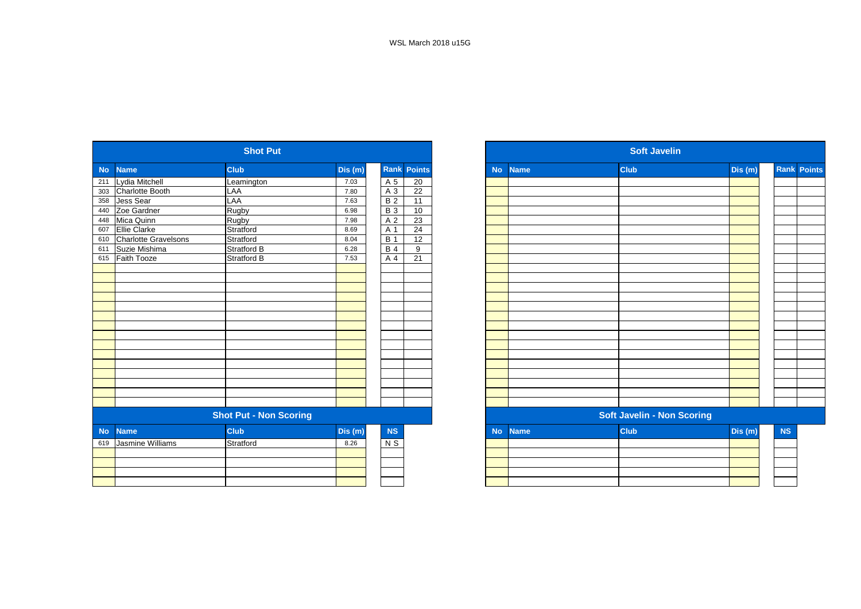|           |                          | <b>Shot Put</b>               |         |                  |                    |           |             | <b>Soft Javelin</b>               |         |
|-----------|--------------------------|-------------------------------|---------|------------------|--------------------|-----------|-------------|-----------------------------------|---------|
| <b>No</b> | <b>Name</b>              | <b>Club</b>                   | Dis (m) |                  | <b>Rank Points</b> | <b>No</b> | <b>Name</b> | <b>Club</b>                       | Dis (m) |
| 211       | Lydia Mitchell           | Leamington                    | 7.03    | A 5              | 20                 |           |             |                                   |         |
| 303       | Charlotte Booth          | LAA                           | 7.80    | A 3              | 22                 |           |             |                                   |         |
| 358       | Jess Sear                | LAA                           | 7.63    | $\overline{B}$ 2 | 11                 |           |             |                                   |         |
| 440       | Zoe Gardner              | Rugby                         | 6.98    | <b>B3</b>        | 10                 |           |             |                                   |         |
| 448       | Mica Quinn               | Rugby                         | 7.98    | A <sub>2</sub>   | 23                 |           |             |                                   |         |
| 607       | <b>Ellie Clarke</b>      | Stratford                     | 8.69    | A 1              | 24                 |           |             |                                   |         |
|           | 610 Charlotte Gravelsons | Stratford                     | 8.04    | <b>B</b> 1       | $\overline{12}$    |           |             |                                   |         |
| 611       | Suzie Mishima            | <b>Stratford B</b>            | 6.28    | <b>B</b> 4       | 9                  |           |             |                                   |         |
| 615       | <b>Faith Tooze</b>       | Stratford B                   | 7.53    | A 4              | 21                 |           |             |                                   |         |
|           |                          |                               |         |                  |                    |           |             |                                   |         |
|           |                          |                               |         |                  |                    |           |             |                                   |         |
|           |                          |                               |         |                  |                    |           |             |                                   |         |
|           |                          |                               |         |                  |                    |           |             |                                   |         |
|           |                          |                               |         |                  |                    |           |             |                                   |         |
|           |                          |                               |         |                  |                    |           |             |                                   |         |
|           |                          |                               |         |                  |                    |           |             |                                   |         |
|           |                          |                               |         |                  |                    |           |             |                                   |         |
|           |                          |                               |         |                  |                    |           |             |                                   |         |
|           |                          |                               |         |                  |                    |           |             |                                   |         |
|           |                          |                               |         |                  |                    |           |             |                                   |         |
|           |                          |                               |         |                  |                    |           |             |                                   |         |
|           |                          |                               |         |                  |                    |           |             |                                   |         |
|           |                          |                               |         |                  |                    |           |             |                                   |         |
|           |                          |                               |         |                  |                    |           |             |                                   |         |
|           |                          | <b>Shot Put - Non Scoring</b> |         |                  |                    |           |             | <b>Soft Javelin - Non Scoring</b> |         |
| <b>No</b> | <b>Name</b>              | <b>Club</b>                   | Dis(m)  | NS               |                    | <b>No</b> | <b>Name</b> | <b>Club</b>                       | Dis (m) |
| 619       | Jasmine Williams         | Stratford                     | 8.26    | $N$ S            |                    |           |             |                                   |         |
|           |                          |                               |         |                  |                    |           |             |                                   |         |
|           |                          |                               |         |                  |                    |           |             |                                   |         |
|           |                          |                               |         |                  |                    |           |             |                                   |         |
|           |                          |                               |         |                  |                    |           |             |                                   |         |

|     |                          | <b>Shot Put</b>               |         |            |                    |           |             | <b>Soft Javelin</b>               |        |           |                    |
|-----|--------------------------|-------------------------------|---------|------------|--------------------|-----------|-------------|-----------------------------------|--------|-----------|--------------------|
|     | No Name                  | <b>Club</b>                   | Dis (m) |            | <b>Rank Points</b> | <b>No</b> | <b>Name</b> | <b>Club</b>                       | Dis(m) |           | <b>Rank Points</b> |
|     | 211 Lydia Mitchell       | Leamington                    | 7.03    | A 5        | 20                 |           |             |                                   |        |           |                    |
|     | 303 Charlotte Booth      | LAA                           | 7.80    | A 3        | 22                 |           |             |                                   |        |           |                    |
|     | 358 Jess Sear            | LAA                           | 7.63    | <b>B2</b>  | 11                 |           |             |                                   |        |           |                    |
|     | 440 Zoe Gardner          | Rugby                         | 6.98    | <b>B3</b>  | 10                 |           |             |                                   |        |           |                    |
|     | 448 Mica Quinn           | Rugby                         | 7.98    | A 2        | 23                 |           |             |                                   |        |           |                    |
| 607 | <b>Ellie Clarke</b>      | Stratford                     | 8.69    | A 1        | $\overline{24}$    |           |             |                                   |        |           |                    |
|     | 610 Charlotte Gravelsons | Stratford                     | 8.04    | <b>B</b> 1 | 12                 |           |             |                                   |        |           |                    |
|     | 611 Suzie Mishima        | Stratford B                   | 6.28    | <b>B</b> 4 | 9                  |           |             |                                   |        |           |                    |
|     | 615 Faith Tooze          | <b>Stratford B</b>            | 7.53    | A 4        | 21                 |           |             |                                   |        |           |                    |
|     |                          |                               |         |            |                    |           |             |                                   |        |           |                    |
|     |                          |                               |         |            |                    |           |             |                                   |        |           |                    |
|     |                          |                               |         |            |                    |           |             |                                   |        |           |                    |
|     |                          |                               |         |            |                    |           |             |                                   |        |           |                    |
|     |                          |                               |         |            |                    |           |             |                                   |        |           |                    |
|     |                          |                               |         |            |                    |           |             |                                   |        |           |                    |
|     |                          |                               |         |            |                    |           |             |                                   |        |           |                    |
|     |                          |                               |         |            |                    |           |             |                                   |        |           |                    |
|     |                          |                               |         |            |                    |           |             |                                   |        |           |                    |
|     |                          |                               |         |            |                    |           |             |                                   |        |           |                    |
|     |                          |                               |         |            |                    |           |             |                                   |        |           |                    |
|     |                          |                               |         |            |                    |           |             |                                   |        |           |                    |
|     |                          |                               |         |            |                    |           |             |                                   |        |           |                    |
|     |                          |                               |         |            |                    |           |             |                                   |        |           |                    |
|     |                          |                               |         |            |                    |           |             |                                   |        |           |                    |
|     |                          | <b>Shot Put - Non Scoring</b> |         |            |                    |           |             | <b>Soft Javelin - Non Scoring</b> |        |           |                    |
|     | No Name                  | <b>Club</b>                   | Dis (m) | <b>NS</b>  |                    | <b>No</b> | <b>Name</b> | <b>Club</b>                       | Dis(m) | <b>NS</b> |                    |
|     | 619 Jasmine Williams     | Stratford                     | 8.26    | $N$ S      |                    |           |             |                                   |        |           |                    |
|     |                          |                               |         |            |                    |           |             |                                   |        |           |                    |
|     |                          |                               |         |            |                    |           |             |                                   |        |           |                    |
|     |                          |                               |         |            |                    |           |             |                                   |        |           |                    |
|     |                          |                               |         |            |                    |           |             |                                   |        |           |                    |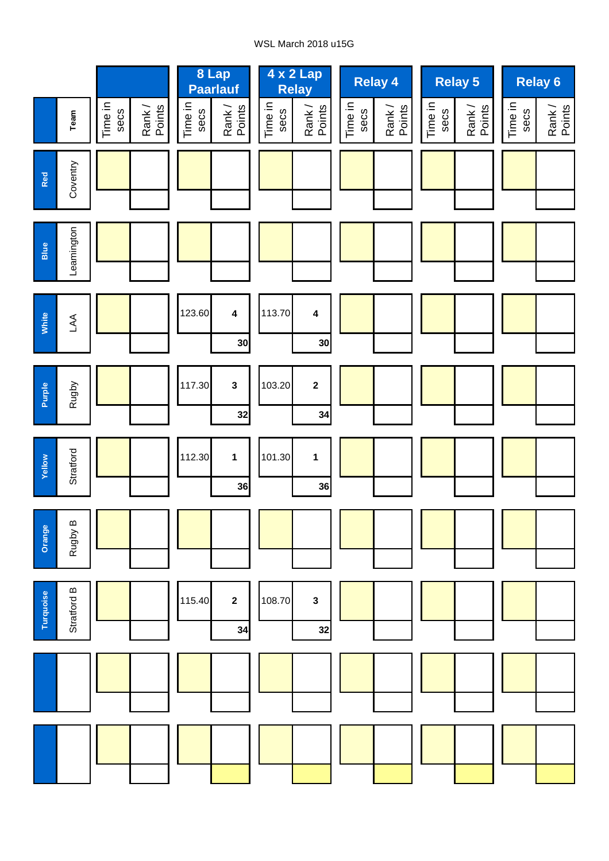## WSL March 2018 u15G

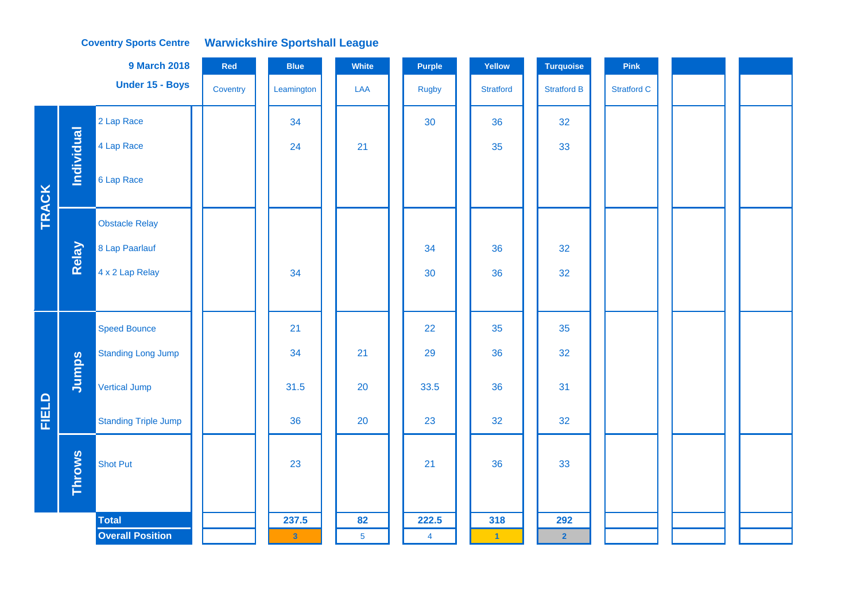#### **Coventry Sports Centre Warwickshire Sportshall League**

|              |                   | <b>9 March 2018</b>         | Red      | <b>Blue</b>             | White          | Purple         | Yellow               | <b>Turquoise</b>   | Pink               |  |  |
|--------------|-------------------|-----------------------------|----------|-------------------------|----------------|----------------|----------------------|--------------------|--------------------|--|--|
|              |                   | Under 15 - Boys             | Coventry | Leamington              | LAA            | <b>Rugby</b>   | <b>Stratford</b>     | <b>Stratford B</b> | <b>Stratford C</b> |  |  |
|              |                   | 2 Lap Race                  |          | 34                      |                | 30             | 36                   | 32                 |                    |  |  |
|              | <b>Individual</b> | 4 Lap Race                  |          | 24                      | 21             |                | 35                   | 33                 |                    |  |  |
| <b>TRACK</b> |                   | 6 Lap Race                  |          |                         |                |                |                      |                    |                    |  |  |
|              |                   | <b>Obstacle Relay</b>       |          |                         |                |                |                      |                    |                    |  |  |
|              | Relay             | 8 Lap Paarlauf              |          |                         |                | 34             | 36                   | 32                 |                    |  |  |
|              |                   | 4 x 2 Lap Relay             |          | 34                      |                | 30             | 36                   | 32                 |                    |  |  |
|              |                   |                             |          |                         |                |                |                      |                    |                    |  |  |
|              |                   | <b>Speed Bounce</b>         |          | 21                      |                | 22             | 35                   | 35                 |                    |  |  |
|              |                   | <b>Standing Long Jump</b>   |          | 34                      | 21             | 29             | 36                   | 32                 |                    |  |  |
|              | Jumps             | <b>Vertical Jump</b>        |          | 31.5                    | 20             | 33.5           | 36                   | 31                 |                    |  |  |
| <b>FIELD</b> |                   | <b>Standing Triple Jump</b> |          | 36                      | 20             | 23             | 32                   | 32                 |                    |  |  |
|              | <b>Throws</b>     | <b>Shot Put</b>             |          | 23                      |                | 21             | 36                   | 33                 |                    |  |  |
|              |                   | <b>Total</b>                |          | 237.5                   | 82             | 222.5          | 318                  | 292                |                    |  |  |
|              |                   | <b>Overall Position</b>     |          | $\overline{\mathbf{3}}$ | 5 <sup>5</sup> | $\overline{4}$ | $\blacktriangleleft$ | $\overline{2}$     |                    |  |  |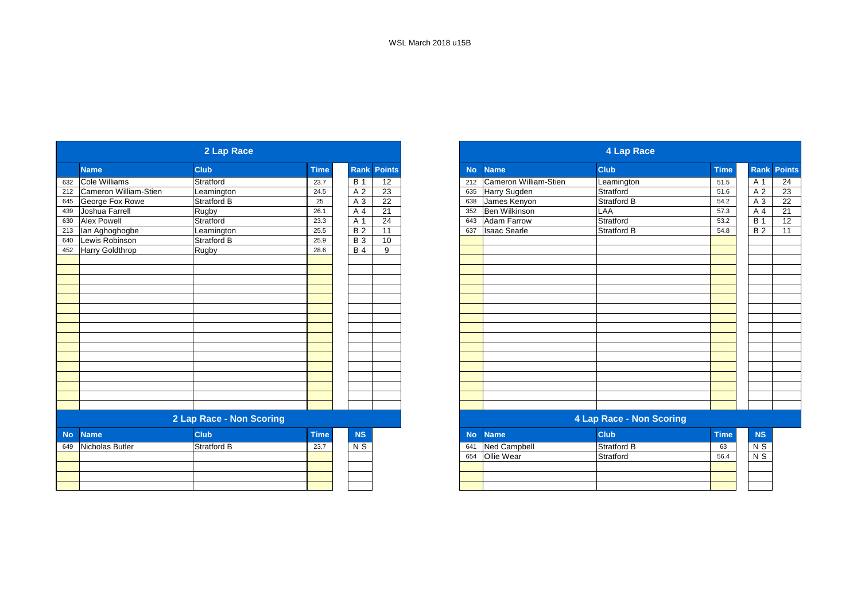|           |                        | 2 Lap Race               |             |                |                 |           |                       | 4 Lap Race               |             |                |                  |
|-----------|------------------------|--------------------------|-------------|----------------|-----------------|-----------|-----------------------|--------------------------|-------------|----------------|------------------|
|           | <b>Name</b>            | <b>Club</b>              | <b>Time</b> | Rank           | <b>Points</b>   | <b>No</b> | <b>Name</b>           | <b>Club</b>              | <b>Time</b> |                | <b>Rank Poin</b> |
| 632       | Cole Williams          | Stratford                | 23.7        | <b>B</b> 1     | $\overline{12}$ | 212       | Cameron William-Stien | Leamington               | 51.5        |                | A 1              |
| 212       | Cameron William-Stien  | Leamington               | 24.5        | A 2            | 23              | 635       | Harry Sugden          | Stratford                | 51.6        | A 2            |                  |
| 645       | George Fox Rowe        | Stratford B              | 25          | A 3            | 22              | 638       | James Kenyon          | Stratford B              | 54.2        | A 3            |                  |
| 439       | Joshua Farrell         | Rugby                    | 26.1        | A              | 21              | 352       | Ben Wilkinson         | <b>LAA</b>               | 57.3        | A 4            |                  |
| 630       | <b>Alex Powell</b>     | Stratford                | 23.3        | A 1            | 24              | 643       | Adam Farrow           | Stratford                | 53.2        | <b>B</b> 1     |                  |
| 213       | lan Aghoghogbe         | Leamington               | 25.5        | B <sub>2</sub> | 11              | 637       | <b>Isaac Searle</b>   | Stratford B              | 54.8        | $\overline{B}$ |                  |
| 640       | Lewis Robinson         | Stratford B              | 25.9        | <b>B</b> 3     | 10              |           |                       |                          |             |                |                  |
| 452       | <b>Harry Goldthrop</b> | Rugby                    | 28.6        | <b>B</b> 4     | 9               |           |                       |                          |             |                |                  |
|           |                        |                          |             |                |                 |           |                       |                          |             |                |                  |
|           |                        |                          |             |                |                 |           |                       |                          |             |                |                  |
|           |                        |                          |             |                |                 |           |                       |                          |             |                |                  |
|           |                        |                          |             |                |                 |           |                       |                          |             |                |                  |
|           |                        |                          |             |                |                 |           |                       |                          |             |                |                  |
|           |                        |                          |             |                |                 |           |                       |                          |             |                |                  |
|           |                        |                          |             |                |                 |           |                       |                          |             |                |                  |
|           |                        |                          |             |                |                 |           |                       |                          |             |                |                  |
|           |                        |                          |             |                |                 |           |                       |                          |             |                |                  |
|           |                        |                          |             |                |                 |           |                       |                          |             |                |                  |
|           |                        |                          |             |                |                 |           |                       |                          |             |                |                  |
|           |                        |                          |             |                |                 |           |                       |                          |             |                |                  |
|           |                        | 2 Lap Race - Non Scoring |             |                |                 |           |                       | 4 Lap Race - Non Scoring |             |                |                  |
| <b>No</b> | <b>Name</b>            | <b>Club</b>              | <b>Time</b> | <b>NS</b>      |                 | <b>No</b> | <b>Name</b>           | <b>Club</b>              | <b>Time</b> | <b>NS</b>      |                  |
| 649       | Nicholas Butler        | Stratford B              | 23.7        | N S            |                 | 641       | <b>Ned Campbell</b>   | <b>Stratford B</b>       | 63          | $N$ S          |                  |
|           |                        |                          |             |                |                 | 654       | Ollie Wear            | Stratford                | 56.4        | N S            |                  |
|           |                        |                          |             |                |                 |           |                       |                          |             |                |                  |
|           |                        |                          |             |                |                 |           |                       |                          |             |                |                  |
|           |                        |                          |             |                |                 |           |                       |                          |             |                |                  |

|                       | 2 Lap Race               |             |            |                    |
|-----------------------|--------------------------|-------------|------------|--------------------|
| <b>Name</b>           | <b>Club</b>              | <b>Time</b> |            | <b>Rank Points</b> |
| Cole Williams         | Stratford                | 23.7        | <b>B</b> 1 | 12                 |
| Cameron William-Stien | Leamington               | 24.5        | A 2        | 23                 |
| George Fox Rowe       | Stratford B              | 25          | A 3        | 22                 |
| Joshua Farrell        | Rugby                    | 26.1        | A 4        | $\overline{21}$    |
| <b>Alex Powell</b>    | Stratford                | 23.3        | A 1        | 24                 |
| lan Aghoghogbe        | Leamington               | 25.5        | <b>B2</b>  | 11                 |
| Lewis Robinson        | Stratford B              | 25.9        | <b>B</b> 3 | 10                 |
| Harry Goldthrop       | Rugby                    | 28.6        | <b>B</b> 4 | 9                  |
|                       |                          |             |            |                    |
|                       |                          |             |            |                    |
|                       |                          |             |            |                    |
|                       |                          |             |            |                    |
|                       |                          |             |            |                    |
|                       |                          |             |            |                    |
|                       |                          |             |            |                    |
|                       |                          |             |            |                    |
|                       |                          |             |            |                    |
|                       |                          |             |            |                    |
|                       |                          |             |            |                    |
|                       |                          |             |            |                    |
|                       |                          |             |            |                    |
|                       |                          |             |            |                    |
|                       |                          |             |            |                    |
|                       |                          |             |            |                    |
|                       | 2 Lap Race - Non Scoring |             |            |                    |

| <b>NS</b>  | No. | <b>Name</b>         | <b>Club</b>        | <b>Time</b> | <b>NS</b> |  |
|------------|-----|---------------------|--------------------|-------------|-----------|--|
| <u>\ S</u> | 641 | <b>Ned Campbell</b> | <b>Stratford B</b> | 63          | N S       |  |
|            | 654 | Ollie Wear          | Stratford          | 56.4        | N S       |  |
|            |     |                     |                    |             |           |  |
|            |     |                     |                    |             |           |  |
|            |     |                     |                    |             |           |  |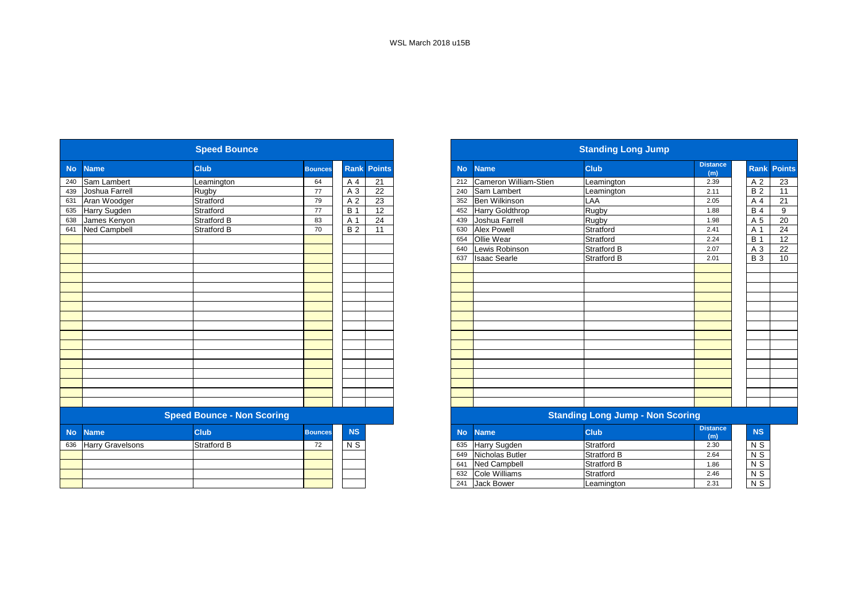|           |                         | <b>Speed Bounce</b>               |                |                |               |           |                        | <b>Standing Long Jump</b>               |                        |
|-----------|-------------------------|-----------------------------------|----------------|----------------|---------------|-----------|------------------------|-----------------------------------------|------------------------|
| <b>No</b> | <b>Name</b>             | <b>Club</b>                       | <b>Bounces</b> | Rank           | <b>Points</b> | <b>No</b> | <b>Name</b>            | <b>Club</b>                             | <b>Distance</b><br>(m) |
| 240       | Sam Lambert             | Leamington                        | 64             | A 4            | 21            | 212       | Cameron William-Stien  | Leamington                              | 2.39                   |
| 439       | Joshua Farrell          | Rugby                             | 77             | A 3            | 22            | 240       | Sam Lambert            | Leamington                              | 2.11                   |
| 631       | Aran Woodger            | Stratford                         | 79             | A 2            | 23            | 352       | <b>Ben Wilkinson</b>   | LAA                                     | 2.05                   |
| 635       | Harry Sugden            | Stratford                         | 77             | <b>B</b> 1     | 12            | 452       | <b>Harry Goldthrop</b> | Rugby                                   | 1.88                   |
| 638       | James Kenyon            | <b>Stratford B</b>                | 83             | A 1            | 24            | 439       | Joshua Farrell         | Rugby                                   | 1.98                   |
| 641       | <b>Ned Campbell</b>     | <b>Stratford B</b>                | 70             | <b>B2</b>      | 11            | 630       | <b>Alex Powell</b>     | Stratford                               | 2.41                   |
|           |                         |                                   |                |                |               | 654       | <b>Ollie Wear</b>      | Stratford                               | 2.24                   |
|           |                         |                                   |                |                |               | 640       | Lewis Robinson         | Stratford B                             | 2.07                   |
|           |                         |                                   |                |                |               | 637       | <b>Isaac Searle</b>    | <b>Stratford B</b>                      | 2.01                   |
|           |                         |                                   |                |                |               |           |                        |                                         |                        |
|           |                         |                                   |                |                |               |           |                        |                                         |                        |
|           |                         |                                   |                |                |               |           |                        |                                         |                        |
|           |                         |                                   |                |                |               |           |                        |                                         |                        |
|           |                         |                                   |                |                |               |           |                        |                                         |                        |
|           |                         |                                   |                |                |               |           |                        |                                         |                        |
|           |                         |                                   |                |                |               |           |                        |                                         |                        |
|           |                         |                                   |                |                |               |           |                        |                                         |                        |
|           |                         |                                   |                |                |               |           |                        |                                         |                        |
|           |                         |                                   |                |                |               |           |                        |                                         |                        |
|           |                         |                                   |                |                |               |           |                        |                                         |                        |
|           |                         |                                   |                |                |               |           |                        |                                         |                        |
|           |                         |                                   |                |                |               |           |                        |                                         |                        |
|           |                         |                                   |                |                |               |           |                        |                                         |                        |
|           |                         |                                   |                |                |               |           |                        |                                         |                        |
|           |                         | <b>Speed Bounce - Non Scoring</b> |                |                |               |           |                        | <b>Standing Long Jump - Non Scoring</b> |                        |
| <b>No</b> | <b>Name</b>             | <b>Club</b>                       | <b>Bounces</b> | <b>NS</b>      |               | <b>No</b> | <b>Name</b>            | <b>Club</b>                             | <b>Distance</b><br>(m) |
| 636       | <b>Harry Gravelsons</b> | <b>Stratford B</b>                | 72             | N <sub>S</sub> |               | 635       | Harry Sugden           | Stratford                               | 2.30                   |
|           |                         |                                   |                |                |               | 649       | Nicholas Butler        | <b>Stratford B</b>                      | 2.64                   |
|           |                         |                                   |                |                |               | 641       | <b>Ned Campbell</b>    | <b>Stratford B</b>                      | 1.86                   |
|           |                         |                                   |                |                |               | 632       | Cole Williams          | Stratford                               | 2.46                   |
|           |                         |                                   |                |                |               | 241       | <b>Jack Bower</b>      | Leamington                              | 2.31                   |

|           |                         | <b>Speed Bounce</b>               |                |                |                    |           |                        | <b>Standing Long Jump</b>               |                        |                    |    |
|-----------|-------------------------|-----------------------------------|----------------|----------------|--------------------|-----------|------------------------|-----------------------------------------|------------------------|--------------------|----|
| <b>No</b> | <b>Name</b>             | <b>Club</b>                       | <b>Bounces</b> |                | <b>Rank Points</b> | <b>No</b> | <b>Name</b>            | <b>Club</b>                             | <b>Distance</b><br>(m) | <b>Rank Points</b> |    |
| 240       | Sam Lambert             | Leamington                        | 64             | A 4            | 21                 | 212       | Cameron William-Stien  | Leamington                              | 2.39                   | A 2                | 23 |
| 439       | Joshua Farrell          | <b>Rugby</b>                      | 77             | A 3            | $\overline{22}$    | 240       | Sam Lambert            | Leamington                              | 2.11                   | <b>B2</b>          | 11 |
| 631       | Aran Woodger            | Stratford                         | 79             | A <sub>2</sub> | 23                 | 352       | <b>Ben Wilkinson</b>   | LAA                                     | 2.05                   | A 4                | 21 |
| 635       | Harry Sugden            | Stratford                         | 77             | <b>B</b> 1     | 12                 | 452       | <b>Harry Goldthrop</b> | Rugby                                   | 1.88                   | $\overline{B4}$    | 9  |
| 638       | James Kenyon            | <b>Stratford B</b>                | 83             | A 1            | 24                 | 439       | Joshua Farrell         | Rugby                                   | 1.98                   | A 5                | 20 |
| 641       | <b>Ned Campbell</b>     | <b>Stratford B</b>                | 70             | <b>B2</b>      | 11                 | 630       | <b>Alex Powell</b>     | Stratford                               | 2.41                   | A 1                | 24 |
|           |                         |                                   |                |                |                    | 654       | Ollie Wear             | Stratford                               | 2.24                   | <b>B</b> 1         | 12 |
|           |                         |                                   |                |                |                    | 640       | Lewis Robinson         | <b>Stratford B</b>                      | 2.07                   | A 3                | 22 |
|           |                         |                                   |                |                |                    | 637       | <b>Isaac Searle</b>    | Stratford B                             | 2.01                   | <b>B</b> 3         | 10 |
|           |                         |                                   |                |                |                    |           |                        |                                         |                        |                    |    |
|           |                         |                                   |                |                |                    |           |                        |                                         |                        |                    |    |
|           |                         |                                   |                |                |                    |           |                        |                                         |                        |                    |    |
|           |                         |                                   |                |                |                    |           |                        |                                         |                        |                    |    |
|           |                         |                                   |                |                |                    |           |                        |                                         |                        |                    |    |
|           |                         |                                   |                |                |                    |           |                        |                                         |                        |                    |    |
|           |                         |                                   |                |                |                    |           |                        |                                         |                        |                    |    |
|           |                         |                                   |                |                |                    |           |                        |                                         |                        |                    |    |
|           |                         |                                   |                |                |                    |           |                        |                                         |                        |                    |    |
|           |                         |                                   |                |                |                    |           |                        |                                         |                        |                    |    |
|           |                         |                                   |                |                |                    |           |                        |                                         |                        |                    |    |
|           |                         |                                   |                |                |                    |           |                        |                                         |                        |                    |    |
|           |                         |                                   |                |                |                    |           |                        |                                         |                        |                    |    |
|           |                         |                                   |                |                |                    |           |                        |                                         |                        |                    |    |
|           |                         |                                   |                |                |                    |           |                        |                                         |                        |                    |    |
|           |                         | <b>Speed Bounce - Non Scoring</b> |                |                |                    |           |                        | <b>Standing Long Jump - Non Scoring</b> |                        |                    |    |
| <b>No</b> | <b>Name</b>             | <b>Club</b>                       | <b>Bounces</b> | <b>NS</b>      |                    | <b>No</b> | <b>Name</b>            | <b>Club</b>                             | <b>Distance</b><br>(m) | <b>NS</b>          |    |
| 636       | <b>Harry Gravelsons</b> | <b>Stratford B</b>                | 72             | N S            |                    | 635       | Harry Sugden           | Stratford                               | 2.30                   | N S                |    |
|           |                         |                                   |                |                |                    | 649       | <b>Nicholas Butler</b> | Stratford B                             | 2.64                   | $N$ S              |    |
|           |                         |                                   |                |                |                    | 641       | <b>Ned Campbell</b>    | <b>Stratford B</b>                      | 1.86                   | $N$ S              |    |
|           |                         |                                   |                |                |                    | 632       | <b>Cole Williams</b>   | Stratford                               | 2.46                   | $N$ S              |    |
|           |                         |                                   |                |                |                    | 241       | Jack Bower             | Leamington                              | 2.31                   | $N$ S              |    |
|           |                         |                                   |                |                |                    |           |                        |                                         |                        |                    |    |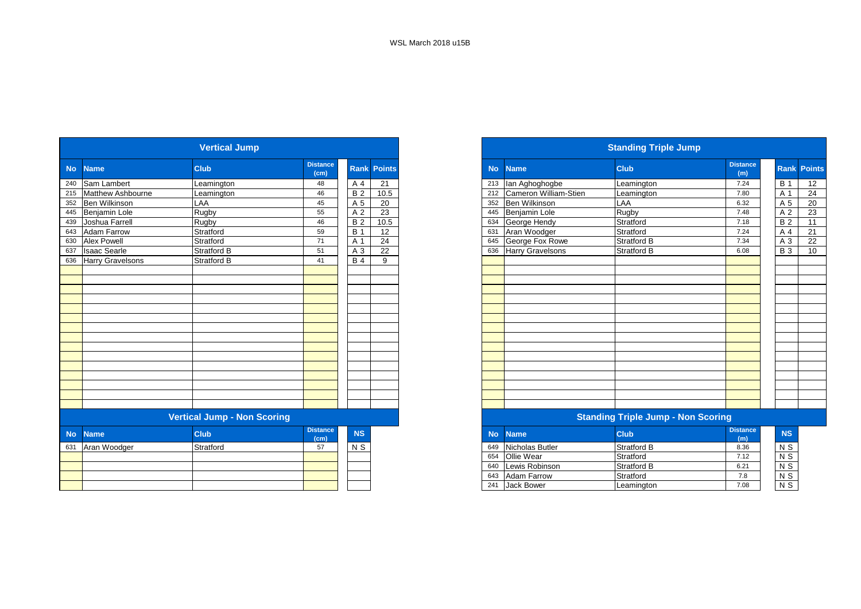|           |                         | <b>Vertical Jump</b>               |                         |                |                 |           |                         | <b>Standing Triple Jump</b>               |                        |                  |  |
|-----------|-------------------------|------------------------------------|-------------------------|----------------|-----------------|-----------|-------------------------|-------------------------------------------|------------------------|------------------|--|
| <b>No</b> | <b>Name</b>             | <b>Club</b>                        | <b>Distance</b><br>(cm) | <b>Rank</b>    | <b>Points</b>   | <b>No</b> | <b>Name</b>             | <b>Club</b>                               | <b>Distance</b><br>(m) | Rank Po          |  |
| 240       | Sam Lambert             | Leamington                         | 48                      | A 4            | $\overline{21}$ | 213       | lan Aghoghogbe          | Leamington                                | 7.24                   | $\overline{B}$ 1 |  |
| 215       | Matthew Ashbourne       | Leamington                         | 46                      | <b>B2</b>      | 10.5            | 212       | Cameron William-Stien   | Leamington                                | 7.80                   | A 1              |  |
| 352       | Ben Wilkinson           | LAA                                | 45                      | A 5            | 20              | 352       | <b>Ben Wilkinson</b>    | LAA                                       | 6.32                   | A 5              |  |
| 445       | Benjamin Lole           | Rugby                              | 55                      | A <sub>2</sub> | 23              | 445       | Benjamin Lole           | Rugby                                     | 7.48                   | A <sub>2</sub>   |  |
| 439       | Joshua Farrell          | <b>Rugby</b>                       | 46                      | <b>B2</b>      | 10.5            | 634       | George Hendy            | Stratford                                 | 7.18                   | <b>B2</b>        |  |
| 643       | <b>Adam Farrow</b>      | Stratford                          | 59                      | <b>B</b> 1     | 12              | 631       | Aran Woodger            | Stratford                                 | 7.24                   | A 4              |  |
| 630       | <b>Alex Powell</b>      | Stratford                          | 71                      | A 1            | 24              | 645       | George Fox Rowe         | Stratford B                               | 7.34                   | A 3              |  |
| 637       | <b>Isaac Searle</b>     | <b>Stratford B</b>                 | 51                      | A 3            | 22              | 636       | <b>Harry Gravelsons</b> | <b>Stratford B</b>                        | 6.08                   | $B_3$            |  |
| 636       | <b>Harry Gravelsons</b> | Stratford B                        | 41                      | <b>B4</b>      | 9               |           |                         |                                           |                        |                  |  |
|           |                         |                                    |                         |                |                 |           |                         |                                           |                        |                  |  |
|           |                         |                                    |                         |                |                 |           |                         |                                           |                        |                  |  |
|           |                         |                                    |                         |                |                 |           |                         |                                           |                        |                  |  |
|           |                         |                                    |                         |                |                 |           |                         |                                           |                        |                  |  |
|           |                         |                                    |                         |                |                 |           |                         |                                           |                        |                  |  |
|           |                         |                                    |                         |                |                 |           |                         |                                           |                        |                  |  |
|           |                         |                                    |                         |                |                 |           |                         |                                           |                        |                  |  |
|           |                         |                                    |                         |                |                 |           |                         |                                           |                        |                  |  |
|           |                         |                                    |                         |                |                 |           |                         |                                           |                        |                  |  |
|           |                         |                                    |                         |                |                 |           |                         |                                           |                        |                  |  |
|           |                         |                                    |                         |                |                 |           |                         |                                           |                        |                  |  |
|           |                         |                                    |                         |                |                 |           |                         |                                           |                        |                  |  |
|           |                         |                                    |                         |                |                 |           |                         |                                           |                        |                  |  |
|           |                         |                                    |                         |                |                 |           |                         |                                           |                        |                  |  |
|           |                         |                                    |                         |                |                 |           |                         |                                           |                        |                  |  |
|           |                         | <b>Vertical Jump - Non Scoring</b> |                         |                |                 |           |                         | <b>Standing Triple Jump - Non Scoring</b> |                        |                  |  |
| <b>No</b> | <b>Name</b>             | <b>Club</b>                        | <b>Distance</b><br>(cm) | <b>NS</b>      |                 | <b>No</b> | <b>Name</b>             | <b>Club</b>                               | <b>Distance</b><br>(m) | <b>NS</b>        |  |
| 631       | Aran Woodger            | Stratford                          | 57                      | $\overline{N}$ |                 | 649       | Nicholas Butler         | <b>Stratford B</b>                        | 8.36                   | N S              |  |
|           |                         |                                    |                         |                |                 | 654       | <b>Ollie Wear</b>       | Stratford                                 | 7.12                   | $N$ S            |  |
|           |                         |                                    |                         |                |                 | 640       | Lewis Robinson          | <b>Stratford B</b>                        | 6.21                   | $N$ S            |  |
|           |                         |                                    |                         |                |                 | 643       | <b>Adam Farrow</b>      | Stratford                                 | 7.8                    | $N$ S            |  |
|           |                         |                                    |                         |                |                 | 241       | <b>Jack Bower</b>       | Leamington                                | 7.08                   | $N$ S            |  |
|           |                         |                                    |                         |                |                 |           |                         |                                           |                        |                  |  |

|     |                       | <b>Vertical Jump</b>                                                                                            |                         |                |                    |           |                         | <b>Standing Triple Jump</b>                                                                                     |                        |                  |                    |
|-----|-----------------------|-----------------------------------------------------------------------------------------------------------------|-------------------------|----------------|--------------------|-----------|-------------------------|-----------------------------------------------------------------------------------------------------------------|------------------------|------------------|--------------------|
|     | No Name               | <b>Club</b>                                                                                                     | <b>Distance</b><br>(cm) |                | <b>Rank Points</b> | <b>No</b> | <b>Name</b>             | <b>Club</b>                                                                                                     | <b>Distance</b><br>(m) |                  | <b>Rank Points</b> |
|     | 240 Sam Lambert       | Leamington                                                                                                      | 48                      | A 4            | 21                 | 213       | lan Aghoghogbe          | Leamington                                                                                                      | 7.24                   | $\overline{B}$ 1 | $\overline{12}$    |
|     | 215 Matthew Ashbourne | Leamington                                                                                                      | 46                      | <b>B2</b>      | 10.5               | 212       | Cameron William-Stien   | Leamington                                                                                                      | 7.80                   | A 1              | 24                 |
|     | 352 Ben Wilkinson     | LAA                                                                                                             | 45                      | A 5            | 20                 | 352       | <b>Ben Wilkinson</b>    | LAA                                                                                                             | 6.32                   | A 5              | 20                 |
|     | 445 Benjamin Lole     | Rugby                                                                                                           | 55                      | A <sub>2</sub> | 23                 | 445       | Benjamin Lole           | Rugby                                                                                                           | 7.48                   | A 2              | 23                 |
| 439 | Joshua Farrell        | Rugby                                                                                                           | 46                      | <b>B2</b>      | 10.5               | 634       | George Hendy            | Stratford                                                                                                       | 7.18                   | <b>B2</b>        | 11                 |
|     | 643 Adam Farrow       | Stratford                                                                                                       | 59                      | $B^{\prime}$   | 12                 | 631       | Aran Woodger            | Stratford                                                                                                       | 7.24                   | A 4              | 21                 |
|     | 630 Alex Powell       | Stratford                                                                                                       | 71                      | A 1            | 24                 | 645       | George Fox Rowe         | <b>Stratford B</b>                                                                                              | 7.34                   | A 3              | 22                 |
| 637 | <b>Isaac Searle</b>   | Stratford B                                                                                                     | 51                      | A 3            | 22                 | 636       | <b>Harry Gravelsons</b> | Stratford B                                                                                                     | 6.08                   | <b>B3</b>        | 10                 |
|     | 636 Harry Gravelsons  | <b>Stratford B</b>                                                                                              | 41                      | <b>B</b> 4     | 9                  |           |                         |                                                                                                                 |                        |                  |                    |
|     |                       |                                                                                                                 |                         |                |                    |           |                         |                                                                                                                 |                        |                  |                    |
|     |                       |                                                                                                                 |                         |                |                    |           |                         |                                                                                                                 |                        |                  |                    |
|     |                       |                                                                                                                 |                         |                |                    |           |                         |                                                                                                                 |                        |                  |                    |
|     |                       |                                                                                                                 |                         |                |                    |           |                         |                                                                                                                 |                        |                  |                    |
|     |                       |                                                                                                                 |                         |                |                    |           |                         |                                                                                                                 |                        |                  |                    |
|     |                       |                                                                                                                 |                         |                |                    |           |                         |                                                                                                                 |                        |                  |                    |
|     |                       |                                                                                                                 |                         |                |                    |           |                         |                                                                                                                 |                        |                  |                    |
|     |                       |                                                                                                                 |                         |                |                    |           |                         |                                                                                                                 |                        |                  |                    |
|     |                       |                                                                                                                 |                         |                |                    |           |                         |                                                                                                                 |                        |                  |                    |
|     |                       |                                                                                                                 |                         |                |                    |           |                         |                                                                                                                 |                        |                  |                    |
|     |                       |                                                                                                                 |                         |                |                    |           |                         |                                                                                                                 |                        |                  |                    |
|     |                       |                                                                                                                 |                         |                |                    |           |                         |                                                                                                                 |                        |                  |                    |
|     |                       |                                                                                                                 |                         |                |                    |           |                         |                                                                                                                 |                        |                  |                    |
|     |                       |                                                                                                                 |                         |                |                    |           |                         |                                                                                                                 |                        |                  |                    |
|     |                       |                                                                                                                 |                         |                |                    |           |                         |                                                                                                                 |                        |                  |                    |
|     |                       | the contract of the contract of the contract of the contract of the contract of the contract of the contract of |                         |                |                    |           |                         | the contract of the contract of the contract of the contract of the contract of the contract of the contract of |                        |                  |                    |

| stance<br>(cm) | <b>NS</b> | No  | <b>Name</b>       | <b>Club</b>        | <b>Distance</b><br>(m) |  |
|----------------|-----------|-----|-------------------|--------------------|------------------------|--|
| 57             | N S       | 649 | Nicholas Butler   | <b>Stratford B</b> | 8.36                   |  |
|                |           | 654 | <b>Ollie Wear</b> | Stratford          | 7.12                   |  |
|                |           | 640 | Lewis Robinson    | <b>Stratford B</b> | 6.21                   |  |
|                |           | 643 | Adam Farrow       | Stratford          | 7.8                    |  |
|                |           | 241 | <b>Jack Bower</b> | Leamington         | 7.08                   |  |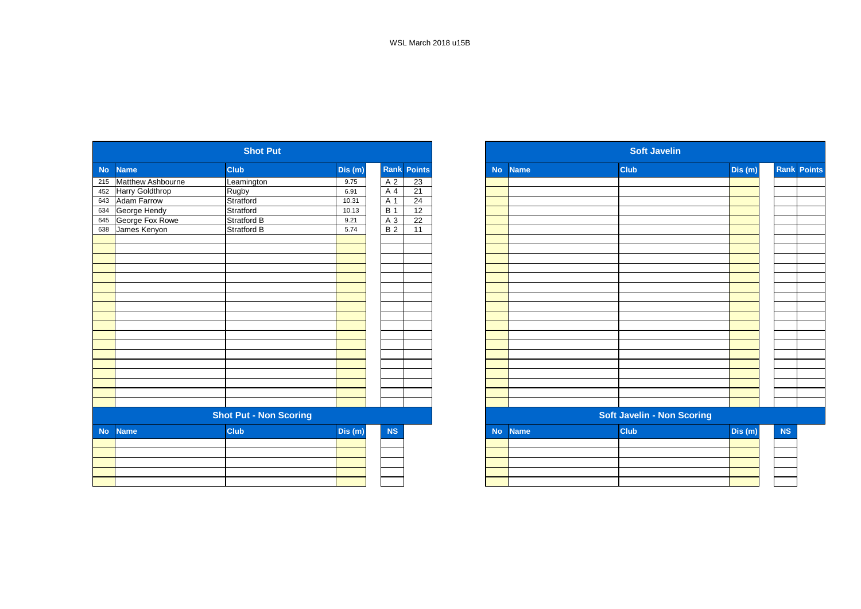|           |                    | <b>Shot Put</b>               |         |                  |                    |           |             | <b>Soft Javelin</b>               |         |
|-----------|--------------------|-------------------------------|---------|------------------|--------------------|-----------|-------------|-----------------------------------|---------|
| <b>No</b> | <b>Name</b>        | <b>Club</b>                   | Dis (m) |                  | <b>Rank Points</b> | <b>No</b> | <b>Name</b> | <b>Club</b>                       | Dis (m) |
| 215       | Matthew Ashbourne  | Leamington                    | 9.75    | A 2              | 23                 |           |             |                                   |         |
| 452       | Harry Goldthrop    | Rugby                         | 6.91    | A 4              | 21                 |           |             |                                   |         |
| 643       | <b>Adam Farrow</b> | Stratford                     | 10.31   | A 1              | 24                 |           |             |                                   |         |
| 634       | George Hendy       | Stratford                     | 10.13   | $\overline{B}$ 1 | $\overline{12}$    |           |             |                                   |         |
| 645       | George Fox Rowe    | Stratford B                   | 9.21    | A 3              | 22                 |           |             |                                   |         |
| 638       | James Kenyon       | <b>Stratford B</b>            | 5.74    | $\overline{B}$ 2 | $\overline{11}$    |           |             |                                   |         |
|           |                    |                               |         |                  |                    |           |             |                                   |         |
|           |                    |                               |         |                  |                    |           |             |                                   |         |
|           |                    |                               |         |                  |                    |           |             |                                   |         |
|           |                    |                               |         |                  |                    |           |             |                                   |         |
|           |                    |                               |         |                  |                    |           |             |                                   |         |
|           |                    |                               |         |                  |                    |           |             |                                   |         |
|           |                    |                               |         |                  |                    |           |             |                                   |         |
|           |                    |                               |         |                  |                    |           |             |                                   |         |
|           |                    |                               |         |                  |                    |           |             |                                   |         |
|           |                    |                               |         |                  |                    |           |             |                                   |         |
|           |                    |                               |         |                  |                    |           |             |                                   |         |
|           |                    |                               |         |                  |                    |           |             |                                   |         |
|           |                    |                               |         |                  |                    |           |             |                                   |         |
|           |                    |                               |         |                  |                    |           |             |                                   |         |
|           |                    |                               |         |                  |                    |           |             |                                   |         |
|           |                    |                               |         |                  |                    |           |             |                                   |         |
|           |                    |                               |         |                  |                    |           |             |                                   |         |
|           |                    | <b>Shot Put - Non Scoring</b> |         |                  |                    |           |             | <b>Soft Javelin - Non Scoring</b> |         |
| <b>No</b> | <b>Name</b>        | <b>Club</b>                   | Dis (m) | <b>NS</b>        |                    | <b>No</b> | <b>Name</b> | <b>Club</b>                       | Dis (m) |
|           |                    |                               |         |                  |                    |           |             |                                   |         |
|           |                    |                               |         |                  |                    |           |             |                                   |         |
|           |                    |                               |         |                  |                    |           |             |                                   |         |
|           |                    |                               |         |                  |                    |           |             |                                   |         |
|           |                    |                               |         |                  |                    |           |             |                                   |         |

| <b>Shot Put</b>               |                                                           |                    |         |            |                                   |  |           | <b>Soft Javelin</b>               |             |         |    |                    |
|-------------------------------|-----------------------------------------------------------|--------------------|---------|------------|-----------------------------------|--|-----------|-----------------------------------|-------------|---------|----|--------------------|
|                               | No Name                                                   | <b>Club</b>        | Dis (m) |            | <b>Rank Points</b>                |  | <b>No</b> | <b>Name</b>                       | <b>Club</b> | Dis (m) |    | <b>Rank Points</b> |
|                               | 215 Matthew Ashbourne                                     | Leamington         | 9.75    |            | 23<br>A 2                         |  |           |                                   |             |         |    |                    |
|                               | 452 Harry Goldthrop                                       | Rugby              | 6.91    | A 4        | 21                                |  |           |                                   |             |         |    |                    |
|                               | 643 Adam Farrow                                           | Stratford          | 10.31   | A 1        | 24                                |  |           |                                   |             |         |    |                    |
|                               |                                                           | Stratford          | 10.13   | <b>B</b> 1 | 12                                |  |           |                                   |             |         |    |                    |
|                               | George Fox Rowe                                           | <b>Stratford B</b> | 9.21    |            | 22<br>$A_3$                       |  |           |                                   |             |         |    |                    |
|                               | 634 George Hendy<br>645 George Fox Ro<br>638 James Kenyon | Stratford B        | 5.74    |            | B <sub>2</sub><br>$\overline{11}$ |  |           |                                   |             |         |    |                    |
|                               |                                                           |                    |         |            |                                   |  |           |                                   |             |         |    |                    |
|                               |                                                           |                    |         |            |                                   |  |           |                                   |             |         |    |                    |
|                               |                                                           |                    |         |            |                                   |  |           |                                   |             |         |    |                    |
|                               |                                                           |                    |         |            |                                   |  |           |                                   |             |         |    |                    |
|                               |                                                           |                    |         |            |                                   |  |           |                                   |             |         |    |                    |
|                               |                                                           |                    |         |            |                                   |  |           |                                   |             |         |    |                    |
|                               |                                                           |                    |         |            |                                   |  |           |                                   |             |         |    |                    |
|                               |                                                           |                    |         |            |                                   |  |           |                                   |             |         |    |                    |
|                               |                                                           |                    |         |            |                                   |  |           |                                   |             |         |    |                    |
|                               |                                                           |                    |         |            |                                   |  |           |                                   |             |         |    |                    |
|                               |                                                           |                    |         |            |                                   |  |           |                                   |             |         |    |                    |
|                               |                                                           |                    |         |            |                                   |  |           |                                   |             |         |    |                    |
|                               |                                                           |                    |         |            |                                   |  |           |                                   |             |         |    |                    |
|                               |                                                           |                    |         |            |                                   |  |           |                                   |             |         |    |                    |
|                               |                                                           |                    |         |            |                                   |  |           |                                   |             |         |    |                    |
|                               |                                                           |                    |         |            |                                   |  |           |                                   |             |         |    |                    |
|                               |                                                           |                    |         |            |                                   |  |           |                                   |             |         |    |                    |
| <b>Shot Put - Non Scoring</b> |                                                           |                    |         |            |                                   |  |           | <b>Soft Javelin - Non Scoring</b> |             |         |    |                    |
| No l                          | <b>Name</b>                                               | <b>Club</b>        | Dis(m)  |            | <b>NS</b>                         |  | <b>No</b> | <b>Name</b>                       | <b>Club</b> | Dis (m) | NS |                    |
|                               |                                                           |                    |         |            |                                   |  |           |                                   |             |         |    |                    |
|                               |                                                           |                    |         |            |                                   |  |           |                                   |             |         |    |                    |
|                               |                                                           |                    |         |            |                                   |  |           |                                   |             |         |    |                    |
|                               |                                                           |                    |         |            |                                   |  |           |                                   |             |         |    |                    |
|                               |                                                           |                    |         |            |                                   |  |           |                                   |             |         |    |                    |